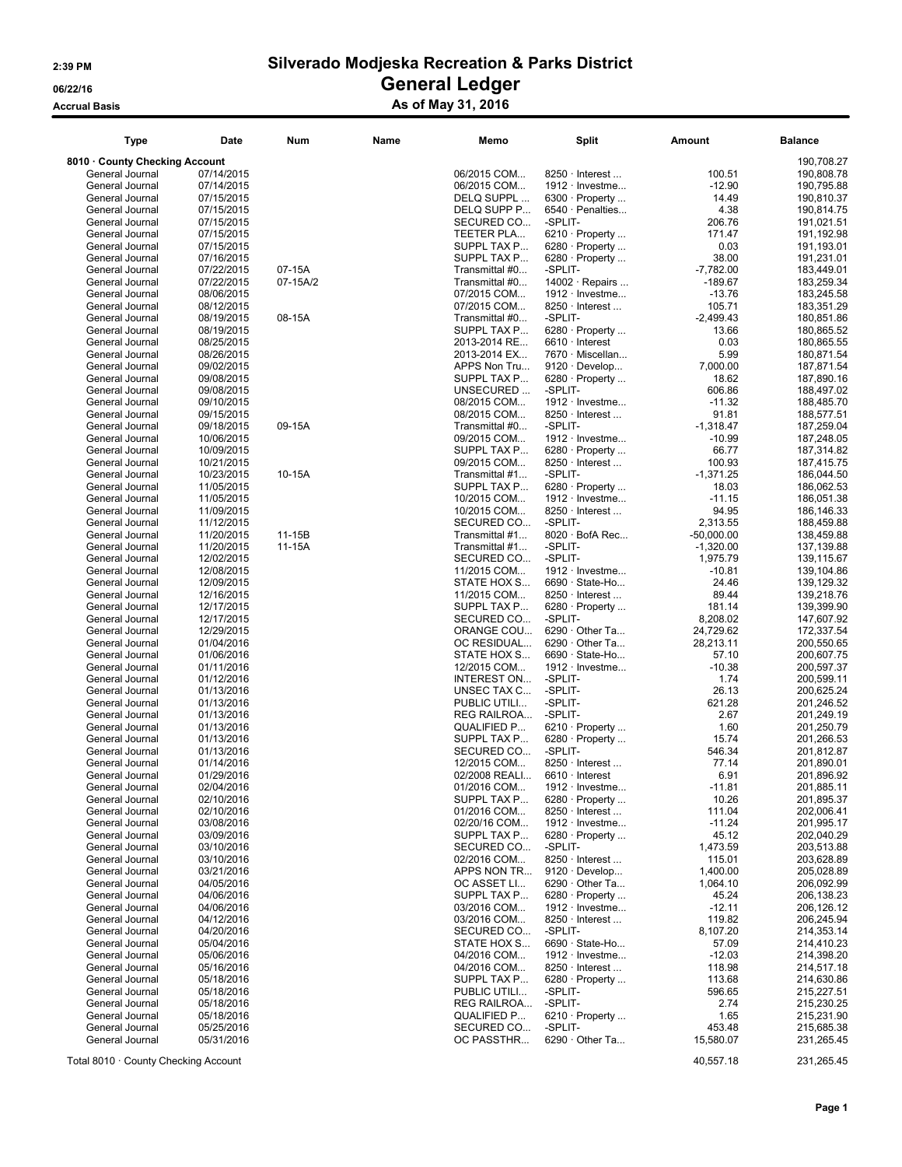Accrual Basis **Accrual Basis** As of May 31, 2016

| <b>Type</b>                        | Date                     | <b>Num</b> | Name | Memo                         | <b>Split</b>                                  | Amount                   | <b>Balance</b>           |
|------------------------------------|--------------------------|------------|------|------------------------------|-----------------------------------------------|--------------------------|--------------------------|
| 8010 County Checking Account       |                          |            |      |                              |                                               |                          | 190,708.27               |
| General Journal                    | 07/14/2015               |            |      | 06/2015 COM                  | 8250 · Interest                               | 100.51                   | 190,808.78               |
| General Journal                    | 07/14/2015               |            |      | 06/2015 COM                  | $1912 \cdot$ Investme                         | $-12.90$                 | 190,795.88               |
| General Journal                    | 07/15/2015               |            |      | DELQ SUPPL                   | $6300 \cdot$ Property                         | 14.49                    | 190,810.37               |
| General Journal                    | 07/15/2015               |            |      | DELQ SUPP P                  | $6540 \cdot$ Penalties                        | 4.38                     | 190,814.75               |
| General Journal                    | 07/15/2015               |            |      | SECURED CO                   | -SPLIT-                                       | 206.76                   | 191,021.51               |
| General Journal                    | 07/15/2015               |            |      | TEETER PLA                   | $6210 \cdot$ Property                         | 171.47                   | 191,192.98               |
| General Journal                    | 07/15/2015               |            |      | SUPPL TAX P                  | 6280 $\cdot$ Property                         | 0.03                     | 191,193.01               |
| General Journal                    | 07/16/2015               |            |      | SUPPL TAX P                  | $6280 \cdot$ Property                         | 38.00                    | 191,231.01               |
| General Journal                    | 07/22/2015               | 07-15A     |      | Transmittal #0               | -SPLIT-                                       | $-7,782.00$              | 183,449.01               |
| General Journal                    | 07/22/2015               | 07-15A/2   |      | Transmittal #0               | $14002 \cdot$ Repairs                         | $-189.67$                | 183,259.34               |
| General Journal                    | 08/06/2015               |            |      | 07/2015 COM                  | $1912 \cdot$ Investme                         | $-13.76$                 | 183,245.58               |
| General Journal                    | 08/12/2015               |            |      | 07/2015 COM                  | $8250 \cdot$ Interest                         | 105.71                   | 183,351.29               |
| General Journal                    | 08/19/2015               | 08-15A     |      | Transmittal #0               | -SPLIT-                                       | $-2,499.43$              | 180,851.86               |
| General Journal                    | 08/19/2015               |            |      | SUPPL TAX P                  | $6280 \cdot$ Property                         | 13.66                    | 180,865.52               |
| General Journal                    | 08/25/2015               |            |      | 2013-2014 RE                 | $6610 \cdot$ Interest                         | 0.03                     | 180,865.55               |
| General Journal                    | 08/26/2015               |            |      | 2013-2014 EX                 | 7670 · Miscellan                              | 5.99                     | 180,871.54               |
| General Journal                    | 09/02/2015               |            |      | APPS Non Tru                 | $9120 \cdot$ Develop                          | 7,000.00                 | 187,871.54               |
| General Journal                    | 09/08/2015               |            |      | SUPPL TAX P                  | 6280 $\cdot$ Property                         | 18.62                    | 187,890.16               |
| General Journal                    | 09/08/2015               |            |      | UNSECURED                    | -SPLIT-                                       | 606.86                   | 188,497.02               |
| General Journal                    | 09/10/2015               |            |      | 08/2015 COM                  | 1912 · Investme                               | $-11.32$                 | 188,485.70               |
| General Journal                    | 09/15/2015               |            |      | 08/2015 COM                  | $8250 \cdot$ Interest                         | 91.81                    | 188,577.51               |
| General Journal                    | 09/18/2015               | 09-15A     |      | Transmittal #0               | -SPLIT-                                       | $-1,318.47$              | 187,259.04               |
| General Journal                    | 10/06/2015               |            |      | 09/2015 COM                  | $1912 \cdot$ Investme                         | $-10.99$                 | 187,248.05               |
| General Journal                    | 10/09/2015               |            |      | SUPPL TAX P                  | 6280 · Property                               | 66.77                    | 187,314.82               |
| General Journal                    | 10/21/2015               |            |      | 09/2015 COM                  | 8250 · Interest                               | 100.93                   | 187,415.75               |
| General Journal                    | 10/23/2015               | 10-15A     |      | Transmittal #1               | -SPLIT-                                       | $-1,371.25$              | 186,044.50               |
| General Journal                    | 11/05/2015               |            |      | SUPPL TAX P                  | $6280 \cdot$ Property                         | 18.03                    | 186,062.53               |
| General Journal                    | 11/05/2015               |            |      | 10/2015 COM                  | $1912 \cdot$ Investme<br>8250 · Interest      | $-11.15$                 | 186,051.38               |
| General Journal                    | 11/09/2015               |            |      | 10/2015 COM                  |                                               | 94.95                    | 186,146.33               |
| General Journal<br>General Journal | 11/12/2015<br>11/20/2015 | 11-15B     |      | SECURED CO<br>Transmittal #1 | -SPLIT-<br>8020 · BofA Rec                    | 2,313.55<br>$-50,000.00$ | 188,459.88<br>138,459.88 |
| General Journal                    | 11/20/2015               | 11-15A     |      | Transmittal #1               | -SPLIT-                                       | $-1,320.00$              | 137,139.88               |
| General Journal                    | 12/02/2015               |            |      | SECURED CO                   | -SPLIT-                                       | 1,975.79                 | 139,115.67               |
| General Journal                    | 12/08/2015               |            |      | 11/2015 COM                  | $1912 \cdot$ Investme                         | $-10.81$                 | 139,104.86               |
| General Journal                    | 12/09/2015               |            |      | STATE HOX S                  | $6690 \cdot$ State-Ho                         | 24.46                    | 139,129.32               |
| General Journal                    | 12/16/2015               |            |      | 11/2015 COM                  | $8250 \cdot$ Interest                         | 89.44                    | 139,218.76               |
| General Journal                    | 12/17/2015               |            |      | SUPPL TAX P                  | $6280 \cdot$ Property                         | 181.14                   | 139,399.90               |
| General Journal                    | 12/17/2015               |            |      | SECURED CO                   | -SPLIT-                                       | 8,208.02                 | 147,607.92               |
| General Journal                    | 12/29/2015               |            |      | ORANGE COU                   | $6290 \cdot$ Other Ta                         | 24,729.62                | 172,337.54               |
| General Journal                    | 01/04/2016               |            |      | OC RESIDUAL                  | 6290 $\cdot$ Other Ta                         | 28,213.11                | 200,550.65               |
| General Journal                    | 01/06/2016               |            |      | STATE HOX S                  | $6690 \cdot$ State-Ho                         | 57.10                    | 200,607.75               |
| General Journal                    | 01/11/2016               |            |      | 12/2015 COM                  | $1912 \cdot$ Investme                         | $-10.38$                 | 200,597.37               |
| General Journal                    | 01/12/2016               |            |      | INTEREST ON                  | -SPLIT-                                       | 1.74                     | 200,599.11               |
| General Journal                    | 01/13/2016               |            |      | UNSEC TAX C                  | -SPLIT-                                       | 26.13                    | 200,625.24               |
| General Journal                    | 01/13/2016               |            |      | PUBLIC UTILI                 | -SPLIT-                                       | 621.28                   | 201,246.52               |
| General Journal                    | 01/13/2016               |            |      | REG RAILROA                  | -SPLIT-                                       | 2.67                     | 201,249.19               |
| General Journal                    | 01/13/2016               |            |      | QUALIFIED P                  | $6210 \cdot$ Property                         | 1.60                     | 201,250.79               |
| General Journal                    | 01/13/2016               |            |      | SUPPL TAX P                  | $6280 \cdot$ Property                         | 15.74                    | 201,266.53               |
| General Journal                    | 01/13/2016               |            |      | SECURED CO                   | -SPLIT-                                       | 546.34                   | 201,812.87               |
| General Journal                    | 01/14/2016               |            |      | 12/2015 COM                  | $8250 \cdot$ Interest                         | 77.14                    | 201,890.01               |
| General Journal                    | 01/29/2016               |            |      | 02/2008 REALI                | $6610 \cdot$ Interest                         | 6.91                     | 201,896.92               |
| General Journal                    | 02/04/2016               |            |      | 01/2016 COM                  | 1912 · Investme                               | $-11.81$                 | 201,885.11               |
| General Journal                    | 02/10/2016               |            |      | SUPPL TAX P                  | $6280 \cdot$ Property                         | 10.26                    | 201,895.37               |
| General Journal                    | 02/10/2016               |            |      | 01/2016 COM                  | 8250 · Interest                               | 111.04                   | 202,006.41               |
| General Journal                    | 03/08/2016               |            |      | 02/20/16 COM                 | $1912 \cdot$ Investme                         | $-11.24$                 | 201,995.17               |
| General Journal                    | 03/09/2016               |            |      | SUPPL TAX P                  | $6280 \cdot$ Property<br>-SPLIT-              | 45.12                    | 202,040.29               |
| General Journal                    | 03/10/2016               |            |      | SECURED CO                   |                                               | 1,473.59                 | 203,513.88<br>203.628.89 |
| General Journal                    | 03/10/2016               |            |      | 02/2016 COM                  | $8250 \cdot$ Interest                         | 115.01                   |                          |
| General Journal<br>General Journal | 03/21/2016<br>04/05/2016 |            |      | APPS NON TR<br>OC ASSET LI   | $9120 \cdot$ Develop<br>6290 $\cdot$ Other Ta | 1,400.00<br>1,064.10     | 205,028.89<br>206,092.99 |
| General Journal                    | 04/06/2016               |            |      | SUPPL TAX P                  | $6280 \cdot$ Property                         | 45.24                    | 206,138.23               |
| General Journal                    | 04/06/2016               |            |      | 03/2016 COM                  | $1912 \cdot$ Investme                         | $-12.11$                 | 206,126.12               |
| General Journal                    | 04/12/2016               |            |      | 03/2016 COM                  | $8250 \cdot$ Interest                         | 119.82                   | 206,245.94               |
| General Journal                    | 04/20/2016               |            |      | SECURED CO                   | -SPLIT-                                       | 8,107.20                 | 214,353.14               |
| General Journal                    | 05/04/2016               |            |      | STATE HOX S                  | 6690 · State-Ho                               | 57.09                    | 214,410.23               |
| General Journal                    | 05/06/2016               |            |      | 04/2016 COM                  | $1912 \cdot$ Investme                         | $-12.03$                 | 214,398.20               |
| General Journal                    | 05/16/2016               |            |      | 04/2016 COM                  | $8250 \cdot$ Interest                         | 118.98                   | 214.517.18               |
| General Journal                    | 05/18/2016               |            |      | SUPPL TAX P                  | $6280 \cdot$ Property                         | 113.68                   | 214,630.86               |
| General Journal                    | 05/18/2016               |            |      | PUBLIC UTILI                 | -SPLIT-                                       | 596.65                   | 215,227.51               |
| General Journal                    | 05/18/2016               |            |      | REG RAILROA                  | -SPLIT-                                       | 2.74                     | 215,230.25               |
| General Journal                    | 05/18/2016               |            |      | QUALIFIED P                  | $6210 \cdot$ Property                         | 1.65                     | 215,231.90               |
| General Journal                    | 05/25/2016               |            |      | SECURED CO                   | -SPLIT-                                       | 453.48                   | 215,685.38               |
| General Journal                    | 05/31/2016               |            |      | OC PASSTHR                   | 6290 $\cdot$ Other Ta                         | 15,580.07                | 231,265.45               |
|                                    |                          |            |      |                              |                                               |                          |                          |

Total 8010 · County Checking Account 40,557.18 231,265.45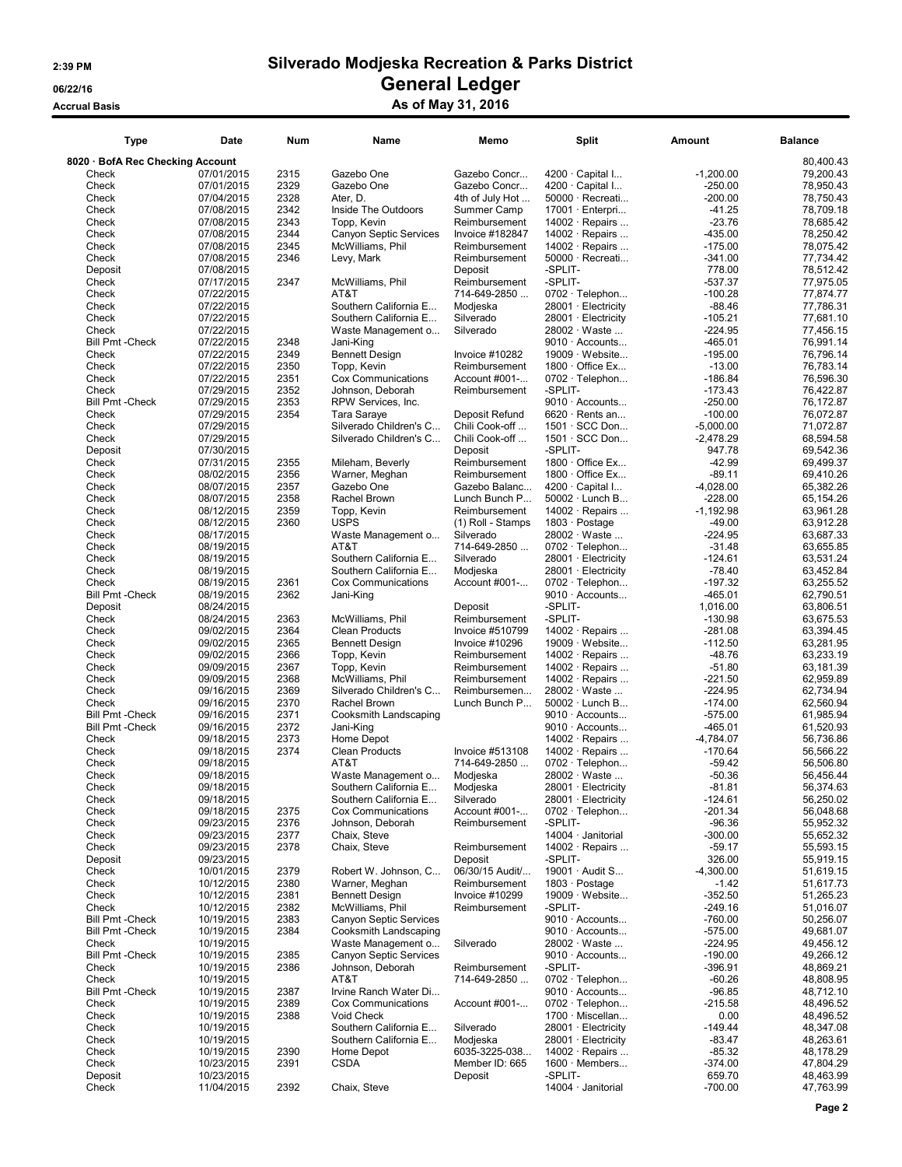### Accrual Basis Accrua Basis As of May 31, 2016

| <b>Type</b>                      | Date                     | <b>Num</b>   | Name                                       | Memo                          | <b>Split</b>                           | Amount                 | <b>Balance</b>         |
|----------------------------------|--------------------------|--------------|--------------------------------------------|-------------------------------|----------------------------------------|------------------------|------------------------|
| 8020 · BofA Rec Checking Account |                          |              |                                            |                               |                                        |                        | 80,400.43              |
| Check                            | 07/01/2015               | 2315         | Gazebo One                                 | Gazebo Concr                  | $4200 \cdot$ Capital I                 | $-1,200.00$            | 79,200.43              |
| Check                            | 07/01/2015               | 2329         | Gazebo One                                 | Gazebo Concr                  | 4200 · Capital I                       | $-250.00$              | 78,950.43              |
| Check                            | 07/04/2015               | 2328         | Ater, D.                                   | 4th of July Hot               | $50000 \cdot$ Recreati                 | $-200.00$              | 78,750.43              |
| Check                            | 07/08/2015               | 2342         | Inside The Outdoors                        | Summer Camp                   | 17001 · Enterpri                       | $-41.25$               | 78.709.18              |
| Check                            | 07/08/2015               | 2343         | Topp, Kevin                                | Reimbursement                 | $14002 \cdot$ Repairs                  | $-23.76$               | 78,685.42              |
| Check                            | 07/08/2015               | 2344         | <b>Canyon Septic Services</b>              | Invoice #182847               | 14002 · Repairs                        | $-435.00$              | 78,250.42              |
| Check                            | 07/08/2015               | 2345         | McWilliams, Phil                           | Reimbursement                 | 14002 · Repairs                        | $-175.00$              | 78,075.42              |
| Check                            | 07/08/2015               | 2346         | Levy, Mark                                 | Reimbursement                 | $50000 \cdot$ Recreati                 | $-341.00$              | 77,734.42              |
| Deposit                          | 07/08/2015               |              |                                            | Deposit                       | -SPLIT-                                | 778.00                 | 78,512.42              |
| Check                            | 07/17/2015               | 2347         | McWilliams, Phil                           | Reimbursement<br>714-649-2850 | -SPLIT-                                | $-537.37$              | 77,975.05              |
| Check                            | 07/22/2015<br>07/22/2015 |              | AT&T<br>Southern California E              |                               | 0702 · Telephon<br>28001 · Electricity | $-100.28$<br>$-88.46$  | 77,874.77<br>77,786.31 |
| Check<br>Check                   | 07/22/2015               |              | Southern California E                      | Modjeska<br>Silverado         | 28001 · Electricity                    | $-105.21$              | 77.681.10              |
| Check                            | 07/22/2015               |              | Waste Management o                         | Silverado                     | 28002 · Waste                          | $-224.95$              | 77,456.15              |
| <b>Bill Pmt - Check</b>          | 07/22/2015               | 2348         | Jani-King                                  |                               | $9010 \cdot$ Accounts                  | $-465.01$              | 76,991.14              |
| Check                            | 07/22/2015               | 2349         | <b>Bennett Design</b>                      | Invoice #10282                | 19009 · Website                        | $-195.00$              | 76,796.14              |
| Check                            | 07/22/2015               | 2350         | Topp, Kevin                                | Reimbursement                 | $1800 \cdot$ Office Ex                 | $-13.00$               | 76,783.14              |
| Check                            | 07/22/2015               | 2351         | Cox Communications                         | Account #001-                 | $0702 \cdot$ Telephon                  | $-186.84$              | 76,596.30              |
| Check                            | 07/29/2015               | 2352         | Johnson, Deborah                           | Reimbursement                 | -SPLIT-                                | $-173.43$              | 76,422.87              |
| <b>Bill Pmt - Check</b>          | 07/29/2015               | 2353         | RPW Services, Inc.                         |                               | 9010 · Accounts                        | $-250.00$              | 76,172.87              |
| Check                            | 07/29/2015               | 2354         | Tara Saraye                                | Deposit Refund                | $6620 \cdot$ Rents an                  | $-100.00$              | 76,072.87              |
| Check                            | 07/29/2015               |              | Silverado Children's C                     | Chili Cook-off                | $1501 \cdot$ SCC Don                   | $-5,000.00$            | 71,072.87              |
| Check                            | 07/29/2015               |              | Silverado Children's C                     | Chili Cook-off                | 1501 · SCC Don                         | $-2,478.29$            | 68,594.58              |
| Deposit                          | 07/30/2015               |              |                                            | Deposit                       | -SPLIT-                                | 947.78                 | 69,542.36              |
| Check                            | 07/31/2015               | 2355         | Mileham, Beverly                           | Reimbursement                 | $1800 \cdot$ Office Ex                 | $-42.99$               | 69,499.37              |
| Check                            | 08/02/2015               | 2356         | Warner, Meghan                             | Reimbursement                 | $1800 \cdot$ Office Ex                 | $-89.11$               | 69,410.26              |
| Check                            | 08/07/2015               | 2357         | Gazebo One                                 | Gazebo Balanc                 | $4200 \cdot$ Capital I                 | $-4,028.00$            | 65,382.26              |
| Check                            | 08/07/2015               | 2358         | Rachel Brown                               | Lunch Bunch P                 | $50002 \cdot$ Lunch B                  | $-228.00$              | 65,154.26              |
| Check                            | 08/12/2015               | 2359         | Topp, Kevin                                | Reimbursement                 | 14002 $\cdot$ Repairs                  | $-1,192.98$            | 63,961.28              |
| Check                            | 08/12/2015               | 2360         | <b>USPS</b>                                | (1) Roll - Stamps             | 1803 · Postage                         | $-49.00$               | 63,912.28              |
| Check                            | 08/17/2015               |              | Waste Management o                         | Silverado                     | 28002 · Waste                          | $-224.95$              | 63,687.33              |
| Check                            | 08/19/2015               |              | AT&T                                       | 714-649-2850                  | 0702 · Telephon                        | $-31.48$               | 63,655.85              |
| Check                            | 08/19/2015               |              | Southern California E                      | Silverado                     | 28001 · Electricity                    | $-124.61$              | 63,531.24              |
| Check                            | 08/19/2015               |              | Southern California E                      | Modjeska                      | 28001 · Electricity                    | $-78.40$               | 63,452.84              |
| Check                            | 08/19/2015               | 2361         | Cox Communications                         | Account #001-                 | $0702 \cdot$ Telephon                  | $-197.32$              | 63,255.52              |
| <b>Bill Pmt - Check</b>          | 08/19/2015               | 2362         | Jani-King                                  |                               | $9010 \cdot$ Accounts                  | $-465.01$              | 62,790.51              |
| Deposit                          | 08/24/2015               |              |                                            | Deposit                       | -SPLIT-                                | 1,016.00               | 63,806.51              |
| Check                            | 08/24/2015               | 2363         | McWilliams, Phil                           | Reimbursement                 | -SPLIT-                                | $-130.98$              | 63,675.53              |
| Check                            | 09/02/2015               | 2364         | <b>Clean Products</b>                      | Invoice #510799               | $14002 \cdot$ Repairs                  | $-281.08$              | 63,394.45              |
| Check                            | 09/02/2015               | 2365         | <b>Bennett Design</b>                      | Invoice #10296                | $19009 \cdot$ Website                  | $-112.50$              | 63,281.95              |
| Check                            | 09/02/2015               | 2366         | Topp, Kevin                                | Reimbursement                 | $14002 \cdot$ Repairs                  | $-48.76$               | 63,233.19              |
| Check                            | 09/09/2015               | 2367<br>2368 | Topp, Kevin                                | Reimbursement                 | $14002 \cdot$ Repairs                  | $-51.80$               | 63,181.39              |
| Check<br>Check                   | 09/09/2015<br>09/16/2015 | 2369         | McWilliams, Phil<br>Silverado Children's C | Reimbursement                 | 14002 · Repairs<br>28002 · Waste       | $-221.50$<br>$-224.95$ | 62,959.89<br>62,734.94 |
| Check                            | 09/16/2015               | 2370         | Rachel Brown                               | Reimbursemen<br>Lunch Bunch P | $50002 \cdot$ Lunch B                  | $-174.00$              | 62,560.94              |
| <b>Bill Pmt - Check</b>          | 09/16/2015               | 2371         | Cooksmith Landscaping                      |                               | $9010 \cdot$ Accounts                  | $-575.00$              | 61,985.94              |
| <b>Bill Pmt - Check</b>          | 09/16/2015               | 2372         | Jani-King                                  |                               | $9010 \cdot$ Accounts                  | $-465.01$              | 61,520.93              |
| Check                            | 09/18/2015               | 2373         | Home Depot                                 |                               | $14002 \cdot$ Repairs                  | $-4,784.07$            | 56,736.86              |
| Check                            | 09/18/2015               | 2374         | Clean Products                             | Invoice #513108               | 14002 · Repairs                        | $-170.64$              | 56,566.22              |
| Check                            | 09/18/2015               |              | AT&T                                       | 714-649-2850                  | 0702 · Telephon                        | -59.42                 | 56,506.80              |
| Check                            | 09/18/2015               |              | Waste Management o                         | Modjeska                      | 28002 Waste                            | $-50.36$               | 56,456.44              |
| Check                            | 09/18/2015               |              | Southern California E                      | Modjeska                      | 28001 · Electricity                    | -81.81                 | 56,374.63              |
| Check                            | 09/18/2015               |              | Southern California E                      | Silverado                     | 28001 · Electricity                    | $-124.61$              | 56,250.02              |
| Check                            | 09/18/2015               | 2375         | Cox Communications                         | Account #001-                 | $0702 \cdot$ Telephon                  | $-201.34$              | 56,048.68              |
| Check                            | 09/23/2015               | 2376         | Johnson, Deborah                           | Reimbursement                 | -SPLIT-                                | $-96.36$               | 55,952.32              |
| Check                            | 09/23/2015               | 2377         | Chaix, Steve                               |                               | 14004 · Janitorial                     | $-300.00$              | 55,652.32              |
| Check                            | 09/23/2015               | 2378         | Chaix, Steve                               | Reimbursement                 | 14002 · Repairs                        | -59.17                 | 55,593.15              |
| Deposit                          | 09/23/2015               |              |                                            | Deposit                       | -SPLIT-                                | 326.00                 | 55,919.15              |
| Check                            | 10/01/2015               | 2379         | Robert W. Johnson, C                       | 06/30/15 Audit/               | 19001 · Audit S                        | $-4,300.00$            | 51,619.15              |
| Check                            | 10/12/2015               | 2380         | Warner, Meghan                             | Reimbursement                 | $1803 \cdot$ Postage                   | $-1.42$                | 51,617.73              |
| Check                            | 10/12/2015               | 2381         | <b>Bennett Design</b>                      | Invoice #10299                | 19009 · Website                        | $-352.50$              | 51,265.23              |
| Check                            | 10/12/2015               | 2382         | McWilliams, Phil                           | Reimbursement                 | -SPLIT-                                | $-249.16$              | 51,016.07              |
| <b>Bill Pmt - Check</b>          | 10/19/2015               | 2383         | <b>Canyon Septic Services</b>              |                               | 9010 · Accounts                        | $-760.00$              | 50,256.07              |
| <b>Bill Pmt - Check</b>          | 10/19/2015               | 2384         | Cooksmith Landscaping                      |                               | $9010 \cdot$ Accounts                  | $-575.00$              | 49,681.07              |
| Check                            | 10/19/2015               |              | Waste Management o                         | Silverado                     | 28002 · Waste                          | $-224.95$              | 49,456.12              |
| <b>Bill Pmt - Check</b>          | 10/19/2015               | 2385         | <b>Canyon Septic Services</b>              |                               | $9010 \cdot$ Accounts                  | $-190.00$              | 49,266.12              |
| Check                            | 10/19/2015               | 2386         | Johnson, Deborah                           | Reimbursement                 | -SPLIT-                                | -396.91                | 48,869.21              |
| Check                            | 10/19/2015               |              | AT&T                                       | 714-649-2850                  | $0702 \cdot$ Telephon                  | $-60.26$               | 48,808.95              |
| <b>Bill Pmt - Check</b>          | 10/19/2015               | 2387         | Irvine Ranch Water Di                      |                               | $9010 \cdot$ Accounts                  | $-96.85$               | 48,712.10              |
| Check                            | 10/19/2015               | 2389         | Cox Communications                         | Account #001-                 | $0702 \cdot$ Telephon                  | $-215.58$              | 48,496.52              |
| Check                            | 10/19/2015               | 2388         | Void Check                                 |                               | 1700 · Miscellan                       | 0.00                   | 48,496.52              |
| Check                            | 10/19/2015               |              | Southern California E                      | Silverado                     | $28001 \cdot$ Electricity              | $-149.44$              | 48,347.08              |
| Check                            | 10/19/2015               |              | Southern California E                      | Modjeska                      | 28001 · Electricity                    | $-83.47$               | 48,263.61              |
| Check                            | 10/19/2015               | 2390         | Home Depot                                 | 6035-3225-038                 | $14002 \cdot$ Repairs                  | $-85.32$               | 48,178.29              |
| Check                            | 10/23/2015               | 2391         | <b>CSDA</b>                                | Member ID: 665                | $1600 \cdot$ Members                   | $-374.00$              | 47,804.29              |
| Deposit                          | 10/23/2015               |              |                                            | Deposit                       | -SPLIT-                                | 659.70                 | 48,463.99              |
| Check                            | 11/04/2015               | 2392         | Chaix, Steve                               |                               | 14004 · Janitorial                     | $-700.00$              | 47,763.99              |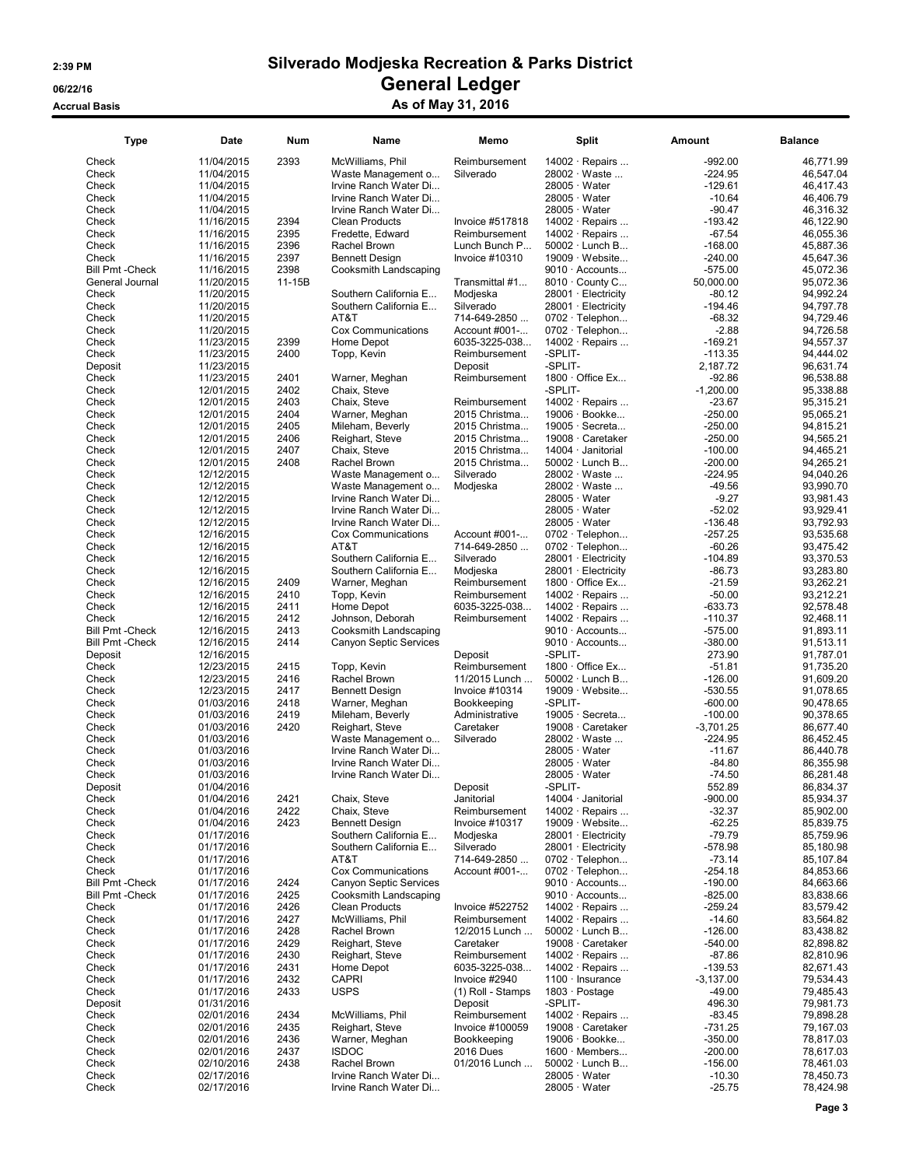### 2:39 PM Silverado Modjeska Recreation & Parks District 06/22/16 OS/22/16 General Ledger Accrual Basis Accrua Basis As of May 31, 2016

| <b>Type</b>                      | Date                     | Num            | Name                        | Memo                           | Split                                           | Amount                 | Balance                |
|----------------------------------|--------------------------|----------------|-----------------------------|--------------------------------|-------------------------------------------------|------------------------|------------------------|
| Check                            | 11/04/2015               | 2393           | McWilliams, Phil            | Reimbursement                  | $14002 \cdot$ Repairs                           | $-992.00$              | 46,771.99              |
| Check                            | 11/04/2015               |                | Waste Management o          | Silverado                      | 28002 · Waste                                   | $-224.95$              | 46,547.04              |
| Check                            | 11/04/2015               |                | Irvine Ranch Water Di       |                                | $28005 \cdot Water$                             | $-129.61$              | 46,417.43              |
| Check                            | 11/04/2015               |                | Irvine Ranch Water Di       |                                | $28005 \cdot Water$                             | $-10.64$               | 46,406.79              |
| Check                            | 11/04/2015               |                | Irvine Ranch Water Di       |                                | 28005 · Water                                   | $-90.47$               | 46.316.32              |
| Check                            | 11/16/2015               | 2394           | <b>Clean Products</b>       | Invoice #517818                | $14002 \cdot$ Repairs                           | $-193.42$              | 46,122.90              |
| Check                            | 11/16/2015               | 2395           | Fredette, Edward            | Reimbursement                  | 14002 · Repairs                                 | $-67.54$               | 46,055.36              |
| Check                            | 11/16/2015               | 2396           | Rachel Brown                | Lunch Bunch P                  | $50002 \cdot$ Lunch B                           | $-168.00$              | 45,887.36              |
| Check<br><b>Bill Pmt - Check</b> | 11/16/2015               | 2397           | <b>Bennett Design</b>       | Invoice #10310                 | 19009 · Website                                 | $-240.00$              | 45,647.36              |
| General Journal                  | 11/16/2015<br>11/20/2015 | 2398<br>11-15B | Cooksmith Landscaping       | Transmittal #1                 | $9010 \cdot$ Accounts<br>8010 · County C        | $-575.00$<br>50,000.00 | 45,072.36<br>95,072.36 |
| Check                            | 11/20/2015               |                | Southern California E       | Modjeska                       | 28001 · Electricity                             | $-80.12$               | 94,992.24              |
| Check                            | 11/20/2015               |                | Southern California E       | Silverado                      | 28001 · Electricity                             | $-194.46$              | 94,797.78              |
| Check                            | 11/20/2015               |                | AT&T                        | 714-649-2850                   | $0702 \cdot$ Telephon                           | $-68.32$               | 94,729.46              |
| Check                            | 11/20/2015               |                | Cox Communications          | Account #001-                  | 0702 · Telephon                                 | $-2.88$                | 94,726.58              |
| Check                            | 11/23/2015               | 2399           | Home Depot                  | 6035-3225-038                  | $14002 \cdot$ Repairs                           | $-169.21$              | 94.557.37              |
| Check                            | 11/23/2015               | 2400           | Topp, Kevin                 | Reimbursement                  | -SPLIT-                                         | $-113.35$              | 94,444.02              |
| Deposit                          | 11/23/2015               |                |                             | Deposit                        | -SPLIT-                                         | 2,187.72               | 96,631.74              |
| Check                            | 11/23/2015               | 2401           | Warner, Meghan              | Reimbursement                  | 1800 · Office Ex                                | $-92.86$               | 96,538.88              |
| Check                            | 12/01/2015               | 2402           | Chaix, Steve                |                                | -SPLIT-                                         | $-1,200.00$            | 95,338.88              |
| Check                            | 12/01/2015               | 2403           | Chaix, Steve                | Reimbursement                  | $14002 \cdot$ Repairs                           | $-23.67$               | 95,315.21              |
| Check                            | 12/01/2015               | 2404           | Warner, Meghan              | 2015 Christma                  | 19006 · Bookke                                  | $-250.00$              | 95,065.21              |
| Check                            | 12/01/2015               | 2405           | Mileham, Beverly            | 2015 Christma                  | $19005 \cdot$ Secreta                           | $-250.00$              | 94,815.21              |
| Check                            | 12/01/2015               | 2406           | Reighart, Steve             | 2015 Christma                  | 19008 · Caretaker                               | $-250.00$              | 94,565.21              |
| Check                            | 12/01/2015               | 2407           | Chaix, Steve                | 2015 Christma                  | 14004 · Janitorial                              | $-100.00$              | 94.465.21              |
| Check                            | 12/01/2015               | 2408           | Rachel Brown                | 2015 Christma                  | $50002 \cdot$ Lunch B                           | $-200.00$              | 94,265.21              |
| Check                            | 12/12/2015               |                | Waste Management o          | Silverado                      | 28002 · Waste                                   | $-224.95$              | 94,040.26              |
| Check                            | 12/12/2015               |                | Waste Management o          | Modjeska                       | 28002 · Waste                                   | $-49.56$               | 93,990.70              |
| Check                            | 12/12/2015               |                | Irvine Ranch Water Di       |                                | $28005 \cdot Water$                             | $-9.27$                | 93,981.43              |
| Check                            | 12/12/2015               |                | Irvine Ranch Water Di       |                                | 28005 · Water                                   | $-52.02$               | 93,929.41              |
| Check                            | 12/12/2015               |                | Irvine Ranch Water Di       |                                | $28005 \cdot Water$                             | $-136.48$              | 93,792.93              |
| Check                            | 12/16/2015               |                | Cox Communications          | Account #001-                  | $0702 \cdot$ Telephon                           | $-257.25$              | 93,535.68              |
| Check                            | 12/16/2015               |                | AT&T                        | 714-649-2850                   | 0702 · Telephon                                 | $-60.26$               | 93,475.42              |
| Check                            | 12/16/2015               |                | Southern California E       | Silverado                      | $28001 \cdot$ Electricity                       | $-104.89$              | 93,370.53              |
| Check                            | 12/16/2015               |                | Southern California E       | Modjeska                       | $28001 \cdot$ Electricity                       | -86.73                 | 93,283.80              |
| Check                            | 12/16/2015               | 2409           | Warner, Meghan              | Reimbursement                  | $1800 \cdot$ Office Ex                          | $-21.59$               | 93,262.21              |
| Check                            | 12/16/2015               | 2410           | Topp, Kevin                 | Reimbursement                  | 14002 · Repairs                                 | $-50.00$               | 93,212.21              |
| Check                            | 12/16/2015               | 2411           | Home Depot                  | 6035-3225-038                  | $14002 \cdot$ Repairs                           | $-633.73$              | 92,578.48              |
| Check                            | 12/16/2015               | 2412           | Johnson, Deborah            | Reimbursement                  | $14002 \cdot$ Repairs                           | $-110.37$              | 92,468.11              |
| <b>Bill Pmt - Check</b>          | 12/16/2015               | 2413           | Cooksmith Landscaping       |                                | $9010 \cdot$ Accounts                           | $-575.00$              | 91,893.11              |
| <b>Bill Pmt - Check</b>          | 12/16/2015               | 2414           | Canyon Septic Services      |                                | $9010 \cdot$ Accounts                           | $-380.00$              | 91,513.11              |
| Deposit                          | 12/16/2015               |                |                             | Deposit                        | -SPLIT-                                         | 273.90                 | 91,787.01              |
| Check<br>Check                   | 12/23/2015<br>12/23/2015 | 2415<br>2416   | Topp, Kevin<br>Rachel Brown | Reimbursement<br>11/2015 Lunch | $1800 \cdot$ Office Ex<br>$50002 \cdot$ Lunch B | $-51.81$<br>$-126.00$  | 91,735.20<br>91,609.20 |
| Check                            | 12/23/2015               | 2417           | <b>Bennett Design</b>       | Invoice #10314                 | $19009 \cdot$ Website                           | $-530.55$              | 91,078.65              |
| Check                            | 01/03/2016               | 2418           | Warner, Meghan              |                                | -SPLIT-                                         | $-600.00$              | 90,478.65              |
| Check                            | 01/03/2016               | 2419           | Mileham, Beverly            | Bookkeeping<br>Administrative  | $19005 \cdot$ Secreta                           | $-100.00$              | 90,378.65              |
| Check                            | 01/03/2016               | 2420           | Reighart, Steve             | Caretaker                      | 19008 · Caretaker                               | $-3,701.25$            | 86,677.40              |
| Check                            | 01/03/2016               |                | Waste Management o          | Silverado                      | 28002 · Waste                                   | $-224.95$              | 86,452.45              |
| Check                            | 01/03/2016               |                | Irvine Ranch Water Di       |                                | $28005 \cdot Water$                             | $-11.67$               | 86,440.78              |
| Check                            | 01/03/2016               |                | Irvine Ranch Water Di       |                                | $28005 \cdot Water$                             | $-84.80$               | 86,355.98              |
| Check                            | 01/03/2016               |                | Irvine Ranch Water Di       |                                | $28005 \cdot Water$                             | $-74.50$               | 86,281.48              |
| Deposit                          | 01/04/2016               |                |                             | Deposit                        | -SPLIT-                                         | 552.89                 | 86,834.37              |
| Check                            | 01/04/2016               | 2421           | Chaix, Steve                | Janitorial                     | 14004 · Janitorial                              | $-900.00$              | 85,934.37              |
| Check                            | 01/04/2016               | 2422           | Chaix, Steve                | Reimbursement                  | 14002 · Repairs                                 | $-32.37$               | 85,902.00              |
| Check                            | 01/04/2016               | 2423           | <b>Bennett Design</b>       | Invoice #10317                 | $19009 \cdot$ Website                           | $-62.25$               | 85,839.75              |
| Check                            | 01/17/2016               |                | Southern California E       | Modjeska                       | 28001 · Electricity                             | $-79.79$               | 85,759.96              |
| Check                            | 01/17/2016               |                | Southern California E       | Silverado                      | 28001 · Electricity                             | $-578.98$              | 85,180.98              |
| Check                            | 01/17/2016               |                | AT&T                        | 714-649-2850                   | $0702 \cdot$ Telephon                           | $-73.14$               | 85,107.84              |
| Check                            | 01/17/2016               |                | Cox Communications          | Account #001-                  | $0702 \cdot$ Telephon                           | $-254.18$              | 84,853.66              |
| <b>Bill Pmt - Check</b>          | 01/17/2016               | 2424           | Canyon Septic Services      |                                | $9010 \cdot$ Accounts                           | $-190.00$              | 84,663.66              |
| <b>Bill Pmt - Check</b>          | 01/17/2016               | 2425           | Cooksmith Landscaping       |                                | $9010 \cdot$ Accounts                           | $-825.00$              | 83,838.66              |
| Check                            | 01/17/2016               | 2426           | <b>Clean Products</b>       | Invoice #522752                | $14002 \cdot$ Repairs                           | $-259.24$              | 83,579.42              |
| Check                            | 01/17/2016               | 2427           | McWilliams, Phil            | Reimbursement                  | $14002 \cdot$ Repairs                           | $-14.60$               | 83,564.82              |
| Check                            | 01/17/2016               | 2428           | Rachel Brown                | 12/2015 Lunch                  | $50002 \cdot$ Lunch B                           | $-126.00$              | 83,438.82              |
| Check                            | 01/17/2016               | 2429           | Reighart, Steve             | Caretaker                      | 19008 · Caretaker                               | $-540.00$              | 82,898.82              |
| Check                            | 01/17/2016               | 2430           | Reighart, Steve             | Reimbursement                  | 14002 · Repairs                                 | $-87.86$               | 82,810.96              |
| Check                            | 01/17/2016               | 2431           | Home Depot                  | 6035-3225-038                  | $14002 \cdot$ Repairs                           | $-139.53$              | 82,671.43              |
| Check                            | 01/17/2016               | 2432           | <b>CAPRI</b>                | Invoice #2940                  | 1100 · Insurance                                | $-3,137.00$            | 79,534.43              |
| Check                            | 01/17/2016               | 2433           | <b>USPS</b>                 | (1) Roll - Stamps              | 1803 · Postage                                  | $-49.00$               | 79,485.43              |
| Deposit                          | 01/31/2016               |                |                             | Deposit                        | -SPLIT-                                         | 496.30                 | 79,981.73              |
| Check                            | 02/01/2016               | 2434           | McWilliams, Phil            | Reimbursement                  | 14002 · Repairs                                 | $-83.45$               | 79,898.28              |
| Check                            | 02/01/2016               | 2435           | Reighart, Steve             | Invoice #100059                | 19008 · Caretaker                               | $-731.25$              | 79,167.03              |
| Check                            | 02/01/2016               | 2436           | Warner, Meghan              | Bookkeeping                    | 19006 · Bookke                                  | $-350.00$              | 78,817.03              |
| Check                            | 02/01/2016               | 2437           | <b>ISDOC</b>                | <b>2016 Dues</b>               | $1600 \cdot$ Members                            | $-200.00$              | 78,617.03              |
| Check                            | 02/10/2016               | 2438           | Rachel Brown                | 01/2016 Lunch                  | $50002 \cdot$ Lunch B                           | $-156.00$              | 78,461.03              |
| Check                            | 02/17/2016               |                | Irvine Ranch Water Di       |                                | $28005 \cdot Water$                             | $-10.30$               | 78,450.73              |
| Check                            | 02/17/2016               |                | Irvine Ranch Water Di       |                                | $28005 \cdot Water$                             | $-25.75$               | 78,424.98              |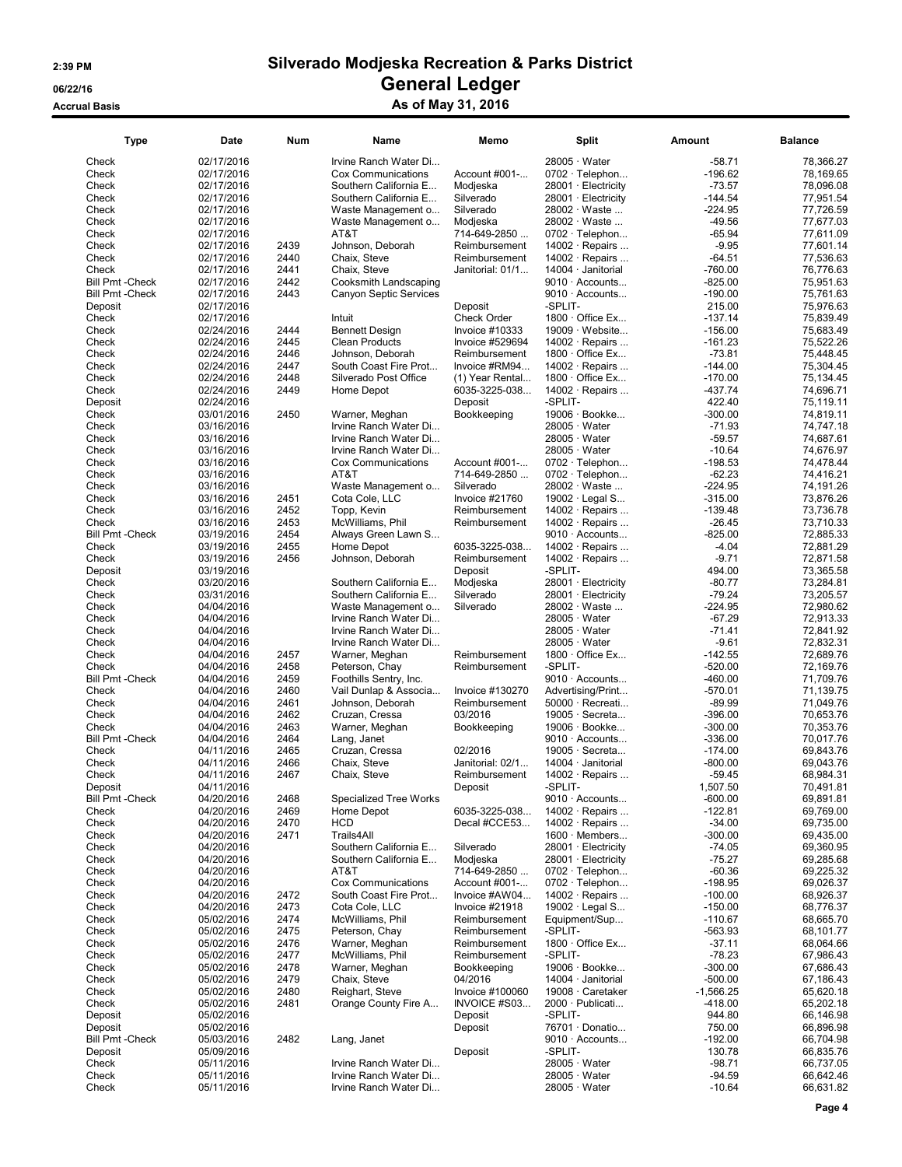### 2:39 PM Silverado Modjeska Recreation & Parks District 06/22/16 OS/22/16 General Ledger Accrual Basis Accrua Basis As of May 31, 2016

| Type                    | Date                     | Num          | Name                               | Memo                            | Split                                           | Amount                   | <b>Balance</b>         |
|-------------------------|--------------------------|--------------|------------------------------------|---------------------------------|-------------------------------------------------|--------------------------|------------------------|
| Check                   | 02/17/2016               |              | Irvine Ranch Water Di              |                                 | $28005 \cdot Water$                             | $-58.71$                 | 78.366.27              |
| Check                   | 02/17/2016               |              | <b>Cox Communications</b>          | Account #001-                   | 0702 · Telephon                                 | $-196.62$                | 78,169.65              |
| Check                   | 02/17/2016               |              | Southern California E              | Modjeska                        | 28001 · Electricity                             | $-73.57$                 | 78,096.08              |
| Check                   | 02/17/2016               |              | Southern California E              | Silverado                       | 28001 · Electricity                             | $-144.54$                | 77,951.54              |
| Check                   | 02/17/2016               |              | Waste Management o                 | Silverado                       | 28002 · Waste                                   | $-224.95$                | 77.726.59              |
| Check                   | 02/17/2016               |              | Waste Management o                 | Modjeska                        | 28002 · Waste                                   | $-49.56$                 | 77,677.03              |
| Check                   | 02/17/2016               |              | AT&T                               | 714-649-2850                    | 0702 · Telephon                                 | $-65.94$                 | 77,611.09              |
| Check                   | 02/17/2016               | 2439         | Johnson, Deborah                   | Reimbursement                   | $14002 \cdot$ Repairs                           | $-9.95$                  | 77,601.14              |
| Check                   | 02/17/2016               | 2440         | Chaix, Steve                       | Reimbursement                   | 14002 · Repairs                                 | $-64.51$                 | 77,536.63              |
| Check                   | 02/17/2016               | 2441         | Chaix, Steve                       | Janitorial: 01/1                | $14004 \cdot$ Janitorial                        | $-760.00$                | 76,776.63              |
| <b>Bill Pmt - Check</b> | 02/17/2016               | 2442         | Cooksmith Landscaping              |                                 | $9010 \cdot$ Accounts                           | $-825.00$                | 75,951.63              |
| <b>Bill Pmt - Check</b> | 02/17/2016               | 2443         | <b>Canyon Septic Services</b>      |                                 | $9010 \cdot$ Accounts                           | $-190.00$                | 75,761.63              |
| Deposit                 | 02/17/2016               |              |                                    | Deposit                         | -SPLIT-                                         | 215.00                   | 75,976.63              |
| Check                   | 02/17/2016               |              | Intuit                             | <b>Check Order</b>              | 1800 · Office Ex                                | $-137.14$                | 75,839.49              |
| Check                   | 02/24/2016               | 2444         | <b>Bennett Design</b>              | Invoice #10333                  | $19009 \cdot$ Website                           | $-156.00$                | 75,683.49              |
| Check                   | 02/24/2016               | 2445         | <b>Clean Products</b>              | Invoice #529694                 | $14002 \cdot$ Repairs                           | $-161.23$                | 75,522.26              |
| Check                   | 02/24/2016               | 2446         | Johnson, Deborah                   | Reimbursement                   | $1800 \cdot$ Office Ex                          | $-73.81$                 | 75,448.45              |
| Check                   | 02/24/2016               | 2447         | South Coast Fire Prot              | Invoice #RM94                   | $14002 \cdot$ Repairs                           | $-144.00$                | 75,304.45              |
| Check                   | 02/24/2016               | 2448         | Silverado Post Office              | (1) Year Rental                 | $1800 \cdot$ Office Ex                          | $-170.00$                | 75,134.45              |
| Check                   | 02/24/2016               | 2449         | Home Depot                         | 6035-3225-038                   | 14002 $\cdot$ Repairs                           | $-437.74$                | 74,696.71              |
| Deposit                 | 02/24/2016               |              |                                    | Deposit                         | -SPLIT-                                         | 422.40                   | 75,119.11              |
| Check                   | 03/01/2016               | 2450         | Warner, Meghan                     | Bookkeeping                     | 19006 · Bookke                                  | $-300.00$                | 74,819.11              |
| Check                   | 03/16/2016               |              | Irvine Ranch Water Di              |                                 | $28005 \cdot Water$                             | $-71.93$                 | 74,747.18              |
| Check                   | 03/16/2016               |              | Irvine Ranch Water Di              |                                 | 28005 · Water                                   | $-59.57$                 | 74,687.61              |
| Check<br>Check          | 03/16/2016               |              | Irvine Ranch Water Di              |                                 | 28005 · Water                                   | $-10.64$<br>$-198.53$    | 74,676.97<br>74,478.44 |
|                         | 03/16/2016               |              | Cox Communications<br>AT&T         | Account #001-<br>714-649-2850   | $0702 \cdot$ Telephon<br>0702 · Telephon        | $-62.23$                 |                        |
| Check<br>Check          | 03/16/2016<br>03/16/2016 |              | Waste Management o                 | Silverado                       | 28002 · Waste                                   | $-224.95$                | 74,416.21<br>74,191.26 |
| Check                   | 03/16/2016               | 2451         | Cota Cole, LLC                     | Invoice #21760                  | 19002 · Legal S                                 | $-315.00$                | 73,876.26              |
| Check                   | 03/16/2016               | 2452         | Topp, Kevin                        | Reimbursement                   | 14002 · Repairs                                 | $-139.48$                | 73.736.78              |
| Check                   | 03/16/2016               | 2453         | McWilliams, Phil                   | Reimbursement                   | 14002 $\cdot$ Repairs                           | $-26.45$                 | 73,710.33              |
| <b>Bill Pmt - Check</b> | 03/19/2016               | 2454         | Always Green Lawn S                |                                 | $9010 \cdot$ Accounts                           | $-825.00$                | 72,885.33              |
| Check                   | 03/19/2016               | 2455         | Home Depot                         | 6035-3225-038                   | 14002 · Repairs                                 | $-4.04$                  | 72,881.29              |
| Check                   | 03/19/2016               | 2456         | Johnson, Deborah                   | Reimbursement                   | 14002 · Repairs                                 | $-9.71$                  | 72,871.58              |
| Deposit                 | 03/19/2016               |              |                                    | Deposit                         | -SPLIT-                                         | 494.00                   | 73,365.58              |
| Check                   | 03/20/2016               |              | Southern California E              | Modjeska                        | 28001 · Electricity                             | $-80.77$                 | 73,284.81              |
| Check                   | 03/31/2016               |              | Southern California E              | Silverado                       | 28001 · Electricity                             | $-79.24$                 | 73,205.57              |
| Check                   | 04/04/2016               |              | Waste Management o                 | Silverado                       | 28002 · Waste                                   | $-224.95$                | 72,980.62              |
| Check                   | 04/04/2016               |              | Irvine Ranch Water Di              |                                 | $28005 \cdot Water$                             | $-67.29$                 | 72,913.33              |
| Check                   | 04/04/2016               |              | Irvine Ranch Water Di              |                                 | $28005 \cdot Water$                             | $-71.41$                 | 72,841.92              |
| Check                   | 04/04/2016               |              | Irvine Ranch Water Di              |                                 | $28005 \cdot Water$                             | $-9.61$                  | 72,832.31              |
| Check                   | 04/04/2016               | 2457         | Warner, Meghan                     | Reimbursement                   | 1800 · Office Ex                                | $-142.55$                | 72,689.76              |
| Check                   | 04/04/2016               | 2458         | Peterson, Chay                     | Reimbursement                   | -SPLIT-                                         | $-520.00$                | 72,169.76              |
| <b>Bill Pmt - Check</b> | 04/04/2016               | 2459         | Foothills Sentry, Inc.             |                                 | $9010 \cdot$ Accounts                           | $-460.00$                | 71,709.76              |
| Check                   | 04/04/2016               | 2460         | Vail Dunlap & Associa              | Invoice #130270                 | Advertising/Print                               | $-570.01$                | 71,139.75              |
| Check<br>Check          | 04/04/2016<br>04/04/2016 | 2461<br>2462 | Johnson, Deborah<br>Cruzan, Cressa | Reimbursement<br>03/2016        | $50000 \cdot$ Recreati<br>$19005 \cdot$ Secreta | $-89.99$<br>$-396.00$    | 71,049.76<br>70,653.76 |
| Check                   | 04/04/2016               | 2463         | Warner, Meghan                     | Bookkeeping                     | 19006 · Bookke                                  | $-300.00$                | 70,353.76              |
| <b>Bill Pmt - Check</b> | 04/04/2016               | 2464         | Lang, Janet                        |                                 | $9010 \cdot$ Accounts                           | $-336.00$                | 70,017.76              |
| Check                   | 04/11/2016               | 2465         | Cruzan, Cressa                     | 02/2016                         | $19005 \cdot$ Secreta                           | $-174.00$                | 69.843.76              |
| Check                   | 04/11/2016               | 2466         | Chaix, Steve                       | Janitorial: 02/1                | $14004 \cdot$ Janitorial                        | $-800.00$                | 69,043.76              |
| Check                   | 04/11/2016               | 2467         | Chaix, Steve                       | Reimbursement                   | $14002 \cdot$ Repairs                           | $-59.45$                 | 68,984.31              |
| Deposit                 | 04/11/2016               |              |                                    | Deposit                         | -SPLIT-                                         | 1,507.50                 | 70,491.81              |
| <b>Bill Pmt - Check</b> | 04/20/2016               | 2468         | Specialized Tree Works             |                                 | $9010 \cdot$ Accounts                           | $-600.00$                | 69,891.81              |
| Check                   | 04/20/2016               | 2469         | Home Depot                         | 6035-3225-038                   | $14002 \cdot$ Repairs                           | $-122.81$                | 69,769.00              |
| Check                   | 04/20/2016               | 2470         | HCD                                | Decal #CCE53                    | $14002 \cdot$ Repairs                           | $-34.00$                 | 69,735.00              |
| Check                   | 04/20/2016               | 2471         | Trails4All                         |                                 | $1600 \cdot$ Members                            | $-300.00$                | 69,435.00              |
| Check                   | 04/20/2016               |              | Southern California E              | Silverado                       | 28001 · Electricity                             | $-74.05$                 | 69,360.95              |
| Check                   | 04/20/2016               |              | Southern California E              | Modjeska                        | 28001 · Electricity                             | $-75.27$                 | 69,285.68              |
| Check                   | 04/20/2016               |              | AT&T                               | 714-649-2850                    | $0702 \cdot$ Telephon                           | $-60.36$                 | 69,225.32              |
| Check                   | 04/20/2016               |              | Cox Communications                 | Account #001-                   | $0702 \cdot$ Telephon                           | $-198.95$                | 69,026.37              |
| Check                   | 04/20/2016               | 2472         | South Coast Fire Prot              | Invoice #AW04                   | $14002 \cdot$ Repairs                           | $-100.00$                | 68,926.37              |
| Check                   | 04/20/2016               | 2473         | Cota Cole, LLC                     | Invoice #21918                  | 19002 · Legal S                                 | $-150.00$                | 68,776.37              |
| Check                   | 05/02/2016               | 2474         | McWilliams, Phil                   | Reimbursement                   | Equipment/Sup                                   | $-110.67$                | 68,665.70              |
| Check                   | 05/02/2016               | 2475         | Peterson, Chay                     | Reimbursement                   | -SPLIT-                                         | -563.93                  | 68,101.77              |
| Check                   | 05/02/2016               | 2476         | Warner, Meghan                     | Reimbursement                   | 1800 $\cdot$ Office Ex                          | $-37.11$                 | 68,064.66              |
| Check                   | 05/02/2016               | 2477         | McWilliams, Phil                   | Reimbursement                   | -SPLIT-                                         | $-78.23$                 | 67,986.43              |
| Check                   | 05/02/2016               | 2478         | Warner, Meghan<br>Chaix, Steve     | Bookkeeping                     | 19006 · Bookke                                  | $-300.00$                | 67,686.43              |
| Check<br>Check          | 05/02/2016               | 2479<br>2480 | Reighart, Steve                    | 04/2016                         | $14004 \cdot$ Janitorial<br>19008 · Caretaker   | $-500.00$<br>$-1,566.25$ | 67,186.43              |
| Check                   | 05/02/2016<br>05/02/2016 | 2481         | Orange County Fire A               | Invoice #100060<br>INVOICE #S03 | 2000 · Publicati                                | $-418.00$                | 65,620.18<br>65,202.18 |
| Deposit                 | 05/02/2016               |              |                                    | Deposit                         | -SPLIT-                                         | 944.80                   | 66,146.98              |
| Deposit                 | 05/02/2016               |              |                                    | Deposit                         | 76701 · Donatio                                 | 750.00                   | 66,896.98              |
| <b>Bill Pmt - Check</b> | 05/03/2016               | 2482         | Lang, Janet                        |                                 | 9010 · Accounts                                 | $-192.00$                | 66,704.98              |
| Deposit                 | 05/09/2016               |              |                                    | Deposit                         | -SPLIT-                                         | 130.78                   | 66,835.76              |
| Check                   | 05/11/2016               |              | Irvine Ranch Water Di              |                                 | $28005 \cdot Water$                             | $-98.71$                 | 66,737.05              |
| Check                   | 05/11/2016               |              | Irvine Ranch Water Di              |                                 | $28005 \cdot Water$                             | $-94.59$                 | 66,642.46              |
| Check                   | 05/11/2016               |              | Irvine Ranch Water Di              |                                 | $28005 \cdot Water$                             | $-10.64$                 | 66,631.82              |
|                         |                          |              |                                    |                                 |                                                 |                          |                        |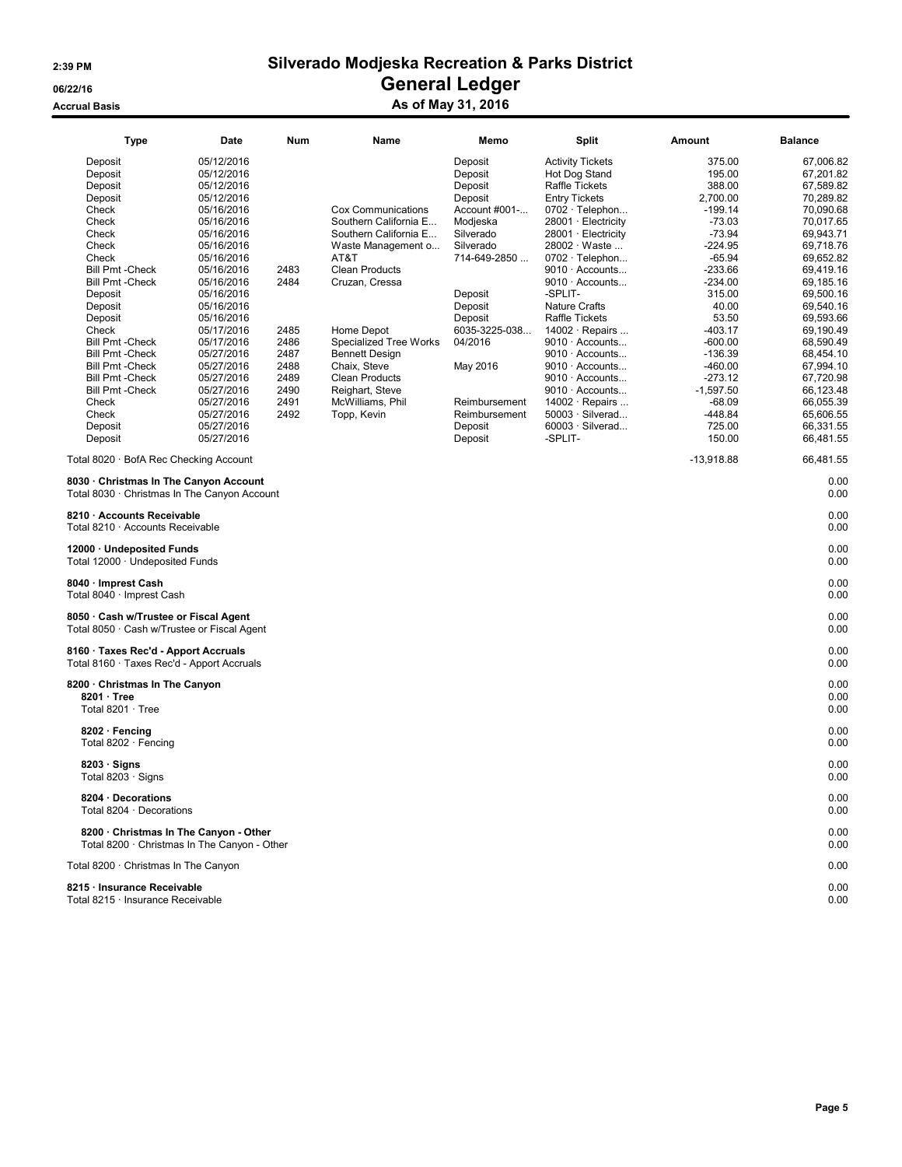### 2:39 PM Silverado Modjeska Recreation & Parks District 06/22/16 OS/22/16 General Ledger Accrual Basis **Accrual Basis** As of May 31, 2016

| <b>Type</b>                                                                                                                                                                                                                                                                                                                                        | Date                                                                                                                                                                                                                                                                                                                           | Num                                                                          | Name                                                                                                                                                                                                                                                                                                          | Memo                                                                                                                                                                                                                                  | <b>Split</b>                                                                                                                                                                                                                                                                                                                                                                                                                                                                                                                                   | Amount                                                                                                                                                                                                                                                                      | <b>Balance</b>                                                                                                                                                                                                                                                                                          |
|----------------------------------------------------------------------------------------------------------------------------------------------------------------------------------------------------------------------------------------------------------------------------------------------------------------------------------------------------|--------------------------------------------------------------------------------------------------------------------------------------------------------------------------------------------------------------------------------------------------------------------------------------------------------------------------------|------------------------------------------------------------------------------|---------------------------------------------------------------------------------------------------------------------------------------------------------------------------------------------------------------------------------------------------------------------------------------------------------------|---------------------------------------------------------------------------------------------------------------------------------------------------------------------------------------------------------------------------------------|------------------------------------------------------------------------------------------------------------------------------------------------------------------------------------------------------------------------------------------------------------------------------------------------------------------------------------------------------------------------------------------------------------------------------------------------------------------------------------------------------------------------------------------------|-----------------------------------------------------------------------------------------------------------------------------------------------------------------------------------------------------------------------------------------------------------------------------|---------------------------------------------------------------------------------------------------------------------------------------------------------------------------------------------------------------------------------------------------------------------------------------------------------|
| Deposit<br>Deposit<br>Deposit<br>Deposit<br>Check<br>Check<br>Check<br>Check<br>Check<br><b>Bill Pmt - Check</b><br><b>Bill Pmt - Check</b><br>Deposit<br>Deposit<br>Deposit<br>Check<br><b>Bill Pmt - Check</b><br>Bill Pmt - Check<br><b>Bill Pmt - Check</b><br><b>Bill Pmt - Check</b><br><b>Bill Pmt - Check</b><br>Check<br>Check<br>Deposit | 05/12/2016<br>05/12/2016<br>05/12/2016<br>05/12/2016<br>05/16/2016<br>05/16/2016<br>05/16/2016<br>05/16/2016<br>05/16/2016<br>05/16/2016<br>05/16/2016<br>05/16/2016<br>05/16/2016<br>05/16/2016<br>05/17/2016<br>05/17/2016<br>05/27/2016<br>05/27/2016<br>05/27/2016<br>05/27/2016<br>05/27/2016<br>05/27/2016<br>05/27/2016 | 2483<br>2484<br>2485<br>2486<br>2487<br>2488<br>2489<br>2490<br>2491<br>2492 | Cox Communications<br>Southern California E<br>Southern California E<br>Waste Management o<br>AT&T<br><b>Clean Products</b><br>Cruzan, Cressa<br>Home Depot<br>Specialized Tree Works<br><b>Bennett Design</b><br>Chaix, Steve<br><b>Clean Products</b><br>Reighart, Steve<br>McWilliams, Phil<br>Topp, Kevin | Deposit<br>Deposit<br>Deposit<br>Deposit<br>Account #001-<br>Modjeska<br>Silverado<br>Silverado<br>714-649-2850<br>Deposit<br>Deposit<br>Deposit<br>6035-3225-038<br>04/2016<br>May 2016<br>Reimbursement<br>Reimbursement<br>Deposit | <b>Activity Tickets</b><br>Hot Dog Stand<br>Raffle Tickets<br><b>Entry Tickets</b><br>0702 · Telephon<br>$28001 \cdot$ Electricity<br>28001 · Electricity<br>28002 · Waste<br>$0702 \cdot$ Telephon<br>$9010 \cdot$ Accounts<br>$9010 \cdot$ Accounts<br>-SPLIT-<br><b>Nature Crafts</b><br><b>Raffle Tickets</b><br>$14002 \cdot$ Repairs<br>$9010 \cdot$ Accounts<br>$9010 \cdot$ Accounts<br>$9010 \cdot$ Accounts<br>$9010 \cdot$ Accounts<br>$9010 \cdot$ Accounts<br>14002 · Repairs<br>$50003 \cdot$ Silverad<br>$60003 \cdot$ Silverad | 375.00<br>195.00<br>388.00<br>2,700.00<br>$-199.14$<br>$-73.03$<br>$-73.94$<br>$-224.95$<br>$-65.94$<br>$-233.66$<br>$-234.00$<br>315.00<br>40.00<br>53.50<br>$-403.17$<br>$-600.00$<br>-136.39<br>$-460.00$<br>$-273.12$<br>$-1,597.50$<br>$-68.09$<br>$-448.84$<br>725.00 | 67,006.82<br>67,201.82<br>67,589.82<br>70,289.82<br>70,090.68<br>70,017.65<br>69,943.71<br>69,718.76<br>69,652.82<br>69,419.16<br>69,185.16<br>69,500.16<br>69,540.16<br>69,593.66<br>69,190.49<br>68,590.49<br>68,454.10<br>67,994.10<br>67,720.98<br>66,123.48<br>66,055.39<br>65,606.55<br>66.331.55 |
| Deposit<br>Total 8020 · BofA Rec Checking Account                                                                                                                                                                                                                                                                                                  | 05/27/2016                                                                                                                                                                                                                                                                                                                     |                                                                              |                                                                                                                                                                                                                                                                                                               | Deposit                                                                                                                                                                                                                               | -SPLIT-                                                                                                                                                                                                                                                                                                                                                                                                                                                                                                                                        | 150.00<br>$-13,918.88$                                                                                                                                                                                                                                                      | 66,481.55<br>66,481.55                                                                                                                                                                                                                                                                                  |
| 8030 Christmas In The Canyon Account<br>Total 8030 · Christmas In The Canyon Account                                                                                                                                                                                                                                                               |                                                                                                                                                                                                                                                                                                                                |                                                                              |                                                                                                                                                                                                                                                                                                               |                                                                                                                                                                                                                                       |                                                                                                                                                                                                                                                                                                                                                                                                                                                                                                                                                |                                                                                                                                                                                                                                                                             | 0.00<br>0.00                                                                                                                                                                                                                                                                                            |
| 8210 · Accounts Receivable<br>Total 8210 · Accounts Receivable                                                                                                                                                                                                                                                                                     |                                                                                                                                                                                                                                                                                                                                |                                                                              |                                                                                                                                                                                                                                                                                                               |                                                                                                                                                                                                                                       |                                                                                                                                                                                                                                                                                                                                                                                                                                                                                                                                                |                                                                                                                                                                                                                                                                             | 0.00<br>0.00                                                                                                                                                                                                                                                                                            |
| 12000 · Undeposited Funds<br>Total 12000 · Undeposited Funds                                                                                                                                                                                                                                                                                       |                                                                                                                                                                                                                                                                                                                                |                                                                              |                                                                                                                                                                                                                                                                                                               |                                                                                                                                                                                                                                       |                                                                                                                                                                                                                                                                                                                                                                                                                                                                                                                                                |                                                                                                                                                                                                                                                                             | 0.00<br>0.00                                                                                                                                                                                                                                                                                            |
| 8040 · Imprest Cash<br>Total 8040 · Imprest Cash                                                                                                                                                                                                                                                                                                   |                                                                                                                                                                                                                                                                                                                                |                                                                              |                                                                                                                                                                                                                                                                                                               |                                                                                                                                                                                                                                       |                                                                                                                                                                                                                                                                                                                                                                                                                                                                                                                                                |                                                                                                                                                                                                                                                                             | 0.00<br>0.00                                                                                                                                                                                                                                                                                            |
| 8050 · Cash w/Trustee or Fiscal Agent<br>Total 8050 · Cash w/Trustee or Fiscal Agent                                                                                                                                                                                                                                                               |                                                                                                                                                                                                                                                                                                                                |                                                                              |                                                                                                                                                                                                                                                                                                               |                                                                                                                                                                                                                                       |                                                                                                                                                                                                                                                                                                                                                                                                                                                                                                                                                |                                                                                                                                                                                                                                                                             | 0.00<br>0.00                                                                                                                                                                                                                                                                                            |
| 8160 · Taxes Rec'd - Apport Accruals<br>Total 8160 · Taxes Rec'd - Apport Accruals                                                                                                                                                                                                                                                                 |                                                                                                                                                                                                                                                                                                                                |                                                                              |                                                                                                                                                                                                                                                                                                               |                                                                                                                                                                                                                                       |                                                                                                                                                                                                                                                                                                                                                                                                                                                                                                                                                |                                                                                                                                                                                                                                                                             | 0.00<br>0.00                                                                                                                                                                                                                                                                                            |
| 8200 · Christmas In The Canyon<br>8201 · Tree<br>Total $8201 \cdot$ Tree                                                                                                                                                                                                                                                                           |                                                                                                                                                                                                                                                                                                                                |                                                                              |                                                                                                                                                                                                                                                                                                               |                                                                                                                                                                                                                                       |                                                                                                                                                                                                                                                                                                                                                                                                                                                                                                                                                |                                                                                                                                                                                                                                                                             | 0.00<br>0.00<br>0.00                                                                                                                                                                                                                                                                                    |
| 8202 · Fencing<br>Total 8202 · Fencing                                                                                                                                                                                                                                                                                                             |                                                                                                                                                                                                                                                                                                                                |                                                                              |                                                                                                                                                                                                                                                                                                               |                                                                                                                                                                                                                                       |                                                                                                                                                                                                                                                                                                                                                                                                                                                                                                                                                |                                                                                                                                                                                                                                                                             | 0.00<br>0.00                                                                                                                                                                                                                                                                                            |
| $8203 \cdot$ Signs<br>Total 8203 $\cdot$ Signs                                                                                                                                                                                                                                                                                                     |                                                                                                                                                                                                                                                                                                                                |                                                                              |                                                                                                                                                                                                                                                                                                               |                                                                                                                                                                                                                                       |                                                                                                                                                                                                                                                                                                                                                                                                                                                                                                                                                |                                                                                                                                                                                                                                                                             | 0.00<br>0.00                                                                                                                                                                                                                                                                                            |
| 8204 · Decorations<br>Total 8204 · Decorations                                                                                                                                                                                                                                                                                                     |                                                                                                                                                                                                                                                                                                                                |                                                                              |                                                                                                                                                                                                                                                                                                               |                                                                                                                                                                                                                                       |                                                                                                                                                                                                                                                                                                                                                                                                                                                                                                                                                |                                                                                                                                                                                                                                                                             | 0.00<br>0.00                                                                                                                                                                                                                                                                                            |
| 8200 · Christmas In The Canyon - Other<br>Total 8200 · Christmas In The Canvon - Other                                                                                                                                                                                                                                                             |                                                                                                                                                                                                                                                                                                                                |                                                                              |                                                                                                                                                                                                                                                                                                               |                                                                                                                                                                                                                                       |                                                                                                                                                                                                                                                                                                                                                                                                                                                                                                                                                |                                                                                                                                                                                                                                                                             | 0.00<br>0.00                                                                                                                                                                                                                                                                                            |
| Total 8200 · Christmas In The Canyon                                                                                                                                                                                                                                                                                                               |                                                                                                                                                                                                                                                                                                                                |                                                                              |                                                                                                                                                                                                                                                                                                               |                                                                                                                                                                                                                                       |                                                                                                                                                                                                                                                                                                                                                                                                                                                                                                                                                |                                                                                                                                                                                                                                                                             | 0.00                                                                                                                                                                                                                                                                                                    |
| 8215 · Insurance Receivable<br>Total 8215 · Insurance Receivable                                                                                                                                                                                                                                                                                   |                                                                                                                                                                                                                                                                                                                                |                                                                              |                                                                                                                                                                                                                                                                                                               |                                                                                                                                                                                                                                       |                                                                                                                                                                                                                                                                                                                                                                                                                                                                                                                                                |                                                                                                                                                                                                                                                                             | 0.00<br>0.00                                                                                                                                                                                                                                                                                            |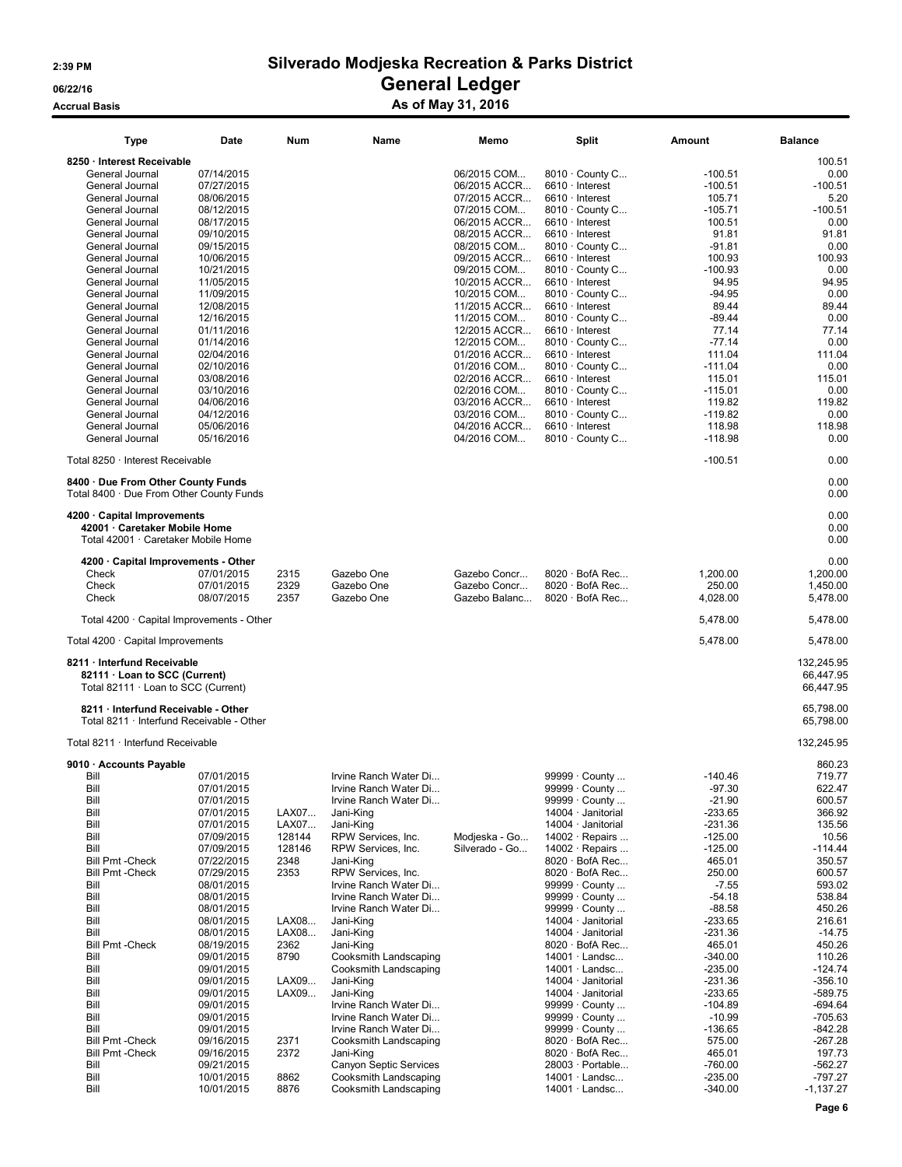# 2:39 PM Silverado Modjeska Recreation & Parks District **CONSISTENCE**<br> **Contrast Contrast Contrast Contrast Contrast Contrast Contrast Contrast Contrast Contrast Contrast Contrast Contrast Contrast Contrast Contrast Contrast Contrast Contrast Contrast Contrast Contrast Contrast**

### Accrual Basis Accrual Basis Accrual Basis Accrual Basis As of May 31, 2016

| Type                                                                                                | Date                     | Num          | Name                                           | Memo                        | <b>Split</b>                             | Amount               | <b>Balance</b>                       |
|-----------------------------------------------------------------------------------------------------|--------------------------|--------------|------------------------------------------------|-----------------------------|------------------------------------------|----------------------|--------------------------------------|
| 8250 · Interest Receivable                                                                          |                          |              |                                                |                             |                                          |                      | 100.51                               |
| General Journal                                                                                     | 07/14/2015               |              |                                                | 06/2015 COM                 | $8010 \cdot$ County C                    | $-100.51$            | 0.00                                 |
| General Journal                                                                                     | 07/27/2015               |              |                                                | 06/2015 ACCR                | $6610 \cdot$ Interest                    | $-100.51$            | $-100.51$                            |
| General Journal                                                                                     | 08/06/2015               |              |                                                | 07/2015 ACCR                | $6610 \cdot$ Interest                    | 105.71               | 5.20                                 |
| General Journal                                                                                     | 08/12/2015               |              |                                                | 07/2015 COM                 | $8010 \cdot$ County C                    | $-105.71$            | $-100.51$                            |
| General Journal                                                                                     | 08/17/2015               |              |                                                | 06/2015 ACCR                | $6610 \cdot$ Interest                    | 100.51               | 0.00                                 |
| General Journal                                                                                     | 09/10/2015               |              |                                                | 08/2015 ACCR                | $6610 \cdot$ Interest                    | 91.81                | 91.81                                |
| General Journal                                                                                     | 09/15/2015               |              |                                                | 08/2015 COM                 | $8010 \cdot$ County C                    | -91.81               | 0.00                                 |
| General Journal                                                                                     | 10/06/2015               |              |                                                | 09/2015 ACCR                | $6610 \cdot$ Interest                    | 100.93               | 100.93                               |
| General Journal                                                                                     | 10/21/2015               |              |                                                | 09/2015 COM                 | $8010 \cdot$ County C                    | $-100.93$            | 0.00                                 |
| General Journal                                                                                     | 11/05/2015               |              |                                                | 10/2015 ACCR                | $6610 \cdot$ Interest                    | 94.95                | 94.95                                |
| General Journal                                                                                     | 11/09/2015               |              |                                                | 10/2015 COM                 | $8010 \cdot$ County C                    | $-94.95$             | 0.00                                 |
| General Journal                                                                                     | 12/08/2015               |              |                                                | 11/2015 ACCR                | $6610 \cdot$ Interest                    | 89.44                | 89.44                                |
| General Journal                                                                                     | 12/16/2015               |              |                                                | 11/2015 COM                 | 8010 · County C                          | $-89.44$             | 0.00                                 |
| General Journal                                                                                     | 01/11/2016               |              |                                                | 12/2015 ACCR                | $6610 \cdot$ Interest                    | 77.14                | 77.14                                |
| General Journal                                                                                     | 01/14/2016               |              |                                                | 12/2015 COM                 | $8010 \cdot$ County C                    | $-77.14$             | 0.00                                 |
| General Journal                                                                                     | 02/04/2016               |              |                                                | 01/2016 ACCR                | 6610 · Interest                          | 111.04               | 111.04                               |
| General Journal<br>General Journal                                                                  | 02/10/2016<br>03/08/2016 |              |                                                | 01/2016 COM<br>02/2016 ACCR | 8010 · County C<br>$6610 \cdot$ Interest | $-111.04$<br>115.01  | 0.00<br>115.01                       |
| General Journal                                                                                     | 03/10/2016               |              |                                                | 02/2016 COM                 | $8010 \cdot$ County C                    | $-115.01$            | 0.00                                 |
| General Journal                                                                                     | 04/06/2016               |              |                                                | 03/2016 ACCR                | $6610 \cdot$ Interest                    | 119.82               | 119.82                               |
| General Journal                                                                                     | 04/12/2016               |              |                                                | 03/2016 COM                 | $8010 \cdot$ County C                    | $-119.82$            | 0.00                                 |
| General Journal                                                                                     | 05/06/2016               |              |                                                | 04/2016 ACCR                | $6610 \cdot$ Interest                    | 118.98               | 118.98                               |
| General Journal                                                                                     | 05/16/2016               |              |                                                | 04/2016 COM                 | 8010 · County C                          | $-118.98$            | 0.00                                 |
|                                                                                                     |                          |              |                                                |                             |                                          |                      |                                      |
| Total 8250 · Interest Receivable                                                                    |                          |              |                                                |                             |                                          | $-100.51$            | 0.00                                 |
| 8400 · Due From Other County Funds<br>Total 8400 · Due From Other County Funds                      |                          |              |                                                |                             |                                          |                      | 0.00<br>0.00                         |
| 4200 · Capital Improvements<br>42001 · Caretaker Mobile Home<br>Total 42001 · Caretaker Mobile Home |                          |              |                                                |                             |                                          |                      | 0.00<br>0.00<br>0.00                 |
|                                                                                                     |                          |              |                                                |                             |                                          |                      |                                      |
| 4200 · Capital Improvements - Other<br>Check                                                        | 07/01/2015               |              | Gazebo One                                     | Gazebo Concr                | $8020 \cdot$ BofA Rec                    |                      | 0.00<br>1,200.00                     |
| Check                                                                                               | 07/01/2015               | 2315<br>2329 | Gazebo One                                     | Gazebo Concr                | $8020 \cdot$ BofA Rec                    | 1,200.00<br>250.00   | 1,450.00                             |
| Check                                                                                               | 08/07/2015               | 2357         | Gazebo One                                     | Gazebo Balanc               | $8020 \cdot$ BofA Rec                    | 4,028.00             | 5,478.00                             |
|                                                                                                     |                          |              |                                                |                             |                                          |                      |                                      |
| Total $4200 \cdot$ Capital Improvements - Other                                                     |                          |              |                                                |                             |                                          | 5,478.00             | 5,478.00                             |
| Total $4200 \cdot$ Capital Improvements                                                             |                          |              |                                                |                             |                                          | 5,478.00             | 5,478.00                             |
| 8211 · Interfund Receivable<br>82111 · Loan to SCC (Current)<br>Total 82111 · Loan to SCC (Current) |                          |              |                                                |                             |                                          |                      | 132,245.95<br>66,447.95<br>66,447.95 |
| 8211 · Interfund Receivable - Other<br>Total 8211 · Interfund Receivable - Other                    |                          |              |                                                |                             |                                          |                      | 65.798.00<br>65,798.00               |
| Total 8211 · Interfund Receivable                                                                   |                          |              |                                                |                             |                                          |                      | 132,245.95                           |
| 9010 · Accounts Payable                                                                             |                          |              |                                                |                             |                                          |                      | 860.23                               |
| Bill                                                                                                | 07/01/2015               |              | Irvine Ranch Water Di                          |                             | 99999 · County                           | $-140.46$            | 719.77                               |
| Bill                                                                                                | 07/01/2015               |              | Irvine Ranch Water Di.                         |                             | 99999 · County                           | $-97.30$             | 622.47                               |
| Bill                                                                                                | 07/01/2015               |              | Irvine Ranch Water Di                          |                             | 99999 · County                           | $-21.90$             | 600.57                               |
| Bill                                                                                                | 07/01/2015               | LAX07        | Jani-King                                      |                             | 14004 · Janitorial                       | $-233.65$            | 366.92                               |
| Bill                                                                                                | 07/01/2015               | LAX07        | Jani-King                                      |                             | 14004 · Janitorial                       | -231.36              | 135.56                               |
| Bill                                                                                                | 07/09/2015               | 128144       | RPW Services, Inc.                             | Modjeska - Go               | 14002 · Repairs                          | $-125.00$            | 10.56                                |
| Bill                                                                                                | 07/09/2015               | 128146       | RPW Services, Inc.                             | Silverado - Go              | 14002 $\cdot$ Repairs                    | $-125.00$            | $-114.44$                            |
| <b>Bill Pmt - Check</b>                                                                             | 07/22/2015               | 2348         | Jani-King                                      |                             | 8020 · BofA Rec                          | 465.01               | 350.57                               |
| <b>Bill Pmt - Check</b>                                                                             | 07/29/2015               | 2353         | RPW Services, Inc.<br>Irvine Ranch Water Di    |                             | $8020 \cdot$ BofA Rec                    | 250.00               | 600.57                               |
| Bill                                                                                                | 08/01/2015               |              |                                                |                             | 99999 · County                           | $-7.55$              | 593.02                               |
| Bill<br>Bill                                                                                        | 08/01/2015<br>08/01/2015 |              | Irvine Ranch Water Di<br>Irvine Ranch Water Di |                             | 99999 · County<br>99999 · County         | $-54.18$<br>$-88.58$ | 538.84<br>450.26                     |
| Bill                                                                                                | 08/01/2015               | LAX08        | Jani-King                                      |                             | 14004 · Janitorial                       | $-233.65$            | 216.61                               |
| Bill                                                                                                | 08/01/2015               | LAX08        | Jani-King                                      |                             | 14004 · Janitorial                       | $-231.36$            | $-14.75$                             |
| <b>Bill Pmt - Check</b>                                                                             | 08/19/2015               | 2362         | Jani-King                                      |                             | $8020 \cdot$ BofA Rec                    | 465.01               | 450.26                               |
| Bill                                                                                                | 09/01/2015               | 8790         | Cooksmith Landscaping                          |                             | $14001 \cdot$ Landsc                     | $-340.00$            | 110.26                               |
| Bill                                                                                                | 09/01/2015               |              | Cooksmith Landscaping                          |                             | 14001 · Landsc                           | $-235.00$            | $-124.74$                            |
| Bill                                                                                                | 09/01/2015               | LAX09        | Jani-King                                      |                             | 14004 · Janitorial                       | $-231.36$            | $-356.10$                            |
| Bill                                                                                                | 09/01/2015               | LAX09        | Jani-King                                      |                             | 14004 · Janitorial                       | $-233.65$            | $-589.75$                            |
| Bill                                                                                                | 09/01/2015               |              | Irvine Ranch Water Di                          |                             | 99999 · County                           | $-104.89$            | $-694.64$                            |
| Bill                                                                                                | 09/01/2015               |              | Irvine Ranch Water Di                          |                             | 99999 · County                           | $-10.99$             | $-705.63$                            |
| Bill                                                                                                | 09/01/2015               |              | Irvine Ranch Water Di                          |                             | 99999 · County                           | $-136.65$            | $-842.28$                            |
| <b>Bill Pmt - Check</b>                                                                             | 09/16/2015               | 2371         | Cooksmith Landscaping                          |                             | $8020 \cdot$ BofA Rec                    | 575.00               | $-267.28$                            |
| <b>Bill Pmt - Check</b>                                                                             | 09/16/2015               | 2372         | Jani-King                                      |                             | $8020 \cdot$ BofA Rec                    | 465.01               | 197.73                               |
| Bill                                                                                                | 09/21/2015               |              | Canyon Septic Services                         |                             | 28003 · Portable                         | $-760.00$            | $-562.27$                            |
| Bill                                                                                                | 10/01/2015               | 8862         | Cooksmith Landscaping                          |                             | $14001 \cdot$ Landsc                     | $-235.00$            | -797.27                              |
| Bill                                                                                                | 10/01/2015               | 8876         | Cooksmith Landscaping                          |                             | $14001 \cdot$ Landsc                     | $-340.00$            | $-1,137.27$                          |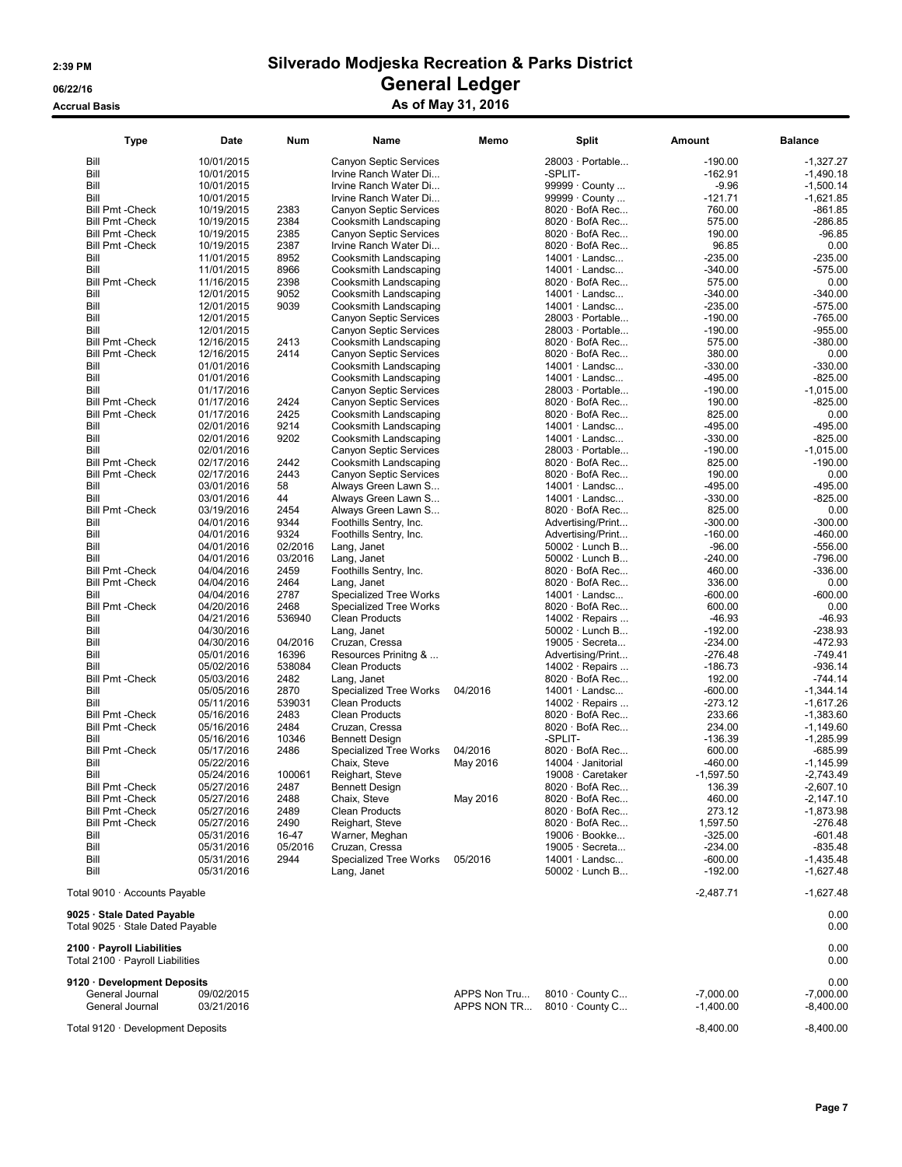### Accrual Basis **Accrual Basis** As of May 31, 2016

| <b>Type</b>                                                    | Date       | Num     | Name                                   | Memo     | Split                  | Amount      | <b>Balance</b> |
|----------------------------------------------------------------|------------|---------|----------------------------------------|----------|------------------------|-------------|----------------|
| Bill                                                           | 10/01/2015 |         | Canyon Septic Services                 |          | 28003 · Portable       | $-190.00$   | $-1,327.27$    |
| Bill                                                           | 10/01/2015 |         | Irvine Ranch Water Di                  |          | -SPLIT-                | $-162.91$   | $-1,490.18$    |
| Bill                                                           | 10/01/2015 |         | Irvine Ranch Water Di                  |          | 99999 · County         | $-9.96$     | $-1,500.14$    |
| Bill                                                           | 10/01/2015 |         | Irvine Ranch Water Di                  |          | 99999 · County         | $-121.71$   | $-1,621.85$    |
| <b>Bill Pmt - Check</b>                                        | 10/19/2015 | 2383    | <b>Canyon Septic Services</b>          |          | 8020 · BofA Rec        | 760.00      | -861.85        |
| <b>Bill Pmt - Check</b>                                        | 10/19/2015 | 2384    | Cooksmith Landscaping                  |          | $8020 \cdot$ BofA Rec  | 575.00      | $-286.85$      |
| <b>Bill Pmt - Check</b>                                        | 10/19/2015 | 2385    | Canyon Septic Services                 |          | $8020 \cdot$ BofA Rec  | 190.00      | $-96.85$       |
| <b>Bill Pmt - Check</b>                                        | 10/19/2015 | 2387    | Irvine Ranch Water Di                  |          | $8020 \cdot$ BofA Rec  | 96.85       | 0.00           |
| Bill                                                           | 11/01/2015 | 8952    | Cooksmith Landscaping                  |          | $14001 \cdot$ Landsc   | $-235.00$   | $-235.00$      |
| Bill                                                           | 11/01/2015 | 8966    | Cooksmith Landscaping                  |          | $14001 \cdot$ Landsc   | $-340.00$   | $-575.00$      |
| <b>Bill Pmt - Check</b>                                        | 11/16/2015 | 2398    | Cooksmith Landscaping                  |          | $8020 \cdot$ BofA Rec  | 575.00      | 0.00           |
| Bill                                                           | 12/01/2015 | 9052    | Cooksmith Landscaping                  |          | $14001 \cdot$ Landsc   | $-340.00$   | $-340.00$      |
| Bill                                                           | 12/01/2015 | 9039    | Cooksmith Landscaping                  |          | $14001 \cdot$ Landsc   | $-235.00$   | $-575.00$      |
| Bill                                                           | 12/01/2015 |         | <b>Canyon Septic Services</b>          |          | $28003 \cdot$ Portable | $-190.00$   | $-765.00$      |
| Bill                                                           | 12/01/2015 |         | Canyon Septic Services                 |          | 28003 · Portable       | $-190.00$   | $-955.00$      |
| <b>Bill Pmt - Check</b>                                        | 12/16/2015 | 2413    | Cooksmith Landscaping                  |          | $8020 \cdot$ BofA Rec  | 575.00      | $-380.00$      |
| <b>Bill Pmt - Check</b>                                        |            | 2414    |                                        |          | $8020 \cdot$ BofA Rec  | 380.00      | 0.00           |
| Bill                                                           | 12/16/2015 |         | <b>Canyon Septic Services</b>          |          | $14001 \cdot$ Landsc   |             |                |
|                                                                | 01/01/2016 |         | Cooksmith Landscaping                  |          |                        | $-330.00$   | $-330.00$      |
| Bill                                                           | 01/01/2016 |         | Cooksmith Landscaping                  |          | $14001 \cdot$ Landsc   | $-495.00$   | $-825.00$      |
| Bill                                                           | 01/17/2016 |         | Canyon Septic Services                 |          | 28003 · Portable       | $-190.00$   | $-1,015.00$    |
| <b>Bill Pmt - Check</b>                                        | 01/17/2016 | 2424    | Canyon Septic Services                 |          | $8020 \cdot$ BofA Rec  | 190.00      | $-825.00$      |
| <b>Bill Pmt - Check</b>                                        | 01/17/2016 | 2425    | Cooksmith Landscaping                  |          | $8020 \cdot$ BofA Rec  | 825.00      | 0.00           |
| Bill                                                           | 02/01/2016 | 9214    | Cooksmith Landscaping                  |          | $14001 \cdot$ Landsc   | $-495.00$   | $-495.00$      |
| Bill                                                           | 02/01/2016 | 9202    | Cooksmith Landscaping                  |          | $14001 \cdot$ Landsc   | $-330.00$   | $-825.00$      |
| Bill                                                           | 02/01/2016 |         | Canyon Septic Services                 |          | 28003 · Portable       | $-190.00$   | $-1,015.00$    |
| <b>Bill Pmt - Check</b>                                        | 02/17/2016 | 2442    | Cooksmith Landscaping                  |          | $8020 \cdot$ BofA Rec  | 825.00      | -190.00        |
| <b>Bill Pmt - Check</b>                                        | 02/17/2016 | 2443    | Canyon Septic Services                 |          | $8020 \cdot$ BofA Rec  | 190.00      | 0.00           |
| Bill                                                           | 03/01/2016 | 58      | Always Green Lawn S                    |          | $14001 \cdot$ Landsc   | $-495.00$   | $-495.00$      |
| Bill                                                           | 03/01/2016 | 44      | Always Green Lawn S                    |          | $14001 \cdot$ Landsc   | $-330.00$   | $-825.00$      |
| <b>Bill Pmt - Check</b>                                        | 03/19/2016 | 2454    | Always Green Lawn S                    |          | 8020 · BofA Rec        | 825.00      | 0.00           |
| Bill                                                           | 04/01/2016 | 9344    | Foothills Sentry, Inc.                 |          | Advertising/Print      | $-300.00$   | $-300.00$      |
| Bill                                                           | 04/01/2016 | 9324    | Foothills Sentry, Inc.                 |          | Advertising/Print      | $-160.00$   | $-460.00$      |
| Bill                                                           | 04/01/2016 | 02/2016 | Lang, Janet                            |          | $50002 \cdot$ Lunch B  | $-96.00$    | $-556.00$      |
| Bill                                                           | 04/01/2016 | 03/2016 | Lang, Janet                            |          | 50002 · Lunch B        | $-240.00$   | $-796.00$      |
| <b>Bill Pmt - Check</b>                                        | 04/04/2016 | 2459    | Foothills Sentry, Inc.                 |          | $8020 \cdot$ BofA Rec  | 460.00      | $-336.00$      |
| <b>Bill Pmt - Check</b>                                        | 04/04/2016 | 2464    | Lang, Janet                            |          | $8020 \cdot$ BofA Rec  | 336.00      | 0.00           |
| Bill                                                           | 04/04/2016 | 2787    | <b>Specialized Tree Works</b>          |          | 14001 · Landsc         | $-600.00$   | $-600.00$      |
| <b>Bill Pmt - Check</b>                                        | 04/20/2016 | 2468    | Specialized Tree Works                 |          | $8020 \cdot$ BofA Rec  | 600.00      | 0.00           |
| Bill                                                           | 04/21/2016 | 536940  | <b>Clean Products</b>                  |          | $14002 \cdot$ Repairs  | $-46.93$    | $-46.93$       |
| Bill                                                           | 04/30/2016 |         | Lang, Janet                            |          | $50002 \cdot$ Lunch B  | $-192.00$   | $-238.93$      |
| Bill                                                           | 04/30/2016 | 04/2016 | Cruzan, Cressa                         |          | $19005 \cdot$ Secreta  | $-234.00$   | $-472.93$      |
| Bill                                                           |            | 16396   |                                        |          | Advertising/Print      | $-276.48$   | $-749.41$      |
| Bill                                                           | 05/01/2016 | 538084  | Resources Prinitng &<br>Clean Products |          | $14002 \cdot$ Repairs  | $-186.73$   | $-936.14$      |
| <b>Bill Pmt - Check</b>                                        | 05/02/2016 | 2482    |                                        |          |                        | 192.00      |                |
|                                                                | 05/03/2016 |         | Lang, Janet                            |          | $8020 \cdot$ BofA Rec  |             | $-744.14$      |
| Bill                                                           | 05/05/2016 | 2870    | Specialized Tree Works                 | 04/2016  | $14001 \cdot$ Landsc   | $-600.00$   | $-1,344.14$    |
| Bill                                                           | 05/11/2016 | 539031  | <b>Clean Products</b>                  |          | $14002 \cdot$ Repairs  | $-273.12$   | $-1,617.26$    |
| <b>Bill Pmt - Check</b>                                        | 05/16/2016 | 2483    | <b>Clean Products</b>                  |          | $8020 \cdot$ BofA Rec  | 233.66      | $-1,383.60$    |
| <b>Bill Pmt - Check</b>                                        | 05/16/2016 | 2484    | Cruzan, Cressa                         |          | $8020 \cdot$ BofA Rec  | 234.00      | $-1,149.60$    |
| Bill                                                           | 05/16/2016 | 10346   | <b>Bennett Design</b>                  |          | -SPLIT-                | $-136.39$   | $-1,285.99$    |
| <b>Bill Pmt - Check</b>                                        | 05/17/2016 | 2486    | Specialized Tree Works                 | 04/2016  | 8020 · BofA Rec        | 600.00      | -685.99        |
| Bill                                                           | 05/22/2016 |         | Chaix, Steve                           | May 2016 | 14004 Janitorial       | $-460.00$   | $-1,145.99$    |
| Bill                                                           | 05/24/2016 | 100061  | Reighart, Steve                        |          | 19008 · Caretaker      | $-1,597.50$ | $-2,743.49$    |
| <b>Bill Pmt -Check</b>                                         | 05/27/2016 | 2487    | <b>Bennett Design</b>                  |          | 8020 · BofA Rec.       | 136.39      | $-2,607.10$    |
| <b>Bill Pmt - Check</b>                                        | 05/27/2016 | 2488    | Chaix, Steve                           | May 2016 | $8020 \cdot$ BofA Rec  | 460.00      | $-2,147.10$    |
| <b>Bill Pmt - Check</b>                                        | 05/27/2016 | 2489    | <b>Clean Products</b>                  |          | 8020 · BofA Rec        | 273.12      | $-1,873.98$    |
| <b>Bill Pmt - Check</b>                                        | 05/27/2016 | 2490    | Reighart, Steve                        |          | $8020 \cdot$ BofA Rec  | 1,597.50    | -276.48        |
| Bill                                                           | 05/31/2016 | 16-47   | Warner, Meghan                         |          | 19006 · Bookke         | $-325.00$   | $-601.48$      |
| Bill                                                           | 05/31/2016 | 05/2016 | Cruzan, Cressa                         |          | 19005 · Secreta        | $-234.00$   | $-835.48$      |
| Bill                                                           | 05/31/2016 | 2944    | Specialized Tree Works                 | 05/2016  | $14001 \cdot$ Landsc   | $-600.00$   | $-1,435.48$    |
| Bill                                                           | 05/31/2016 |         | Lang, Janet                            |          | $50002 \cdot$ Lunch B  | $-192.00$   | $-1,627.48$    |
| Total 9010 · Accounts Payable                                  |            |         |                                        |          |                        | $-2,487.71$ | $-1,627.48$    |
| 9025 · Stale Dated Payable                                     |            |         |                                        |          |                        |             | 0.00<br>0.00   |
| Total 9025 · Stale Dated Payable<br>2100 · Payroll Liabilities |            |         |                                        |          |                        |             | 0.00           |
| Total 2100 · Payroll Liabilities                               |            |         |                                        |          |                        |             | 0.00           |

| 9120 · Development Deposits |            |                                    |             | 0.00        |
|-----------------------------|------------|------------------------------------|-------------|-------------|
| General Journal             | 09/02/2015 | APPS Non Tru $8010 \cdot$ County C | $-7,000.00$ | $-7.000.00$ |
| General Journal             | 03/21/2016 | APPS NON TR $8010 \cdot$ County C  | 1.400.00    | $-8.400.00$ |

Total 9120 · Development Deposits -8,400.00 -8,400.00 -8,400.00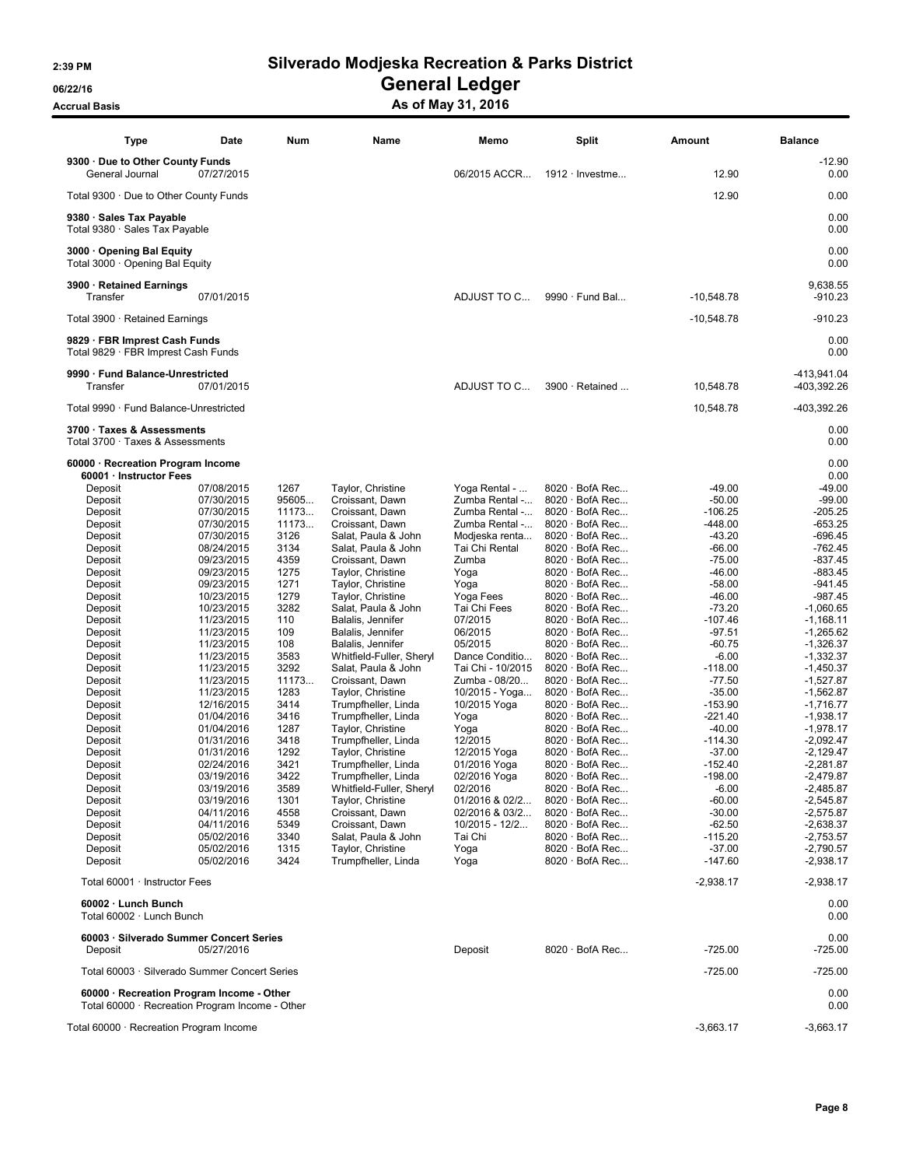06/22/16 OS/22/16 General Ledger

Accrual Basis Accrua Basis As of May 31, 2016

| Type                                                                                         | Date                     | Num          | Name                                     | Memo                                | <b>Split</b>                                   | Amount                | <b>Balance</b>             |
|----------------------------------------------------------------------------------------------|--------------------------|--------------|------------------------------------------|-------------------------------------|------------------------------------------------|-----------------------|----------------------------|
| 9300 · Due to Other County Funds<br>General Journal                                          | 07/27/2015               |              |                                          | 06/2015 ACCR                        | $1912 \cdot$ Investme                          | 12.90                 | $-12.90$<br>0.00           |
| Total 9300 · Due to Other County Funds                                                       |                          |              |                                          |                                     |                                                | 12.90                 | 0.00                       |
| 9380 · Sales Tax Payable<br>Total 9380 · Sales Tax Payable                                   |                          |              |                                          |                                     |                                                |                       | 0.00<br>0.00               |
| 3000 Opening Bal Equity<br>Total 3000 · Opening Bal Equity                                   |                          |              |                                          |                                     |                                                |                       | 0.00<br>0.00               |
| 3900 · Retained Earnings<br>Transfer                                                         | 07/01/2015               |              |                                          | ADJUST TO C                         | 9990 · Fund Bal                                | $-10,548.78$          | 9,638.55<br>$-910.23$      |
| Total 3900 · Retained Earnings                                                               |                          |              |                                          |                                     |                                                | $-10,548.78$          | $-910.23$                  |
| 9829 · FBR Imprest Cash Funds<br>Total 9829 · FBR Imprest Cash Funds                         |                          |              |                                          |                                     |                                                |                       | 0.00<br>0.00               |
| 9990 · Fund Balance-Unrestricted<br>Transfer                                                 | 07/01/2015               |              |                                          | ADJUST TO C                         | 3900 · Retained                                | 10,548.78             | -413,941.04<br>-403,392.26 |
| Total 9990 · Fund Balance-Unrestricted                                                       |                          |              |                                          |                                     |                                                | 10,548.78             | -403,392.26                |
| 3700 · Taxes & Assessments<br>Total 3700 · Taxes & Assessments                               |                          |              |                                          |                                     |                                                |                       | 0.00<br>0.00               |
| 60000 · Recreation Program Income<br>60001 · Instructor Fees                                 |                          |              |                                          |                                     |                                                |                       | 0.00<br>0.00               |
| Deposit                                                                                      | 07/08/2015               | 1267         | Taylor, Christine                        | Yoga Rental -                       | $8020 \cdot$ BofA Rec                          | $-49.00$              | $-49.00$                   |
| Deposit                                                                                      | 07/30/2015               | 95605        | Croissant, Dawn                          | Zumba Rental -                      | $8020 \cdot$ BofA Rec                          | $-50.00$              | $-99.00$                   |
| Deposit                                                                                      | 07/30/2015               | 11173        | Croissant, Dawn                          | Zumba Rental -                      | $8020 \cdot$ BofA Rec                          | $-106.25$             | $-205.25$                  |
| Deposit                                                                                      | 07/30/2015               | 11173        | Croissant, Dawn                          | Zumba Rental -                      | $8020 \cdot$ BofA Rec                          | $-448.00$             | $-653.25$                  |
| Deposit                                                                                      | 07/30/2015               | 3126         | Salat. Paula & John                      | Modjeska renta                      | $8020 \cdot$ BofA Rec                          | $-43.20$              | $-696.45$                  |
| Deposit                                                                                      | 08/24/2015               | 3134         | Salat, Paula & John                      | Tai Chi Rental                      | $8020 \cdot$ BofA Rec                          | $-66.00$              | $-762.45$                  |
| Deposit                                                                                      | 09/23/2015               | 4359         | Croissant, Dawn                          | Zumba                               | $8020 \cdot$ BofA Rec                          | $-75.00$              | $-837.45$                  |
| Deposit                                                                                      | 09/23/2015               | 1275         | Taylor, Christine                        | Yoga                                | $8020 \cdot$ BofA Rec                          | $-46.00$              | $-883.45$                  |
| Deposit                                                                                      | 09/23/2015               | 1271         | Taylor, Christine                        | Yoga                                | $8020 \cdot$ BofA Rec                          | $-58.00$              | $-941.45$                  |
| Deposit                                                                                      | 10/23/2015               | 1279         | Taylor, Christine                        | Yoga Fees                           | $8020 \cdot$ BofA Rec                          | $-46.00$              | -987.45                    |
| Deposit                                                                                      | 10/23/2015               | 3282         | Salat, Paula & John                      | Tai Chi Fees                        | $8020 \cdot$ BofA Rec                          | $-73.20$              | $-1,060.65$                |
| Deposit                                                                                      | 11/23/2015               | 110          | Balalis, Jennifer                        | 07/2015                             | $8020 \cdot$ BofA Rec                          | $-107.46$             | $-1,168.11$                |
| Deposit                                                                                      | 11/23/2015               | 109          | Balalis, Jennifer                        | 06/2015                             | $8020 \cdot$ BofA Rec                          | $-97.51$              | $-1,265.62$                |
| Deposit                                                                                      | 11/23/2015               | 108          | Balalis, Jennifer                        | 05/2015                             | $8020 \cdot$ BofA Rec                          | $-60.75$              | $-1,326.37$                |
| Deposit                                                                                      | 11/23/2015               | 3583<br>3292 | Whitfield-Fuller, Sheryl                 | Dance Conditio<br>Tai Chi - 10/2015 | $8020 \cdot$ BofA Rec<br>$8020 \cdot$ BofA Rec | $-6.00$<br>$-118.00$  | $-1,332.37$                |
| Deposit<br>Deposit                                                                           | 11/23/2015               | 11173        | Salat, Paula & John                      |                                     | $8020 \cdot$ BofA Rec                          | $-77.50$              | $-1,450.37$                |
| Deposit                                                                                      | 11/23/2015<br>11/23/2015 | 1283         | Croissant, Dawn<br>Taylor, Christine     | Zumba - 08/20<br>10/2015 - Yoga     | 8020 · BofA Rec                                | $-35.00$              | $-1,527.87$<br>$-1,562.87$ |
| Deposit                                                                                      | 12/16/2015               | 3414         | Trumpfheller, Linda                      | 10/2015 Yoga                        | $8020 \cdot$ BofA Rec                          | $-153.90$             | $-1,716.77$                |
| Deposit                                                                                      | 01/04/2016               | 3416         | Trumpfheller, Linda                      | Yoga                                | 8020 · BofA Rec                                | $-221.40$             | $-1,938.17$                |
| Deposit                                                                                      | 01/04/2016               | 1287         | Taylor, Christine                        | Yoga                                | $8020 \cdot$ BofA Rec                          | $-40.00$              | $-1,978.17$                |
| Deposit                                                                                      | 01/31/2016               | 3418         | Trumpfheller, Linda                      | 12/2015                             | $8020 \cdot$ BofA Rec                          | $-114.30$             | $-2,092.47$                |
| Deposit                                                                                      | 01/31/2016               | 1292         | Taylor, Christine                        | 12/2015 Yoga                        | 8020 · BofA Rec                                | $-37.00$              | $-2,129.47$                |
| Deposit                                                                                      | 02/24/2016               | 3421         | Trumpfheller, Linda                      | 01/2016 Yoga                        | $8020 \cdot$ BofA Rec                          | $-152.40$             | $-2,281.87$                |
| Deposit                                                                                      | 03/19/2016               | 3422         | Trumpfheller, Linda                      | 02/2016 Yoga                        | $8020 \cdot$ BofA Rec                          | $-198.00$             | $-2,479.87$                |
| Deposit                                                                                      | 03/19/2016               | 3589         | Whitfield-Fuller, Sheryl                 | 02/2016                             | 8020 · BofA Rec                                | $-6.00$               | $-2,485.87$                |
| Deposit                                                                                      | 03/19/2016               | 1301         | Taylor, Christine                        | 01/2016 & 02/2                      | $8020 \cdot$ BofA Rec                          | $-60.00$              | $-2,545.87$                |
| Deposit                                                                                      | 04/11/2016               | 4558         | Croissant, Dawn                          | 02/2016 & 03/2                      | $8020 \cdot$ BofA Rec                          | $-30.00$              | $-2,575.87$                |
| Deposit                                                                                      | 04/11/2016               | 5349         | Croissant, Dawn                          | 10/2015 - 12/2                      | $8020 \cdot$ BofA Rec                          | $-62.50$              | $-2,638.37$                |
| Deposit                                                                                      | 05/02/2016               | 3340         | Salat, Paula & John                      | Tai Chi                             | $8020 \cdot$ BofA Rec                          | $-115.20$             | $-2,753.57$                |
| Deposit<br>Deposit                                                                           | 05/02/2016<br>05/02/2016 | 1315<br>3424 | Taylor, Christine<br>Trumpfheller, Linda | Yoga<br>Yoga                        | $8020 \cdot$ BofA Rec<br>8020 · BofA Rec       | $-37.00$<br>$-147.60$ | $-2,790.57$<br>$-2,938.17$ |
| Total 60001 · Instructor Fees                                                                |                          |              |                                          |                                     |                                                | $-2,938.17$           | $-2,938.17$                |
| 60002 · Lunch Bunch<br>Total 60002 · Lunch Bunch                                             |                          |              |                                          |                                     |                                                |                       | 0.00<br>0.00               |
| 60003 · Silverado Summer Concert Series<br>Deposit                                           | 05/27/2016               |              |                                          | Deposit                             | $8020 \cdot$ BofA Rec                          | $-725.00$             | 0.00<br>$-725.00$          |
| Total 60003 · Silverado Summer Concert Series                                                |                          |              |                                          |                                     |                                                | $-725.00$             | $-725.00$                  |
| 60000 · Recreation Program Income - Other<br>Total 60000 · Recreation Program Income - Other |                          |              |                                          |                                     |                                                |                       | 0.00<br>0.00               |
| Total 60000 · Recreation Program Income                                                      |                          |              |                                          |                                     |                                                | $-3,663.17$           | $-3,663.17$                |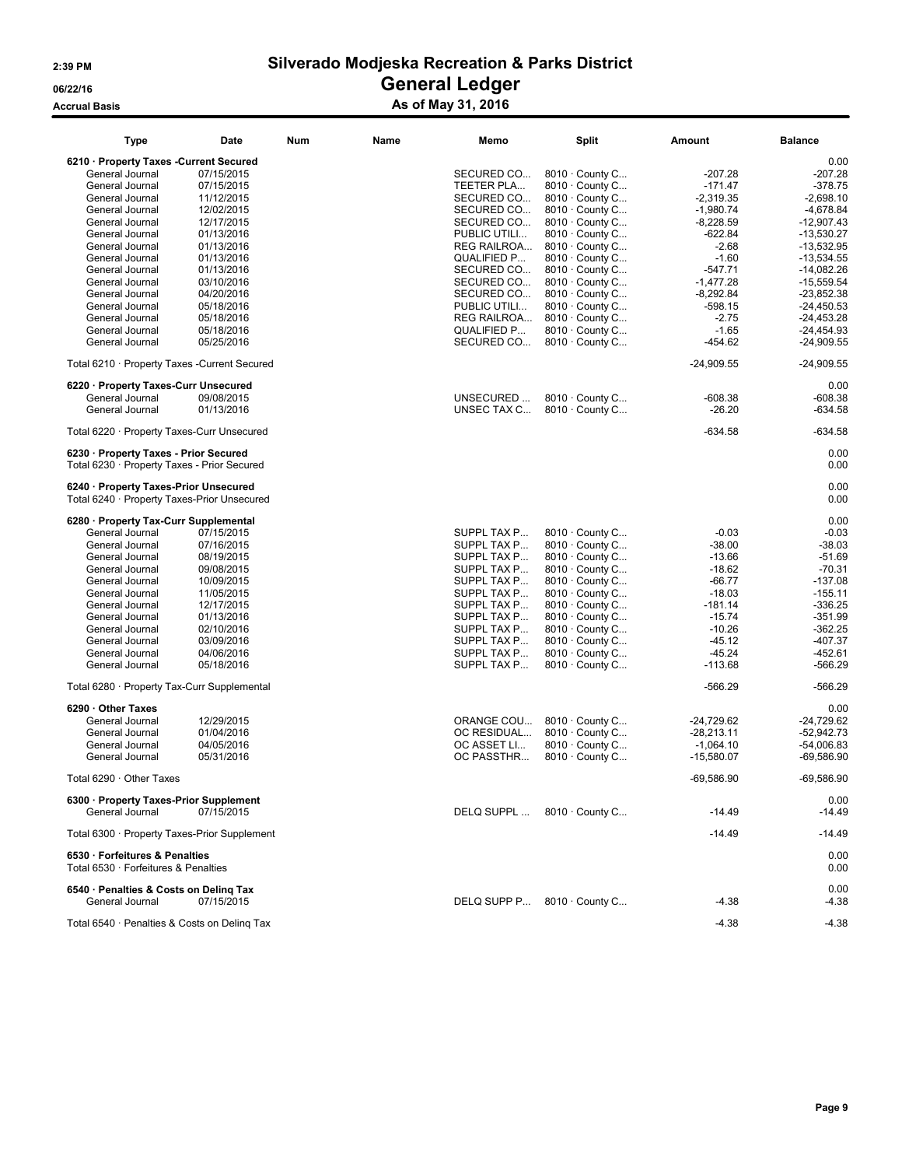### Accrual Basis Accrual Basis Accrual Basis Accrual Basis As of May 31, 2016

| Type                                         | Date                     | <b>Num</b> | Name | Memo                      | <b>Split</b>                       | Amount                      | <b>Balance</b>               |
|----------------------------------------------|--------------------------|------------|------|---------------------------|------------------------------------|-----------------------------|------------------------------|
| 6210 · Property Taxes -Current Secured       |                          |            |      |                           |                                    |                             | 0.00                         |
| General Journal                              | 07/15/2015               |            |      | SECURED CO                | 8010 · County C                    | $-207.28$                   | $-207.28$                    |
| General Journal                              | 07/15/2015               |            |      | TEETER PLA                | 8010 · County C                    | $-171.47$                   | $-378.75$                    |
|                                              |                          |            |      |                           |                                    |                             |                              |
| General Journal                              | 11/12/2015               |            |      | SECURED CO                | $8010 \cdot$ County C              | $-2,319.35$                 | $-2,698.10$                  |
| General Journal                              | 12/02/2015               |            |      | SECURED CO                | 8010 · County C                    | $-1,980.74$                 | $-4.678.84$                  |
| General Journal                              | 12/17/2015               |            |      | SECURED CO                | 8010 · County C                    | $-8,228.59$                 | $-12,907.43$                 |
| General Journal                              | 01/13/2016               |            |      | PUBLIC UTILI              | $8010 \cdot$ County C              | $-622.84$                   | $-13,530.27$                 |
| General Journal                              | 01/13/2016               |            |      | <b>REG RAILROA</b>        | $8010 \cdot$ County C              | $-2.68$                     | $-13,532.95$                 |
|                                              |                          |            |      |                           |                                    |                             |                              |
| General Journal                              | 01/13/2016               |            |      | QUALIFIED P               | 8010 · County C                    | $-1.60$                     | $-13,534.55$                 |
| General Journal                              | 01/13/2016               |            |      | SECURED CO                | $8010 \cdot$ County C              | $-547.71$                   | $-14,082.26$                 |
| General Journal                              | 03/10/2016               |            |      | SECURED CO                | $8010 \cdot$ County C              | $-1,477.28$                 | $-15,559.54$                 |
| General Journal                              | 04/20/2016               |            |      | SECURED CO                | 8010 · County C                    | $-8,292.84$                 | $-23,852.38$                 |
| General Journal                              | 05/18/2016               |            |      | PUBLIC UTILI              | $8010 \cdot$ County C              | $-598.15$                   | $-24,450.53$                 |
|                                              |                          |            |      |                           |                                    |                             |                              |
| General Journal                              | 05/18/2016               |            |      | REG RAILROA               | 8010 · County C                    | $-2.75$                     | $-24,453.28$                 |
| General Journal                              | 05/18/2016               |            |      | QUALIFIED P               | $8010 \cdot$ County C              | $-1.65$                     | $-24.454.93$                 |
| General Journal                              | 05/25/2016               |            |      | SECURED CO                | 8010 · County C                    | -454.62                     | $-24,909.55$                 |
| Total 6210 · Property Taxes -Current Secured |                          |            |      |                           |                                    | $-24,909.55$                | $-24,909.55$                 |
| 6220 · Property Taxes-Curr Unsecured         |                          |            |      |                           |                                    |                             | 0.00                         |
| General Journal                              | 09/08/2015               |            |      | UNSECURED                 | 8010 · County C                    | $-608.38$                   | $-608.38$                    |
| General Journal                              | 01/13/2016               |            |      | UNSEC TAX C               | $8010 \cdot$ County C              | $-26.20$                    | $-634.58$                    |
| Total 6220 · Property Taxes-Curr Unsecured   |                          |            |      |                           |                                    | $-634.58$                   | $-634.58$                    |
| 6230 · Property Taxes - Prior Secured        |                          |            |      |                           |                                    |                             | 0.00                         |
| Total 6230 · Property Taxes - Prior Secured  |                          |            |      |                           |                                    |                             | 0.00                         |
| 6240 · Property Taxes-Prior Unsecured        |                          |            |      |                           |                                    |                             | 0.00                         |
| Total 6240 · Property Taxes-Prior Unsecured  |                          |            |      |                           |                                    |                             | 0.00                         |
| 6280 · Property Tax-Curr Supplemental        |                          |            |      |                           |                                    |                             | 0.00                         |
| General Journal                              | 07/15/2015               |            |      | SUPPL TAX P               | 8010 · County C                    | $-0.03$                     | $-0.03$                      |
|                                              |                          |            |      |                           |                                    |                             |                              |
| General Journal                              | 07/16/2015               |            |      | SUPPL TAX P               | 8010 · County C                    | $-38.00$                    | $-38.03$                     |
| General Journal                              | 08/19/2015               |            |      | SUPPL TAX P               | 8010 · County C                    | $-13.66$                    | $-51.69$                     |
| General Journal                              | 09/08/2015               |            |      | SUPPL TAX P               | $8010 \cdot$ County C              | $-18.62$                    | $-70.31$                     |
| General Journal                              | 10/09/2015               |            |      | SUPPL TAX P               | 8010 · County C                    | $-66.77$                    | $-137.08$                    |
| General Journal                              | 11/05/2015               |            |      | SUPPL TAX P               | 8010 · County C                    | $-18.03$                    | $-155.11$                    |
| General Journal                              | 12/17/2015               |            |      | SUPPL TAX P               | 8010 · County C                    | $-181.14$                   | $-336.25$                    |
| General Journal                              | 01/13/2016               |            |      | SUPPL TAX P               | 8010 · County C                    | $-15.74$                    | $-351.99$                    |
|                                              |                          |            |      |                           |                                    |                             |                              |
| General Journal                              | 02/10/2016               |            |      | SUPPL TAX P               | 8010 · County C                    | $-10.26$                    | $-362.25$                    |
| General Journal                              | 03/09/2016               |            |      | SUPPL TAX P               | $8010 \cdot$ County C              | $-45.12$                    | $-407.37$                    |
| General Journal                              | 04/06/2016               |            |      | SUPPL TAX P               | 8010 · County C                    | $-45.24$                    | $-452.61$                    |
| General Journal                              | 05/18/2016               |            |      | SUPPL TAX P               | 8010 · County C                    | $-113.68$                   | $-566.29$                    |
| Total 6280 · Property Tax-Curr Supplemental  |                          |            |      |                           |                                    | $-566.29$                   | $-566.29$                    |
| 6290 Other Taxes                             |                          |            |      |                           |                                    |                             | 0.00                         |
| General Journal                              | 12/29/2015               |            |      | ORANGE COU                | 8010 · County C                    | $-24,729.62$                | $-24,729.62$                 |
|                                              |                          |            |      |                           | 8010 · County C                    |                             |                              |
| General Journal                              | 01/04/2016               |            |      | OC RESIDUAL               |                                    | $-28,213.11$                | $-52,942.73$                 |
| General Journal<br>General Journal           | 04/05/2016<br>05/31/2016 |            |      | OC ASSET LI<br>OC PASSTHR | 8010 · County C<br>8010 · County C | $-1,064.10$<br>$-15,580.07$ | $-54.006.83$<br>$-69,586.90$ |
| Total 6290 · Other Taxes                     |                          |            |      |                           |                                    | $-69,586.90$                | $-69,586.90$                 |
|                                              |                          |            |      |                           |                                    |                             |                              |
| 6300 · Property Taxes-Prior Supplement       |                          |            |      |                           |                                    |                             | 0.00                         |
| General Journal                              | 07/15/2015               |            |      | DELQ SUPPL                | $8010 \cdot$ County C              | -14.49                      | $-14.49$                     |
| Total 6300 · Property Taxes-Prior Supplement |                          |            |      |                           |                                    | $-14.49$                    | $-14.49$                     |
| 6530 · Forfeitures & Penalties               |                          |            |      |                           |                                    |                             | 0.00                         |
| Total 6530 · Forfeitures & Penalties         |                          |            |      |                           |                                    |                             | 0.00                         |
| 6540 · Penalties & Costs on Deling Tax       |                          |            |      |                           |                                    |                             | 0.00                         |
|                                              |                          |            |      |                           |                                    |                             |                              |
| General Journal                              | 07/15/2015               |            |      |                           | DELQ SUPP P 8010 County C          | $-4.38$                     | $-4.38$                      |
|                                              |                          |            |      |                           |                                    |                             |                              |
| Total 6540 · Penalties & Costs on Deling Tax |                          |            |      |                           |                                    | $-4.38$                     | $-4.38$                      |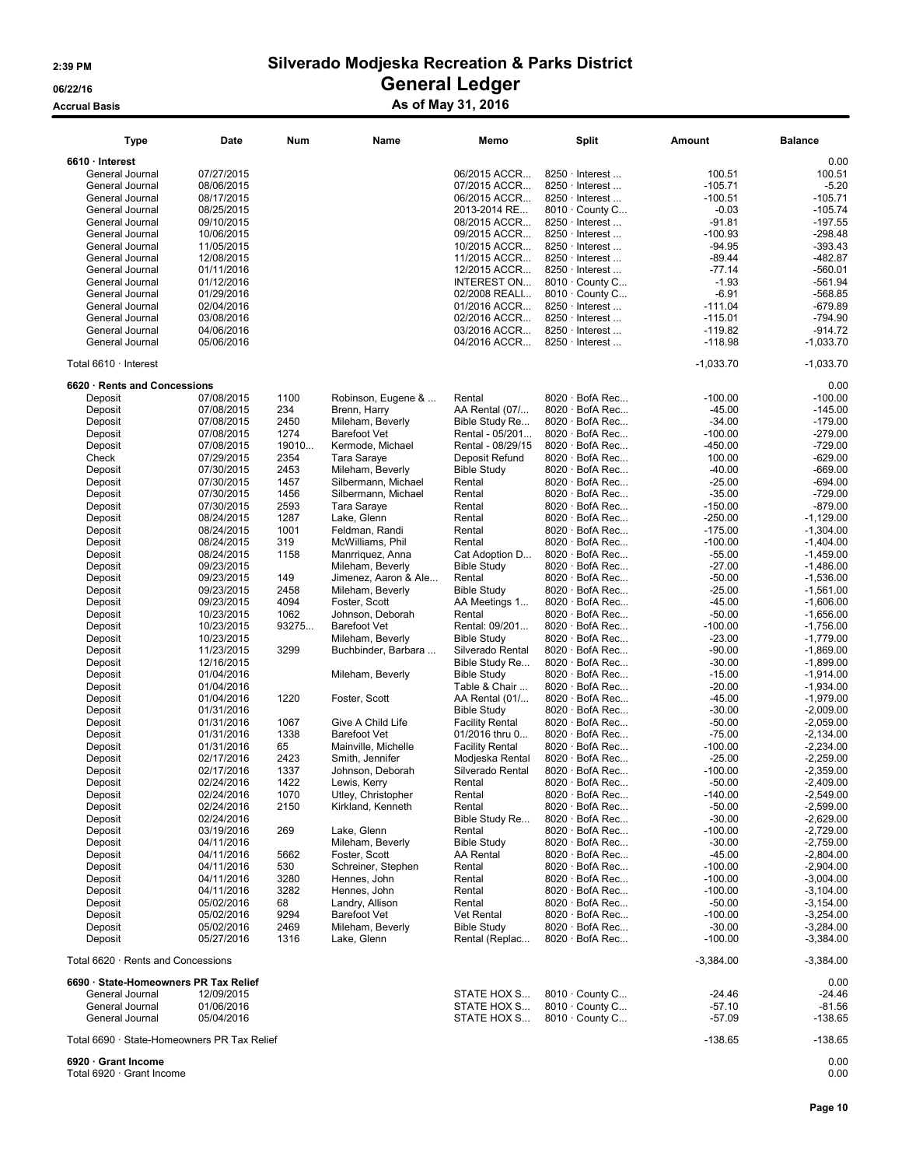Accrual Basis Accrual Basis Accrual Basis Accrual Basis As of May 31, 2016

| <b>Type</b>                                              | Date                     | Num          | Name                                    | Memo                                 | <b>Split</b>                                   | Amount                 | <b>Balance</b>             |
|----------------------------------------------------------|--------------------------|--------------|-----------------------------------------|--------------------------------------|------------------------------------------------|------------------------|----------------------------|
| 6610 · Interest                                          |                          |              |                                         |                                      |                                                |                        | 0.00                       |
| General Journal                                          | 07/27/2015               |              |                                         | 06/2015 ACCR                         | $8250 \cdot$ Interest                          | 100.51                 | 100.51                     |
| General Journal                                          | 08/06/2015               |              |                                         | 07/2015 ACCR                         | $8250 \cdot$ Interest                          | $-105.71$              | $-5.20$                    |
| General Journal                                          | 08/17/2015               |              |                                         | 06/2015 ACCR                         | $8250 \cdot$ Interest                          | $-100.51$              | $-105.71$                  |
| General Journal                                          | 08/25/2015               |              |                                         | 2013-2014 RE                         | 8010 · County C                                | $-0.03$                | $-105.74$                  |
| General Journal                                          | 09/10/2015               |              |                                         | 08/2015 ACCR                         | 8250 · Interest                                | $-91.81$               | $-197.55$                  |
| General Journal                                          | 10/06/2015               |              |                                         | 09/2015 ACCR                         | $8250 \cdot$ Interest                          | $-100.93$              | $-298.48$                  |
| General Journal                                          | 11/05/2015               |              |                                         | 10/2015 ACCR                         | 8250 · Interest                                | $-94.95$               | $-393.43$                  |
| General Journal                                          | 12/08/2015               |              |                                         | 11/2015 ACCR                         | 8250 · Interest                                | $-89.44$               | $-482.87$                  |
| General Journal                                          | 01/11/2016               |              |                                         | 12/2015 ACCR                         | 8250 · Interest                                | $-77.14$               | $-560.01$                  |
| General Journal                                          | 01/12/2016               |              |                                         | INTEREST ON                          | 8010 · County C                                | $-1.93$                | $-561.94$                  |
| General Journal                                          | 01/29/2016               |              |                                         | 02/2008 REALI                        | 8010 · County C                                | $-6.91$                | $-568.85$                  |
| General Journal<br>General Journal                       | 02/04/2016<br>03/08/2016 |              |                                         | 01/2016 ACCR<br>02/2016 ACCR         | 8250 · Interest<br>$8250 \cdot$ Interest       | $-111.04$              | $-679.89$<br>$-794.90$     |
| General Journal                                          | 04/06/2016               |              |                                         | 03/2016 ACCR                         | $8250 \cdot$ Interest                          | $-115.01$<br>$-119.82$ | -914.72                    |
| General Journal                                          | 05/06/2016               |              |                                         | 04/2016 ACCR                         | 8250 · Interest                                | $-118.98$              | $-1,033.70$                |
|                                                          |                          |              |                                         |                                      |                                                |                        |                            |
| Total 6610 · Interest                                    |                          |              |                                         |                                      |                                                | $-1,033.70$            | $-1,033.70$                |
| 6620 · Rents and Concessions                             |                          |              |                                         |                                      |                                                |                        | 0.00                       |
| Deposit                                                  | 07/08/2015               | 1100         | Robinson, Eugene &                      | Rental                               | 8020 · BofA Rec                                | $-100.00$              | $-100.00$                  |
| Deposit                                                  | 07/08/2015<br>07/08/2015 | 234          | Brenn, Harry                            | AA Rental (07/                       | $8020 \cdot$ BofA Rec<br>$8020 \cdot$ BofA Rec | $-45.00$               | $-145.00$                  |
| Deposit                                                  |                          | 2450<br>1274 | Mileham, Beverly<br><b>Barefoot Vet</b> | Bible Study Re<br>Rental - 05/201    | 8020 · BofA Rec                                | $-34.00$<br>$-100.00$  | $-179.00$<br>$-279.00$     |
| Deposit<br>Deposit                                       | 07/08/2015<br>07/08/2015 | 19010        | Kermode, Michael                        | Rental - 08/29/15                    | 8020 · BofA Rec                                | $-450.00$              | $-729.00$                  |
| Check                                                    | 07/29/2015               | 2354         | Tara Saraye                             | Deposit Refund                       | $8020 \cdot$ BofA Rec                          | 100.00                 | $-629.00$                  |
| Deposit                                                  | 07/30/2015               | 2453         | Mileham, Beverly                        | <b>Bible Study</b>                   | 8020 · BofA Rec                                | $-40.00$               | $-669.00$                  |
| Deposit                                                  | 07/30/2015               | 1457         | Silbermann, Michael                     | Rental                               | 8020 · BofA Rec                                | $-25.00$               | $-694.00$                  |
| Deposit                                                  | 07/30/2015               | 1456         | Silbermann, Michael                     | Rental                               | $8020 \cdot$ BofA Rec                          | $-35.00$               | $-729.00$                  |
| Deposit                                                  | 07/30/2015               | 2593         | Tara Saraye                             | Rental                               | 8020 · BofA Rec                                | $-150.00$              | $-879.00$                  |
| Deposit                                                  | 08/24/2015               | 1287         | Lake, Glenn                             | Rental                               | $8020 \cdot$ BofA Rec                          | $-250.00$              | $-1,129.00$                |
| Deposit                                                  | 08/24/2015               | 1001         | Feldman, Randi                          | Rental                               | $8020 \cdot$ BofA Rec                          | $-175.00$              | $-1,304.00$                |
| Deposit                                                  | 08/24/2015               | 319          | McWilliams, Phil                        | Rental                               | 8020 · BofA Rec                                | $-100.00$              | $-1,404.00$                |
| Deposit                                                  | 08/24/2015               | 1158         | Manrriquez, Anna                        | Cat Adoption D                       | 8020 · BofA Rec                                | $-55.00$               | $-1,459.00$                |
| Deposit                                                  | 09/23/2015               |              | Mileham, Beverly                        | <b>Bible Study</b>                   | $8020 \cdot$ BofA Rec                          | $-27.00$               | $-1,486.00$                |
| Deposit                                                  | 09/23/2015               | 149          | Jimenez, Aaron & Ale                    | Rental                               | $8020 \cdot$ BofA Rec                          | $-50.00$               | $-1,536.00$                |
| Deposit                                                  | 09/23/2015               | 2458         | Mileham, Beverly                        | <b>Bible Study</b>                   | 8020 · BofA Rec                                | $-25.00$               | $-1,561.00$                |
| Deposit                                                  | 09/23/2015               | 4094         | Foster, Scott                           | AA Meetings 1                        | 8020 · BofA Rec                                | $-45.00$               | $-1,606.00$                |
| Deposit                                                  | 10/23/2015               | 1062         | Johnson, Deborah                        | Rental                               | $8020 \cdot$ BofA Rec                          | $-50.00$               | $-1,656.00$                |
| Deposit                                                  | 10/23/2015               | 93275        | <b>Barefoot Vet</b>                     | Rental: 09/201                       | $8020 \cdot$ BofA Rec                          | $-100.00$              | $-1,756.00$                |
| Deposit                                                  | 10/23/2015               |              | Mileham, Beverly                        | <b>Bible Study</b>                   | 8020 · BofA Rec                                | $-23.00$               | $-1,779.00$                |
| Deposit                                                  | 11/23/2015               | 3299         | Buchbinder, Barbara                     | Silverado Rental                     | $8020 \cdot$ BofA Rec                          | $-90.00$               | $-1,869.00$                |
| Deposit                                                  | 12/16/2015               |              |                                         | Bible Study Re                       | $8020 \cdot$ BofA Rec                          | $-30.00$               | $-1,899.00$                |
| Deposit                                                  | 01/04/2016               |              | Mileham, Beverly                        | <b>Bible Study</b>                   | 8020 · BofA Rec<br>8020 · BofA Rec             | $-15.00$               | $-1,914.00$                |
| Deposit<br>Deposit                                       | 01/04/2016<br>01/04/2016 | 1220         | Foster, Scott                           | Table & Chair<br>AA Rental (01/      | 8020 · BofA Rec                                | $-20.00$<br>$-45.00$   | $-1,934.00$<br>$-1,979.00$ |
| Deposit                                                  | 01/31/2016               |              |                                         | <b>Bible Study</b>                   | $8020 \cdot$ BofA Rec                          | $-30.00$               | $-2,009.00$                |
| Deposit                                                  | 01/31/2016               | 1067         | Give A Child Life                       | <b>Facility Rental</b>               | 8020 · BofA Rec                                | $-50.00$               | $-2,059.00$                |
| Deposit                                                  | 01/31/2016               | 1338         | <b>Barefoot Vet</b>                     | 01/2016 thru 0                       | 8020 · BofA Rec                                | $-75.00$               | $-2.134.00$                |
| Deposit                                                  | 01/31/2016               | 65           | Mainville, Michelle                     | <b>Facility Rental</b>               | $8020 \cdot$ BofA Rec                          | $-100.00$              | $-2,234.00$                |
| Deposit                                                  | 02/17/2016               | 2423         | Smith, Jennifer                         | Modjeska Rental                      | $8020 \cdot$ BofA Rec                          | $-25.00$               | $-2,259.00$                |
| Deposit                                                  | 02/17/2016               | 1337         | Johnson, Deborah                        | Silverado Rental                     | 8020 · BofA Rec                                | $-100.00$              | $-2,359.00$                |
| Deposit                                                  | 02/24/2016               | 1422         | Lewis, Kerry                            | Rental                               | $8020 \cdot$ BofA Rec                          | $-50.00$               | $-2,409.00$                |
| Deposit                                                  | 02/24/2016               | 1070         | Utley, Christopher                      | Rental                               | $8020 \cdot$ BofA Rec                          | $-140.00$              | $-2,549.00$                |
| Deposit                                                  | 02/24/2016               | 2150         | Kirkland, Kenneth                       | Rental                               | $8020 \cdot$ BofA Rec                          | $-50.00$               | $-2,599.00$                |
| Deposit                                                  | 02/24/2016               |              |                                         | Bible Study Re                       | 8020 · BofA Rec                                | $-30.00$               | $-2,629.00$                |
| Deposit                                                  | 03/19/2016               | 269          | Lake, Glenn                             | Rental                               | 8020 · BofA Rec                                | $-100.00$              | $-2,729.00$                |
| Deposit                                                  | 04/11/2016               |              | Mileham, Beverly                        | <b>Bible Study</b>                   | $8020 \cdot$ BofA Rec                          | $-30.00$               | $-2,759.00$                |
| Deposit                                                  | 04/11/2016               | 5662         | Foster, Scott                           | AA Rental                            | 8020 · BofA Rec                                | $-45.00$               | $-2,804.00$                |
| Deposit                                                  | 04/11/2016               | 530          | Schreiner, Stephen                      | Rental                               | 8020 · BofA Rec                                | $-100.00$              | $-2,904.00$                |
| Deposit                                                  | 04/11/2016               | 3280         | Hennes, John                            | Rental                               | $8020 \cdot$ BofA Rec                          | $-100.00$              | $-3,004.00$                |
| Deposit                                                  | 04/11/2016               | 3282         | Hennes, John                            | Rental                               | 8020 · BofA Rec                                | $-100.00$              | $-3,104.00$                |
| Deposit                                                  | 05/02/2016               | 68           | Landry, Allison                         | Rental                               | $8020 \cdot$ BofA Rec                          | $-50.00$               | $-3,154.00$                |
| Deposit                                                  | 05/02/2016               | 9294         | <b>Barefoot Vet</b>                     | Vet Rental                           | 8020 · BofA Rec                                | $-100.00$              | $-3,254.00$                |
| Deposit<br>Deposit                                       | 05/02/2016<br>05/27/2016 | 2469<br>1316 | Mileham, Beverly<br>Lake, Glenn         | <b>Bible Study</b><br>Rental (Replac | $8020 \cdot$ BofA Rec<br>$8020 \cdot$ BofA Rec | $-30.00$<br>$-100.00$  | $-3,284.00$<br>$-3,384.00$ |
| Total 6620 · Rents and Concessions                       |                          |              |                                         |                                      |                                                |                        |                            |
|                                                          |                          |              |                                         |                                      |                                                | $-3,384.00$            | $-3,384.00$                |
| 6690 · State-Homeowners PR Tax Relief<br>General Journal | 12/09/2015               |              |                                         | STATE HOX S                          | 8010 · County C                                | $-24.46$               | 0.00<br>-24.46             |
| General Journal                                          | 01/06/2016               |              |                                         | STATE HOX S                          | 8010 · County C                                | $-57.10$               | -81.56                     |
| General Journal                                          | 05/04/2016               |              |                                         | STATE HOX S                          | 8010 · County C                                | $-57.09$               | $-138.65$                  |
| Total 6690 · State-Homeowners PR Tax Relief              |                          |              |                                         |                                      |                                                | $-138.65$              | -138.65                    |
| 6920 · Grant Income<br>Total 6920 · Grant Income         |                          |              |                                         |                                      |                                                |                        | 0.00<br>0.00               |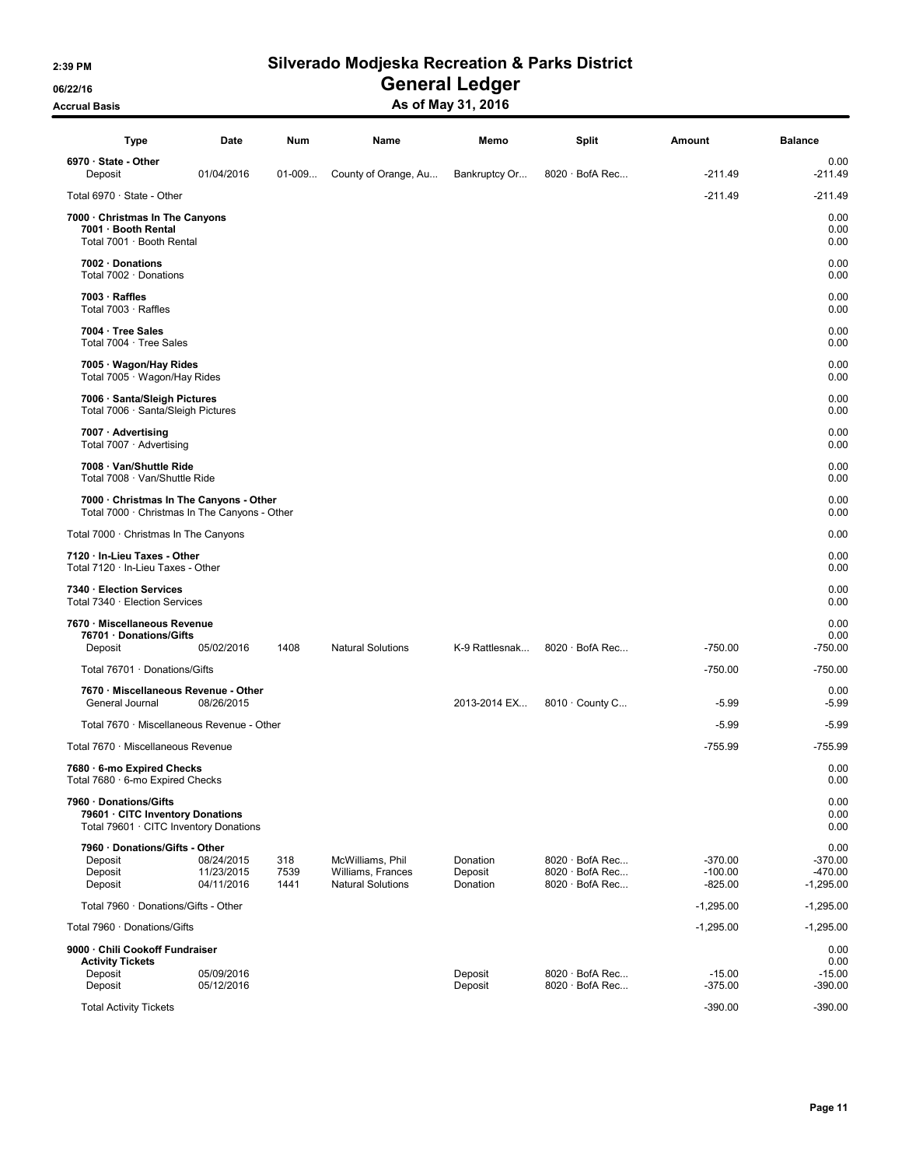06/22/16 OS/22/16 General Ledger

### Accrual Basis Accrual Basis Accrual Basis Accrual Basis As of May 31, 2016

| Type                                                                                                 | Date                                   | Num                 | Name                                                              | Memo                            | Split                                                       | Amount                              | <b>Balance</b>                                |
|------------------------------------------------------------------------------------------------------|----------------------------------------|---------------------|-------------------------------------------------------------------|---------------------------------|-------------------------------------------------------------|-------------------------------------|-----------------------------------------------|
| $6970 \cdot$ State - Other<br>Deposit                                                                | 01/04/2016                             | $01-009$            | County of Orange, Au                                              | Bankruptcy Or                   | $8020 \cdot$ BofA Rec                                       | $-211.49$                           | 0.00<br>$-211.49$                             |
| Total 6970 · State - Other                                                                           |                                        |                     |                                                                   |                                 |                                                             | $-211.49$                           | $-211.49$                                     |
| 7000 · Christmas In The Canyons<br>7001 · Booth Rental<br>Total 7001 · Booth Rental                  |                                        |                     |                                                                   |                                 |                                                             |                                     | 0.00<br>0.00<br>0.00                          |
| 7002 · Donations<br>Total 7002 · Donations                                                           |                                        |                     |                                                                   |                                 |                                                             |                                     | 0.00<br>0.00                                  |
| $7003 \cdot$ Raffles<br>Total 7003 · Raffles                                                         |                                        |                     |                                                                   |                                 |                                                             |                                     | 0.00<br>0.00                                  |
| 7004 · Tree Sales<br>Total 7004 · Tree Sales                                                         |                                        |                     |                                                                   |                                 |                                                             |                                     | 0.00<br>0.00                                  |
| 7005 · Wagon/Hay Rides<br>Total 7005 · Wagon/Hay Rides                                               |                                        |                     |                                                                   |                                 |                                                             |                                     | 0.00<br>0.00                                  |
| 7006 · Santa/Sleigh Pictures<br>Total 7006 · Santa/Sleigh Pictures                                   |                                        |                     |                                                                   |                                 |                                                             |                                     | 0.00<br>0.00                                  |
| 7007 · Advertising<br>Total 7007 · Advertising                                                       |                                        |                     |                                                                   |                                 |                                                             |                                     | 0.00<br>0.00                                  |
| 7008 · Van/Shuttle Ride<br>Total 7008 · Van/Shuttle Ride                                             |                                        |                     |                                                                   |                                 |                                                             |                                     | 0.00<br>0.00                                  |
| 7000 · Christmas In The Canyons - Other<br>Total 7000 · Christmas In The Canyons - Other             |                                        |                     |                                                                   |                                 |                                                             |                                     | 0.00<br>0.00                                  |
| Total 7000 · Christmas In The Canyons                                                                |                                        |                     |                                                                   |                                 |                                                             |                                     | 0.00                                          |
| 7120 · In-Lieu Taxes - Other<br>Total 7120 · In-Lieu Taxes - Other                                   |                                        |                     |                                                                   |                                 |                                                             |                                     | 0.00<br>0.00                                  |
| 7340 · Election Services<br>Total 7340 · Election Services                                           |                                        |                     |                                                                   |                                 |                                                             |                                     | 0.00<br>0.00                                  |
| 7670 · Miscellaneous Revenue<br>76701 · Donations/Gifts<br>Deposit                                   | 05/02/2016                             | 1408                | <b>Natural Solutions</b>                                          | K-9 Rattlesnak                  | $8020 \cdot$ BofA Rec                                       | $-750.00$                           | 0.00<br>0.00<br>$-750.00$                     |
| Total 76701 · Donations/Gifts                                                                        |                                        |                     |                                                                   |                                 |                                                             | $-750.00$                           | $-750.00$                                     |
| 7670 · Miscellaneous Revenue - Other<br>General Journal                                              | 08/26/2015                             |                     |                                                                   | 2013-2014 EX                    | 8010 · County C                                             | $-5.99$                             | 0.00<br>$-5.99$                               |
| Total 7670 · Miscellaneous Revenue - Other                                                           |                                        |                     |                                                                   |                                 |                                                             | $-5.99$                             | $-5.99$                                       |
| Total 7670 · Miscellaneous Revenue                                                                   |                                        |                     |                                                                   |                                 |                                                             | -755.99                             | $-755.99$                                     |
| 7680 · 6-mo Expired Checks<br>Total 7680 · 6-mo Expired Checks                                       |                                        |                     |                                                                   |                                 |                                                             |                                     | 0.00<br>0.00                                  |
| 7960 · Donations/Gifts<br>79601 · CITC Inventory Donations<br>Total 79601 · CITC Inventory Donations |                                        |                     |                                                                   |                                 |                                                             |                                     | 0.00<br>0.00<br>0.00                          |
| 7960 · Donations/Gifts - Other<br>Deposit<br>Deposit<br>Deposit                                      | 08/24/2015<br>11/23/2015<br>04/11/2016 | 318<br>7539<br>1441 | McWilliams, Phil<br>Williams, Frances<br><b>Natural Solutions</b> | Donation<br>Deposit<br>Donation | $8020 \cdot$ BofA Rec<br>8020 · BofA Rec<br>8020 · BofA Rec | $-370.00$<br>$-100.00$<br>$-825.00$ | 0.00<br>$-370.00$<br>$-470.00$<br>$-1,295.00$ |
| Total 7960 · Donations/Gifts - Other                                                                 |                                        |                     |                                                                   |                                 |                                                             | $-1,295.00$                         | $-1,295.00$                                   |
| Total 7960 · Donations/Gifts                                                                         |                                        |                     |                                                                   |                                 |                                                             | $-1,295.00$                         | $-1,295.00$                                   |
| 9000 · Chili Cookoff Fundraiser<br><b>Activity Tickets</b><br>Deposit<br>Deposit                     | 05/09/2016<br>05/12/2016               |                     |                                                                   | Deposit<br>Deposit              | 8020 · BofA Rec<br>$8020 \cdot$ BofA Rec                    | $-15.00$<br>$-375.00$               | 0.00<br>0.00<br>$-15.00$<br>$-390.00$         |
| <b>Total Activity Tickets</b>                                                                        |                                        |                     |                                                                   |                                 |                                                             | $-390.00$                           | $-390.00$                                     |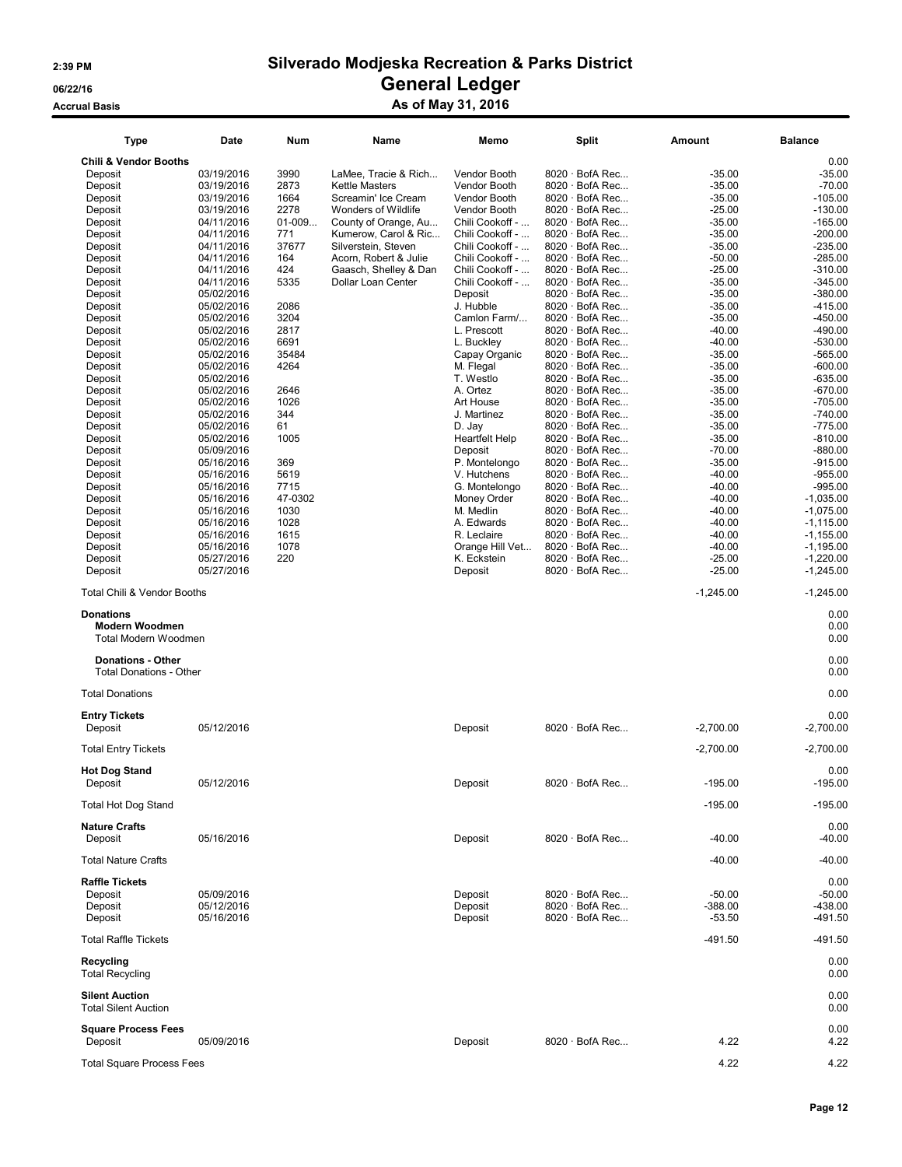### Accrual Basis Accrual Basis Accrual Basis Accrual Basis As of May 31, 2016

| <b>Type</b>                                                       | Date                     | Num         | Name                                        | Memo                               | <b>Split</b>                             | Amount               | <b>Balance</b>         |
|-------------------------------------------------------------------|--------------------------|-------------|---------------------------------------------|------------------------------------|------------------------------------------|----------------------|------------------------|
| <b>Chili &amp; Vendor Booths</b>                                  |                          |             |                                             |                                    |                                          |                      | 0.00                   |
| Deposit                                                           | 03/19/2016               | 3990        | LaMee, Tracie & Rich                        | Vendor Booth                       | 8020 · BofA Rec                          | $-35.00$             | $-35.00$               |
| Deposit                                                           | 03/19/2016               | 2873        | <b>Kettle Masters</b>                       | Vendor Booth                       | $8020 \cdot$ BofA Rec                    | $-35.00$             | $-70.00$               |
| Deposit                                                           | 03/19/2016               | 1664        | Screamin' Ice Cream                         | Vendor Booth                       | $8020 \cdot$ BofA Rec                    | $-35.00$             | $-105.00$              |
| Deposit                                                           | 03/19/2016               | 2278        | Wonders of Wildlife                         | Vendor Booth                       | $8020 \cdot$ BofA Rec                    | $-25.00$             | $-130.00$              |
| Deposit                                                           | 04/11/2016               | $01-009$    | County of Orange, Au                        | Chili Cookoff -                    | $8020 \cdot$ BofA Rec                    | $-35.00$             | $-165.00$              |
| Deposit                                                           | 04/11/2016               | 771         | Kumerow, Carol & Ric                        | Chili Cookoff -                    | $8020 \cdot$ BofA Rec                    | $-35.00$             | $-200.00$              |
| Deposit                                                           | 04/11/2016               | 37677       | Silverstein, Steven                         | Chili Cookoff -                    | $8020 \cdot$ BofA Rec                    | $-35.00$             | $-235.00$              |
| Deposit                                                           | 04/11/2016               | 164         | Acorn, Robert & Julie                       | Chili Cookoff -                    | 8020 · BofA Rec                          | $-50.00$             | $-285.00$              |
| Deposit<br>Deposit                                                | 04/11/2016<br>04/11/2016 | 424<br>5335 | Gaasch, Shelley & Dan<br>Dollar Loan Center | Chili Cookoff -<br>Chili Cookoff - | 8020 · BofA Rec<br>$8020 \cdot$ BofA Rec | $-25.00$<br>$-35.00$ | $-310.00$<br>$-345.00$ |
| Deposit                                                           | 05/02/2016               |             |                                             | Deposit                            | 8020 · BofA Rec                          | $-35.00$             | $-380.00$              |
| Deposit                                                           | 05/02/2016               | 2086        |                                             | J. Hubble                          | 8020 · BofA Rec                          | $-35.00$             | $-415.00$              |
| Deposit                                                           | 05/02/2016               | 3204        |                                             | Camlon Farm/                       | 8020 · BofA Rec                          | $-35.00$             | $-450.00$              |
| Deposit                                                           | 05/02/2016               | 2817        |                                             | L. Prescott                        | $8020 \cdot$ BofA Rec                    | $-40.00$             | $-490.00$              |
| Deposit                                                           | 05/02/2016               | 6691        |                                             | L. Buckley                         | 8020 · BofA Rec                          | $-40.00$             | $-530.00$              |
| Deposit                                                           | 05/02/2016               | 35484       |                                             | Capay Organic                      | $8020 \cdot$ BofA Rec                    | $-35.00$             | $-565.00$              |
| Deposit                                                           | 05/02/2016               | 4264        |                                             | M. Flegal                          | 8020 · BofA Rec                          | $-35.00$             | $-600.00$              |
| Deposit                                                           | 05/02/2016               |             |                                             | T. Westlo                          | $8020 \cdot$ BofA Rec                    | $-35.00$             | $-635.00$              |
| Deposit                                                           | 05/02/2016               | 2646        |                                             | A. Ortez                           | $8020 \cdot$ BofA Rec                    | $-35.00$             | $-670.00$              |
| Deposit                                                           | 05/02/2016               | 1026        |                                             | Art House                          | 8020 · BofA Rec                          | $-35.00$             | $-705.00$              |
| Deposit                                                           | 05/02/2016               | 344<br>61   |                                             | J. Martinez                        | $8020 \cdot$ BofA Rec<br>8020 · BofA Rec | $-35.00$             | $-740.00$              |
| Deposit<br>Deposit                                                | 05/02/2016<br>05/02/2016 | 1005        |                                             | D. Jay<br><b>Heartfelt Help</b>    | 8020 · BofA Rec                          | $-35.00$<br>$-35.00$ | $-775.00$<br>$-810.00$ |
| Deposit                                                           | 05/09/2016               |             |                                             | Deposit                            | $8020 \cdot$ BofA Rec                    | $-70.00$             | $-880.00$              |
| Deposit                                                           | 05/16/2016               | 369         |                                             | P. Montelongo                      | $8020 \cdot$ BofA Rec                    | $-35.00$             | $-915.00$              |
| Deposit                                                           | 05/16/2016               | 5619        |                                             | V. Hutchens                        | 8020 · BofA Rec                          | $-40.00$             | $-955.00$              |
| Deposit                                                           | 05/16/2016               | 7715        |                                             | G. Montelongo                      | 8020 · BofA Rec                          | $-40.00$             | $-995.00$              |
| Deposit                                                           | 05/16/2016               | 47-0302     |                                             | Money Order                        | 8020 · BofA Rec                          | $-40.00$             | $-1,035.00$            |
| Deposit                                                           | 05/16/2016               | 1030        |                                             | M. Medlin                          | $8020 \cdot$ BofA Rec                    | $-40.00$             | $-1.075.00$            |
| Deposit                                                           | 05/16/2016               | 1028        |                                             | A. Edwards                         | 8020 · BofA Rec                          | $-40.00$             | $-1,115.00$            |
| Deposit                                                           | 05/16/2016               | 1615        |                                             | R. Leclaire                        | $8020 \cdot$ BofA Rec                    | $-40.00$             | $-1,155.00$            |
| Deposit                                                           | 05/16/2016               | 1078        |                                             | Orange Hill Vet                    | 8020 · BofA Rec                          | $-40.00$             | $-1,195.00$            |
| Deposit                                                           | 05/27/2016               | 220         |                                             | K. Eckstein                        | 8020 · BofA Rec                          | $-25.00$             | $-1,220.00$            |
| Deposit                                                           | 05/27/2016               |             |                                             | Deposit                            | $8020 \cdot$ BofA Rec                    | $-25.00$             | $-1,245.00$            |
| <b>Total Chili &amp; Vendor Booths</b>                            |                          |             |                                             |                                    |                                          | $-1,245.00$          | $-1,245.00$            |
| <b>Donations</b><br><b>Modern Woodmen</b><br>Total Modern Woodmen |                          |             |                                             |                                    |                                          |                      | 0.00<br>0.00<br>0.00   |
| <b>Donations - Other</b><br><b>Total Donations - Other</b>        |                          |             |                                             |                                    |                                          |                      | 0.00<br>0.00           |
| <b>Total Donations</b>                                            |                          |             |                                             |                                    |                                          |                      | 0.00                   |
| <b>Entry Tickets</b>                                              |                          |             |                                             |                                    |                                          |                      | 0.00                   |
| Deposit                                                           | 05/12/2016               |             |                                             | Deposit                            | $8020 \cdot$ BofA Rec                    | $-2,700.00$          | $-2,700.00$            |
| <b>Total Entry Tickets</b>                                        |                          |             |                                             |                                    |                                          | $-2,700.00$          | $-2,700.00$            |
| <b>Hot Dog Stand</b><br>Deposit                                   | 05/12/2016               |             |                                             | Deposit                            | $8020 \cdot$ BofA Rec                    | $-195.00$            | 0.00<br>$-195.00$      |
| <b>Total Hot Dog Stand</b>                                        |                          |             |                                             |                                    |                                          | $-195.00$            | $-195.00$              |
| <b>Nature Crafts</b><br>Deposit                                   | 05/16/2016               |             |                                             | Deposit                            | 8020 · BofA Rec                          | $-40.00$             | 0.00<br>$-40.00$       |
| <b>Total Nature Crafts</b>                                        |                          |             |                                             |                                    |                                          | $-40.00$             | $-40.00$               |
| <b>Raffle Tickets</b>                                             |                          |             |                                             |                                    |                                          |                      | 0.00                   |
| Deposit                                                           | 05/09/2016               |             |                                             | Deposit                            | 8020 · BofA Rec                          | $-50.00$             | $-50.00$               |
| Deposit                                                           | 05/12/2016               |             |                                             | Deposit                            | 8020 · BofA Rec                          | $-388.00$            | $-438.00$              |
| Deposit                                                           | 05/16/2016               |             |                                             | Deposit                            | $8020 \cdot$ BofA Rec                    | $-53.50$             | -491.50                |
| <b>Total Raffle Tickets</b>                                       |                          |             |                                             |                                    |                                          | $-491.50$            | -491.50                |
| Recycling<br><b>Total Recycling</b>                               |                          |             |                                             |                                    |                                          |                      | 0.00<br>0.00           |
| <b>Silent Auction</b><br><b>Total Silent Auction</b>              |                          |             |                                             |                                    |                                          |                      | 0.00<br>0.00           |
| <b>Square Process Fees</b>                                        |                          |             |                                             |                                    |                                          |                      | 0.00                   |
| Deposit                                                           | 05/09/2016               |             |                                             | Deposit                            | $8020 \cdot$ BofA Rec                    | 4.22                 | 4.22                   |
| <b>Total Square Process Fees</b>                                  |                          |             |                                             |                                    |                                          | 4.22                 | 4.22                   |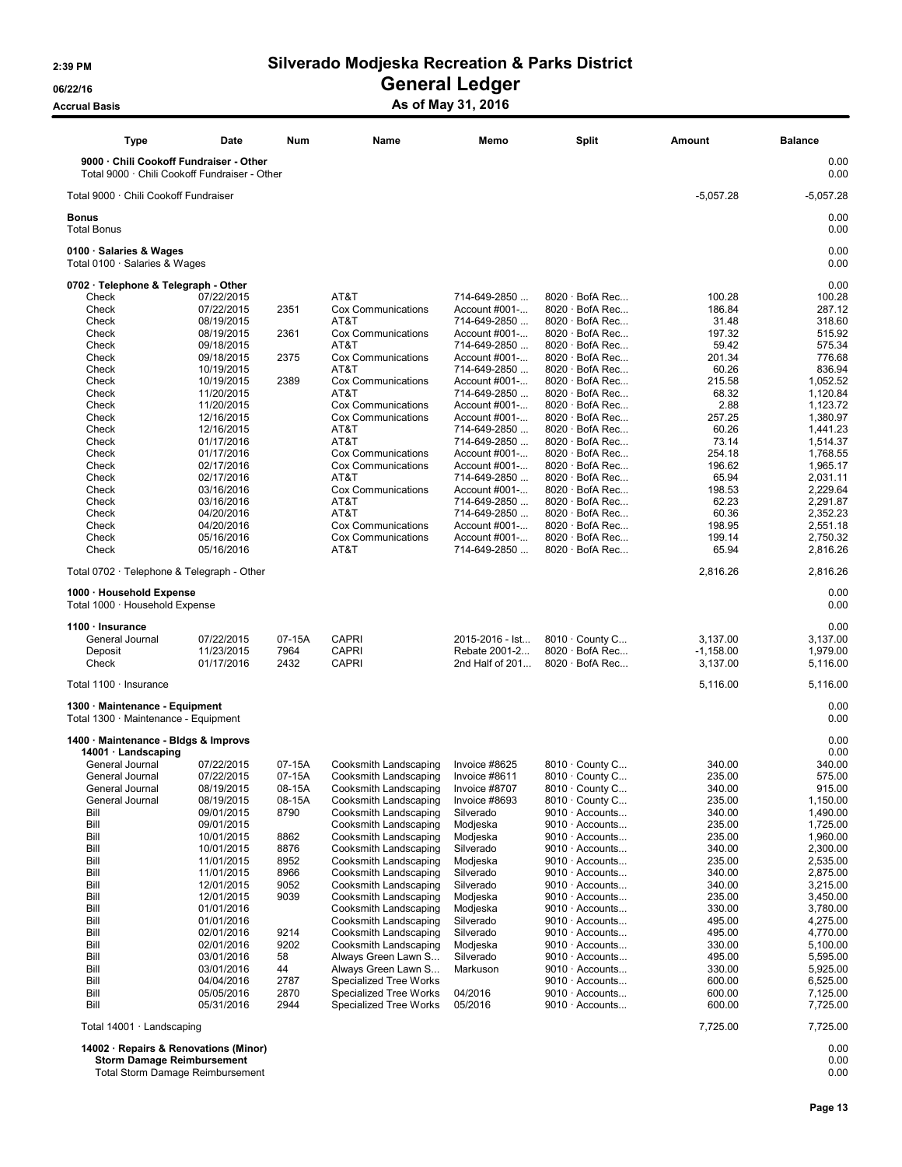06/22/16 OS/22/16 General Ledger

Accrual Basis **Accrual Basis** As of May 31, 2016

| <b>Type</b>                                                                              | Date                     | Num          | Name                                             | Memo                          | Split                                          | Amount           | <b>Balance</b>       |
|------------------------------------------------------------------------------------------|--------------------------|--------------|--------------------------------------------------|-------------------------------|------------------------------------------------|------------------|----------------------|
| 9000 · Chili Cookoff Fundraiser - Other<br>Total 9000 · Chili Cookoff Fundraiser - Other |                          |              |                                                  |                               |                                                |                  | 0.00<br>0.00         |
| Total 9000 · Chili Cookoff Fundraiser                                                    |                          |              |                                                  |                               |                                                | $-5,057.28$      | $-5,057.28$          |
| <b>Bonus</b><br><b>Total Bonus</b>                                                       |                          |              |                                                  |                               |                                                |                  | 0.00<br>0.00         |
| 0100 · Salaries & Wages<br>Total 0100 · Salaries & Wages                                 |                          |              |                                                  |                               |                                                |                  | 0.00<br>0.00         |
| 0702 · Telephone & Telegraph - Other                                                     |                          |              |                                                  |                               |                                                |                  | 0.00                 |
| Check                                                                                    | 07/22/2015               |              | AT&T                                             | 714-649-2850                  | $8020 \cdot$ BofA Rec                          | 100.28           | 100.28               |
| Check                                                                                    | 07/22/2015               | 2351         | <b>Cox Communications</b>                        | Account #001-                 | $8020 \cdot$ BofA Rec                          | 186.84           | 287.12               |
| Check<br>Check                                                                           | 08/19/2015<br>08/19/2015 | 2361         | AT&T<br>Cox Communications                       | 714-649-2850<br>Account #001- | $8020 \cdot$ BofA Rec<br>$8020 \cdot$ BofA Rec | 31.48<br>197.32  | 318.60<br>515.92     |
| Check                                                                                    | 09/18/2015               |              | AT&T                                             | 714-649-2850                  | 8020 · BofA Rec                                | 59.42            | 575.34               |
| Check                                                                                    | 09/18/2015               | 2375         | Cox Communications                               | Account #001-                 | $8020 \cdot$ BofA Rec                          | 201.34           | 776.68               |
| Check                                                                                    | 10/19/2015               |              | AT&T                                             | 714-649-2850                  | $8020 \cdot$ BofA Rec                          | 60.26            | 836.94               |
| Check                                                                                    | 10/19/2015               | 2389         | Cox Communications                               | Account #001-                 | $8020 \cdot$ BofA Rec                          | 215.58           | 1,052.52             |
| Check                                                                                    | 11/20/2015               |              | AT&T                                             | 714-649-2850                  | $8020 \cdot$ BofA Rec                          | 68.32            | 1,120.84             |
| Check                                                                                    | 11/20/2015               |              | Cox Communications                               | Account #001-                 | $8020 \cdot$ BofA Rec                          | 2.88             | 1,123.72             |
| Check                                                                                    | 12/16/2015               |              | <b>Cox Communications</b>                        | Account #001-                 | $8020 \cdot$ BofA Rec                          | 257.25           | 1,380.97             |
| Check                                                                                    | 12/16/2015               |              | AT&T                                             | 714-649-2850                  | $8020 \cdot$ BofA Rec                          | 60.26            | 1,441.23             |
| Check                                                                                    | 01/17/2016               |              | AT&T                                             | 714-649-2850                  | 8020 · BofA Rec                                | 73.14            | 1,514.37             |
| Check                                                                                    | 01/17/2016               |              | Cox Communications                               | Account #001-                 | $8020 \cdot$ BofA Rec                          | 254.18           | 1,768.55             |
| Check<br>Check                                                                           | 02/17/2016<br>02/17/2016 |              | <b>Cox Communications</b><br>AT&T                | Account #001-<br>714-649-2850 | $8020 \cdot$ BofA Rec<br>8020 · BofA Rec       | 196.62<br>65.94  | 1,965.17<br>2.031.11 |
| Check                                                                                    | 03/16/2016               |              | Cox Communications                               | Account #001-                 | $8020 \cdot$ BofA Rec                          | 198.53           | 2,229.64             |
| Check                                                                                    | 03/16/2016               |              | AT&T                                             | 714-649-2850                  | $8020 \cdot$ BofA Rec                          | 62.23            | 2,291.87             |
| Check                                                                                    | 04/20/2016               |              | AT&T                                             | 714-649-2850                  | $8020 \cdot$ BofA Rec                          | 60.36            | 2,352.23             |
| Check                                                                                    | 04/20/2016               |              | Cox Communications                               | Account #001-                 | $8020 \cdot$ BofA Rec                          | 198.95           | 2,551.18             |
| Check                                                                                    | 05/16/2016               |              | Cox Communications                               | Account #001-                 | $8020 \cdot$ BofA Rec                          | 199.14           | 2,750.32             |
| Check                                                                                    | 05/16/2016               |              | AT&T                                             | 714-649-2850                  | $8020 \cdot$ BofA Rec                          | 65.94            | 2,816.26             |
| Total 0702 · Telephone & Telegraph - Other                                               |                          |              |                                                  |                               |                                                | 2,816.26         | 2,816.26             |
| 1000 · Household Expense<br>Total 1000 · Household Expense                               |                          |              |                                                  |                               |                                                |                  | 0.00<br>0.00         |
| 1100 · Insurance                                                                         |                          |              |                                                  |                               |                                                |                  | 0.00                 |
| General Journal                                                                          | 07/22/2015               | 07-15A       | <b>CAPRI</b>                                     | 2015-2016 - Ist               | 8010 · County C                                | 3,137.00         | 3,137.00             |
| Deposit                                                                                  | 11/23/2015               | 7964         | <b>CAPRI</b>                                     | Rebate 2001-2                 | $8020 \cdot$ BofA Rec                          | $-1,158.00$      | 1,979.00             |
| Check                                                                                    | 01/17/2016               | 2432         | <b>CAPRI</b>                                     | 2nd Half of 201               | $8020 \cdot$ BofA Rec                          | 3,137.00         | 5,116.00             |
| Total 1100 · Insurance                                                                   |                          |              |                                                  |                               |                                                | 5,116.00         | 5,116.00             |
| 1300 · Maintenance - Equipment                                                           |                          |              |                                                  |                               |                                                |                  | 0.00                 |
| Total 1300 · Maintenance - Equipment                                                     |                          |              |                                                  |                               |                                                |                  | 0.00                 |
| 1400 · Maintenance - Bldgs & Improvs<br>$14001 \cdot$ Landscaping                        |                          |              |                                                  |                               |                                                |                  | 0.00<br>0.00         |
| General Journal                                                                          | 07/22/2015               | 07-15A       | Cooksmith Landscaping                            | Invoice #8625                 | 8010 · County C                                | 340.00           | 340.00               |
| General Journal                                                                          | 07/22/2015               | 07-15A       | Cooksmith Landscaping                            | Invoice #8611                 | $8010 \cdot$ County C                          | 235.00           | 575.00               |
| General Journal                                                                          | 08/19/2015               | 08-15A       | Cooksmith Landscaping                            | Invoice #8707                 | 8010 · County C                                | 340.00           | 915.00               |
| General Journal                                                                          | 08/19/2015               | 08-15A       | Cooksmith Landscaping                            | Invoice #8693                 | 8010 · County C                                | 235.00           | 1,150.00             |
| Bill                                                                                     | 09/01/2015               | 8790         | Cooksmith Landscaping                            | Silverado                     | 9010 · Accounts                                | 340.00           | 1,490.00             |
| Bill                                                                                     | 09/01/2015               |              | Cooksmith Landscaping                            | Modjeska                      | $9010 \cdot$ Accounts                          | 235.00           | 1,725.00             |
| Bill                                                                                     | 10/01/2015               | 8862         | Cooksmith Landscaping                            | Modjeska                      | 9010 · Accounts<br>$9010 \cdot$ Accounts       | 235.00           | 1,960.00             |
| Bill<br>Bill                                                                             | 10/01/2015<br>11/01/2015 | 8876<br>8952 | Cooksmith Landscaping<br>Cooksmith Landscaping   | Silverado<br>Modjeska         | $9010 \cdot$ Accounts                          | 340.00<br>235.00 | 2,300.00<br>2,535.00 |
| Bill                                                                                     | 11/01/2015               | 8966         | Cooksmith Landscaping                            | Silverado                     | 9010 · Accounts                                | 340.00           | 2,875.00             |
| Bill                                                                                     | 12/01/2015               | 9052         | Cooksmith Landscaping                            | Silverado                     | 9010 · Accounts                                | 340.00           | 3,215.00             |
| Bill                                                                                     | 12/01/2015               | 9039         | Cooksmith Landscaping                            | Modjeska                      | $9010 \cdot$ Accounts                          | 235.00           | 3,450.00             |
| Bill                                                                                     | 01/01/2016               |              | Cooksmith Landscaping                            | Modjeska                      | $9010 \cdot$ Accounts                          | 330.00           | 3,780.00             |
| Bill                                                                                     | 01/01/2016               |              | Cooksmith Landscaping                            | Silverado                     | $9010 \cdot$ Accounts                          | 495.00           | 4,275.00             |
| Bill                                                                                     | 02/01/2016               | 9214         | Cooksmith Landscaping                            | Silverado                     | 9010 · Accounts                                | 495.00           | 4,770.00             |
| Bill                                                                                     | 02/01/2016               | 9202         | Cooksmith Landscaping                            | Modjeska                      | 9010 · Accounts                                | 330.00           | 5,100.00             |
| Bill                                                                                     | 03/01/2016               | 58           | Always Green Lawn S                              | Silverado                     | 9010 · Accounts                                | 495.00           | 5.595.00             |
| Bill                                                                                     | 03/01/2016               | 44           | Always Green Lawn S                              | Markuson                      | $9010 \cdot$ Accounts                          | 330.00           | 5,925.00             |
| Bill<br>Bill                                                                             | 04/04/2016<br>05/05/2016 | 2787<br>2870 | Specialized Tree Works<br>Specialized Tree Works | 04/2016                       | $9010 \cdot$ Accounts<br>9010 · Accounts       | 600.00<br>600.00 | 6,525.00<br>7,125.00 |
| Bill                                                                                     | 05/31/2016               | 2944         | Specialized Tree Works                           | 05/2016                       | 9010 · Accounts                                | 600.00           | 7,725.00             |
| Total 14001 · Landscaping                                                                |                          |              |                                                  |                               |                                                | 7,725.00         | 7,725.00             |
| 14002 · Repairs & Renovations (Minor)<br><b>Storm Damage Reimbursement</b>               |                          |              |                                                  |                               |                                                |                  | 0.00<br>0.00         |

Total Storm Damage Reimbursement 0.00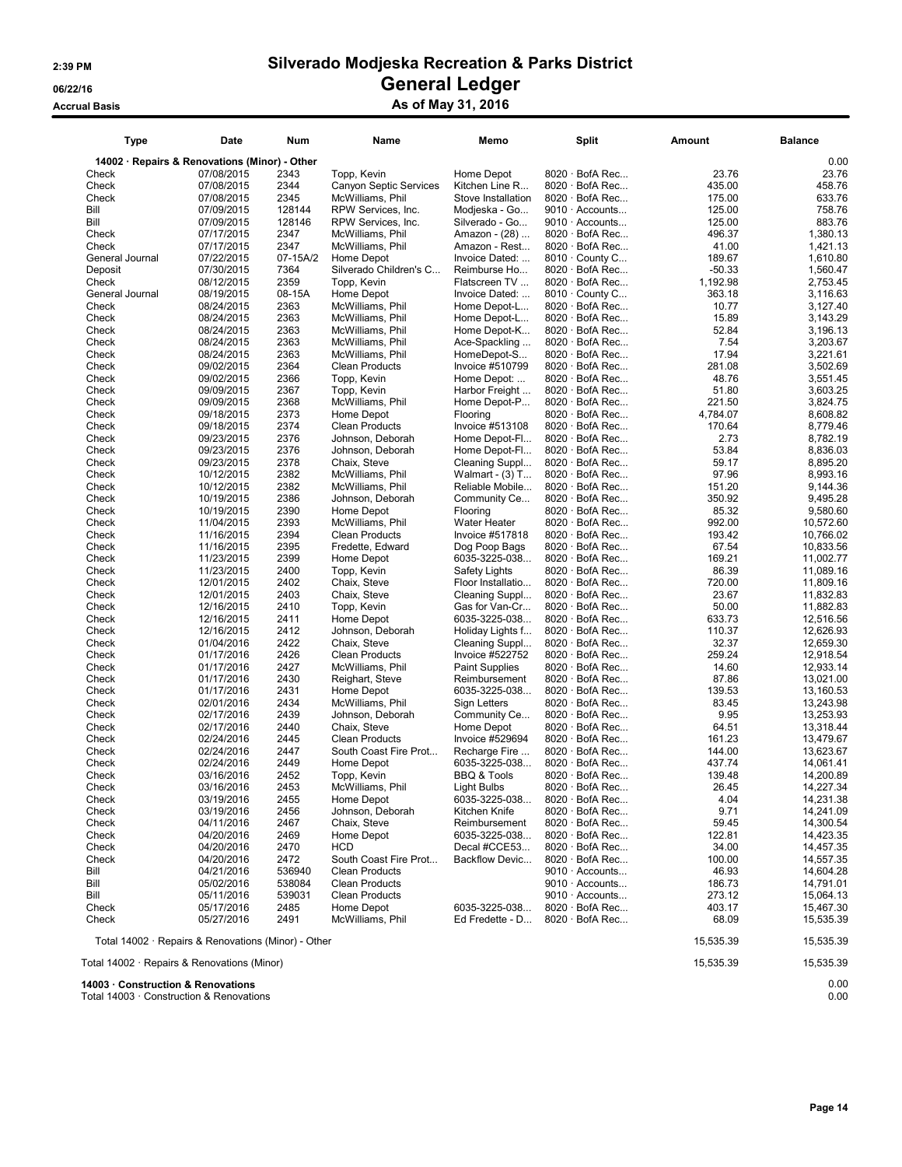### Accrual Basis **Accrual Basis** As of May 31, 2016

| Type                                                | <b>Date</b> | <b>Num</b> | Name                   | Memo                   | <b>Split</b>          | Amount    | <b>Balance</b> |
|-----------------------------------------------------|-------------|------------|------------------------|------------------------|-----------------------|-----------|----------------|
| 14002 · Repairs & Renovations (Minor) - Other       |             |            |                        |                        |                       |           | 0.00           |
| Check                                               | 07/08/2015  | 2343       | Topp, Kevin            | Home Depot             | 8020 · BofA Rec       | 23.76     | 23.76          |
| Check                                               | 07/08/2015  | 2344       | Canyon Septic Services | Kitchen Line R         | $8020 \cdot$ BofA Rec | 435.00    | 458.76         |
| Check                                               | 07/08/2015  | 2345       | McWilliams, Phil       | Stove Installation     | $8020 \cdot$ BofA Rec | 175.00    | 633.76         |
| Bill                                                | 07/09/2015  | 128144     | RPW Services, Inc.     | Modjeska - Go          | $9010 \cdot$ Accounts | 125.00    | 758.76         |
| Bill                                                | 07/09/2015  | 128146     | RPW Services, Inc.     | Silverado - Go         | $9010 \cdot$ Accounts | 125.00    | 883.76         |
| Check                                               | 07/17/2015  | 2347       | McWilliams, Phil       | Amazon - (28)          | $8020 \cdot$ BofA Rec | 496.37    | 1,380.13       |
| Check                                               | 07/17/2015  | 2347       | McWilliams, Phil       | Amazon - Rest          | $8020 \cdot$ BofA Rec | 41.00     | 1,421.13       |
| General Journal                                     | 07/22/2015  | 07-15A/2   | Home Depot             | Invoice Dated:         | 8010 · County C       | 189.67    | 1,610.80       |
| Deposit                                             | 07/30/2015  | 7364       | Silverado Children's C | Reimburse Ho           | $8020 \cdot$ BofA Rec | $-50.33$  | 1,560.47       |
| Check                                               | 08/12/2015  | 2359       | Topp, Kevin            | Flatscreen TV          | 8020 · BofA Rec       | 1.192.98  | 2,753.45       |
| General Journal                                     | 08/19/2015  | 08-15A     | Home Depot             | Invoice Dated:         | 8010 · County C       | 363.18    | 3,116.63       |
| Check                                               | 08/24/2015  | 2363       | McWilliams, Phil       | Home Depot-L           | 8020 · BofA Rec       | 10.77     | 3.127.40       |
| Check                                               | 08/24/2015  | 2363       | McWilliams, Phil       | Home Depot-L           | $8020 \cdot$ BofA Rec | 15.89     | 3,143.29       |
| Check                                               | 08/24/2015  | 2363       | McWilliams, Phil       | Home Depot-K           | $8020 \cdot$ BofA Rec | 52.84     | 3,196.13       |
| Check                                               | 08/24/2015  | 2363       | McWilliams, Phil       | Ace-Spackling          | 8020 · BofA Rec       | 7.54      | 3,203.67       |
| Check                                               | 08/24/2015  | 2363       | McWilliams, Phil       | HomeDepot-S            | $8020 \cdot$ BofA Rec | 17.94     | 3,221.61       |
| Check                                               | 09/02/2015  | 2364       | <b>Clean Products</b>  | Invoice #510799        | $8020 \cdot$ BofA Rec | 281.08    | 3,502.69       |
| Check                                               | 09/02/2015  | 2366       | Topp, Kevin            | Home Depot:            | $8020 \cdot$ BofA Rec | 48.76     | 3,551.45       |
| Check                                               | 09/09/2015  | 2367       | Topp, Kevin            | Harbor Freight         | $8020 \cdot$ BofA Rec | 51.80     | 3,603.25       |
|                                                     |             | 2368       |                        |                        | $8020 \cdot$ BofA Rec | 221.50    |                |
| Check                                               | 09/09/2015  |            | McWilliams, Phil       | Home Depot-P           |                       |           | 3,824.75       |
| Check                                               | 09/18/2015  | 2373       | Home Depot             | Flooring               | $8020 \cdot$ BofA Rec | 4,784.07  | 8,608.82       |
| Check                                               | 09/18/2015  | 2374       | <b>Clean Products</b>  | Invoice #513108        | $8020 \cdot$ BofA Rec | 170.64    | 8,779.46       |
| Check                                               | 09/23/2015  | 2376       | Johnson, Deborah       | Home Depot-Fl          | $8020 \cdot$ BofA Rec | 2.73      | 8,782.19       |
| Check                                               | 09/23/2015  | 2376       | Johnson, Deborah       | Home Depot-Fl          | $8020 \cdot$ BofA Rec | 53.84     | 8,836.03       |
| Check                                               | 09/23/2015  | 2378       | Chaix, Steve           | Cleaning Suppl         | 8020 · BofA Rec       | 59.17     | 8,895.20       |
| Check                                               | 10/12/2015  | 2382       | McWilliams, Phil       | Walmart - (3) T        | 8020 · BofA Rec       | 97.96     | 8,993.16       |
| Check                                               | 10/12/2015  | 2382       | McWilliams, Phil       | Reliable Mobile        | $8020 \cdot$ BofA Rec | 151.20    | 9,144.36       |
| Check                                               | 10/19/2015  | 2386       | Johnson, Deborah       | Community Ce           | $8020 \cdot$ BofA Rec | 350.92    | 9,495.28       |
| Check                                               | 10/19/2015  | 2390       | Home Depot             | Flooring               | $8020 \cdot$ BofA Rec | 85.32     | 9,580.60       |
| Check                                               | 11/04/2015  | 2393       | McWilliams, Phil       | <b>Water Heater</b>    | 8020 · BofA Rec       | 992.00    | 10,572.60      |
| Check                                               | 11/16/2015  | 2394       | Clean Products         | Invoice #517818        | 8020 · BofA Rec       | 193.42    | 10,766.02      |
| Check                                               | 11/16/2015  | 2395       | Fredette, Edward       | Dog Poop Bags          | 8020 · BofA Rec       | 67.54     | 10,833.56      |
| Check                                               | 11/23/2015  | 2399       | Home Depot             | 6035-3225-038          | $8020 \cdot$ BofA Rec | 169.21    | 11,002.77      |
| Check                                               | 11/23/2015  | 2400       | Topp, Kevin            | Safety Lights          | $8020 \cdot$ BofA Rec | 86.39     | 11,089.16      |
| Check                                               | 12/01/2015  | 2402       | Chaix, Steve           | Floor Installatio      | $8020 \cdot$ BofA Rec | 720.00    | 11,809.16      |
| Check                                               | 12/01/2015  | 2403       | Chaix, Steve           | Cleaning Suppl         | $8020 \cdot$ BofA Rec | 23.67     | 11,832.83      |
| Check                                               | 12/16/2015  | 2410       | Topp, Kevin            | Gas for Van-Cr         | 8020 · BofA Rec       | 50.00     | 11,882.83      |
| Check                                               | 12/16/2015  | 2411       | Home Depot             | 6035-3225-038          | $8020 \cdot$ BofA Rec | 633.73    | 12,516.56      |
| Check                                               | 12/16/2015  | 2412       | Johnson, Deborah       | Holiday Lights f       | 8020 · BofA Rec       | 110.37    | 12,626.93      |
| Check                                               | 01/04/2016  | 2422       | Chaix, Steve           | Cleaning Suppl         | $8020 \cdot$ BofA Rec | 32.37     | 12,659.30      |
| Check                                               | 01/17/2016  | 2426       | <b>Clean Products</b>  | Invoice #522752        | $8020 \cdot$ BofA Rec | 259.24    | 12,918.54      |
| Check                                               | 01/17/2016  | 2427       | McWilliams, Phil       | <b>Paint Supplies</b>  | $8020 \cdot$ BofA Rec | 14.60     | 12,933.14      |
| Check                                               | 01/17/2016  | 2430       | Reighart, Steve        | Reimbursement          | $8020 \cdot$ BofA Rec | 87.86     | 13,021.00      |
| Check                                               | 01/17/2016  | 2431       | Home Depot             | 6035-3225-038          | $8020 \cdot$ BofA Rec | 139.53    | 13,160.53      |
| Check                                               | 02/01/2016  | 2434       | McWilliams, Phil       | Sign Letters           | $8020 \cdot$ BofA Rec | 83.45     | 13,243.98      |
| Check                                               | 02/17/2016  | 2439       | Johnson, Deborah       | Community Ce           | $8020 \cdot$ BofA Rec | 9.95      | 13,253.93      |
| Check                                               | 02/17/2016  | 2440       | Chaix, Steve           | Home Depot             | $8020 \cdot$ BofA Rec | 64.51     | 13,318.44      |
| Check                                               | 02/24/2016  | 2445       | <b>Clean Products</b>  | Invoice #529694        | $8020 \cdot$ BofA Rec | 161.23    | 13,479.67      |
| Check                                               | 02/24/2016  | 2447       | South Coast Fire Prot  | Recharge Fire          | 8020 · BofA Rec       | 144.00    | 13,623.67      |
| Check                                               | 02/24/2016  | 2449       | Home Depot             | 6035-3225-038          | $8020 \cdot$ BofA Rec | 437.74    | 14,061.41      |
| Check                                               | 03/16/2016  | 2452       | Topp, Kevin            | <b>BBQ &amp; Tools</b> | 8020 · BofA Rec       | 139.48    | 14,200.89      |
| Check                                               | 03/16/2016  | 2453       | McWilliams, Phil       | Light Bulbs            | $8020 \cdot$ BofA Rec | 26.45     | 14,227.34      |
| Check                                               | 03/19/2016  | 2455       | Home Depot             | 6035-3225-038          | 8020 · BofA Rec       | 4.04      | 14,231.38      |
| Check                                               | 03/19/2016  | 2456       | Johnson, Deborah       | Kitchen Knife          | $8020 \cdot$ BofA Rec | 9.71      | 14,241.09      |
| Check                                               | 04/11/2016  | 2467       | Chaix, Steve           | Reimbursement          | 8020 · BofA Rec       | 59.45     | 14,300.54      |
| Check                                               | 04/20/2016  | 2469       | Home Depot             | 6035-3225-038          | $8020 \cdot$ BofA Rec | 122.81    | 14,423.35      |
| Check                                               | 04/20/2016  | 2470       | <b>HCD</b>             | Decal #CCE53           | $8020 \cdot$ BofA Rec | 34.00     | 14,457.35      |
| Check                                               | 04/20/2016  | 2472       | South Coast Fire Prot  | Backflow Devic         | $8020 \cdot$ BofA Rec | 100.00    | 14,557.35      |
| Bill                                                | 04/21/2016  | 536940     | <b>Clean Products</b>  |                        | $9010 \cdot$ Accounts | 46.93     | 14,604.28      |
| Bill                                                | 05/02/2016  | 538084     | <b>Clean Products</b>  |                        | $9010 \cdot$ Accounts | 186.73    | 14,791.01      |
| Bill                                                | 05/11/2016  | 539031     | Clean Products         |                        | $9010 \cdot$ Accounts | 273.12    | 15,064.13      |
| Check                                               | 05/17/2016  | 2485       | Home Depot             | 6035-3225-038          | $8020 \cdot$ BofA Rec | 403.17    | 15,467.30      |
| Check                                               | 05/27/2016  | 2491       | McWilliams, Phil       | Ed Fredette - D        | $8020 \cdot$ BofA Rec | 68.09     | 15,535.39      |
| Total 14002 · Repairs & Renovations (Minor) - Other |             |            |                        |                        |                       | 15,535.39 | 15,535.39      |
| Total 14002 · Repairs & Renovations (Minor)         | 15,535.39   | 15,535.39  |                        |                        |                       |           |                |

14003 · Construction & Renovations 0.00

Total 14003 · Construction & Renovations 0.00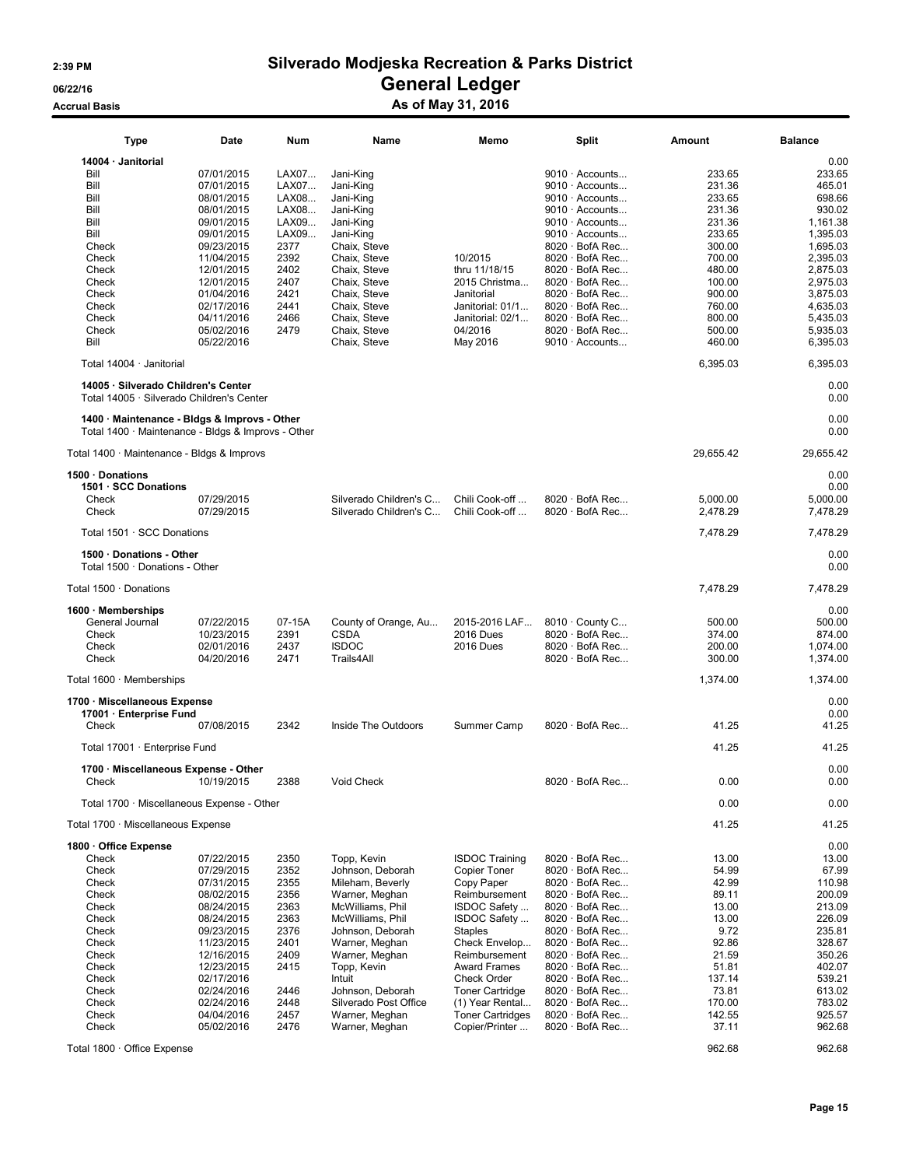### Accrual Basis **Accrual Basis** As of May 31, 2016

| Type                                                                                               | Date       | Num    | Name                   | Memo                    | <b>Split</b>          | Amount    | <b>Balance</b>     |
|----------------------------------------------------------------------------------------------------|------------|--------|------------------------|-------------------------|-----------------------|-----------|--------------------|
| 14004 · Janitorial                                                                                 |            |        |                        |                         |                       |           | 0.00               |
| Bill                                                                                               | 07/01/2015 | LAX07  | Jani-King              |                         | $9010 \cdot$ Accounts |           | 233.65<br>233.65   |
| Bill                                                                                               | 07/01/2015 | LAX07  | Jani-King              |                         | 9010 · Accounts       |           | 231.36<br>465.01   |
| Bill                                                                                               | 08/01/2015 | LAX08  | Jani-King              |                         | 9010 · Accounts       |           | 233.65<br>698.66   |
| Bill                                                                                               | 08/01/2015 | LAX08  | Jani-King              |                         | 9010 · Accounts       |           | 231.36<br>930.02   |
| Bill                                                                                               | 09/01/2015 | LAX09  | Jani-King              |                         | 9010 · Accounts       |           | 231.36<br>1,161.38 |
| Bill                                                                                               | 09/01/2015 | LAX09  | Jani-King              |                         | $9010 \cdot$ Accounts |           | 233.65<br>1,395.03 |
| Check                                                                                              | 09/23/2015 | 2377   | Chaix, Steve           |                         | $8020 \cdot$ BofA Rec |           | 300.00<br>1,695.03 |
| Check                                                                                              | 11/04/2015 | 2392   | Chaix, Steve           | 10/2015                 | $8020 \cdot$ BofA Rec | 700.00    | 2,395.03           |
| Check                                                                                              | 12/01/2015 | 2402   | Chaix, Steve           | thru 11/18/15           | $8020 \cdot$ BofA Rec |           | 480.00<br>2,875.03 |
| Check                                                                                              | 12/01/2015 | 2407   | Chaix, Steve           | 2015 Christma           | $8020 \cdot$ BofA Rec |           | 100.00<br>2,975.03 |
| Check                                                                                              | 01/04/2016 | 2421   | Chaix, Steve           | Janitorial              | $8020 \cdot$ BofA Rec | 900.00    | 3,875.03           |
| Check                                                                                              | 02/17/2016 | 2441   | Chaix, Steve           | Janitorial: 01/1        | $8020 \cdot$ BofA Rec |           | 760.00<br>4.635.03 |
| Check                                                                                              | 04/11/2016 | 2466   | Chaix, Steve           | Janitorial: 02/1        | $8020 \cdot$ BofA Rec | 800.00    | 5,435.03           |
| Check                                                                                              | 05/02/2016 | 2479   | Chaix, Steve           | 04/2016                 | $8020 \cdot$ BofA Rec |           | 500.00<br>5,935.03 |
| Bill                                                                                               | 05/22/2016 |        | Chaix, Steve           | May 2016                | 9010 · Accounts       |           | 460.00<br>6,395.03 |
| Total 14004 · Janitorial                                                                           |            |        |                        |                         |                       | 6,395.03  | 6,395.03           |
| 14005 · Silverado Children's Center                                                                |            |        |                        |                         |                       |           | 0.00               |
| Total 14005 · Silverado Children's Center                                                          |            |        |                        |                         |                       |           | 0.00               |
| 1400 · Maintenance - Bldgs & Improvs - Other<br>Total 1400 · Maintenance - Bldgs & Improvs - Other |            |        |                        |                         |                       |           | 0.00<br>0.00       |
| Total 1400 · Maintenance - Bldgs & Improvs                                                         |            |        |                        |                         |                       | 29,655.42 | 29,655.42          |
| 1500 · Donations                                                                                   |            |        |                        |                         |                       |           | 0.00               |
| 1501 · SCC Donations                                                                               |            |        |                        |                         |                       |           | 0.00               |
| Check                                                                                              | 07/29/2015 |        | Silverado Children's C | Chili Cook-off          | $8020 \cdot$ BofA Rec | 5,000.00  | 5,000.00           |
| Check                                                                                              | 07/29/2015 |        | Silverado Children's C | Chili Cook-off          | $8020 \cdot$ BofA Rec | 2,478.29  | 7,478.29           |
|                                                                                                    |            |        |                        |                         |                       |           |                    |
| Total 1501 · SCC Donations                                                                         |            |        |                        |                         |                       | 7,478.29  | 7,478.29           |
| 1500 · Donations - Other<br>Total 1500 · Donations - Other                                         |            |        |                        |                         |                       |           | 0.00<br>0.00       |
| Total 1500 · Donations                                                                             |            |        |                        |                         |                       | 7,478.29  | 7,478.29           |
| $1600 \cdot$ Memberships                                                                           |            |        |                        |                         |                       |           | 0.00               |
| General Journal                                                                                    | 07/22/2015 | 07-15A | County of Orange, Au   | 2015-2016 LAF           | 8010 · County C       | 500.00    | 500.00             |
| Check                                                                                              | 10/23/2015 | 2391   | <b>CSDA</b>            | <b>2016 Dues</b>        | $8020 \cdot$ BofA Rec |           | 374.00<br>874.00   |
| Check                                                                                              | 02/01/2016 | 2437   | <b>ISDOC</b>           | <b>2016 Dues</b>        | $8020 \cdot$ BofA Rec |           | 200.00<br>1,074.00 |
| Check                                                                                              | 04/20/2016 | 2471   | Trails4All             |                         | $8020 \cdot$ BofA Rec |           | 300.00<br>1,374.00 |
| Total $1600 \cdot$ Memberships                                                                     |            |        |                        |                         |                       | 1,374.00  | 1,374.00           |
| 1700 · Miscellaneous Expense                                                                       |            |        |                        |                         |                       |           | 0.00               |
| 17001 · Enterprise Fund                                                                            |            |        |                        |                         |                       |           | 0.00               |
| Check                                                                                              | 07/08/2015 | 2342   | Inside The Outdoors    | Summer Camp             | $8020 \cdot$ BofA Rec |           | 41.25<br>41.25     |
|                                                                                                    |            |        |                        |                         |                       |           |                    |
| Total 17001 · Enterprise Fund                                                                      |            |        |                        |                         |                       |           | 41.25<br>41.25     |
|                                                                                                    |            |        |                        |                         |                       |           |                    |
| 1700 · Miscellaneous Expense - Other                                                               |            |        |                        |                         |                       |           | 0.00               |
| Check                                                                                              | 10/19/2015 | 2388   | Void Check             |                         | $8020 \cdot$ BofA Rec |           | 0.00<br>0.00       |
| Total 1700 · Miscellaneous Expense - Other                                                         |            |        |                        |                         |                       |           | 0.00<br>0.00       |
| Total 1700 · Miscellaneous Expense                                                                 |            |        |                        |                         |                       |           | 41.25<br>41.25     |
|                                                                                                    |            |        |                        |                         |                       |           |                    |
| 1800 · Office Expense                                                                              |            |        |                        |                         |                       |           | 0.00               |
| Check                                                                                              | 07/22/2015 | 2350   | Topp, Kevin            | <b>ISDOC Training</b>   | 8020 · BofA Rec       |           | 13.00<br>13.00     |
| Check                                                                                              | 07/29/2015 | 2352   | Johnson, Deborah       | <b>Copier Toner</b>     | 8020 · BofA Rec       |           | 54.99<br>67.99     |
| Check                                                                                              | 07/31/2015 | 2355   | Mileham, Beverly       | Copy Paper              | $8020 \cdot$ BofA Rec |           | 42.99<br>110.98    |
| Check                                                                                              | 08/02/2015 | 2356   | Warner, Meghan         | Reimbursement           | $8020 \cdot$ BofA Rec |           | 89.11<br>200.09    |
| Check                                                                                              | 08/24/2015 | 2363   | McWilliams, Phil       | ISDOC Safety            | $8020 \cdot$ BofA Rec |           | 13.00<br>213.09    |
| Check                                                                                              | 08/24/2015 | 2363   | McWilliams, Phil       | ISDOC Safety            | $8020 \cdot$ BofA Rec |           | 13.00<br>226.09    |
| Check                                                                                              | 09/23/2015 | 2376   | Johnson, Deborah       | <b>Staples</b>          | 8020 · BofA Rec       |           | 9.72<br>235.81     |
| Check                                                                                              | 11/23/2015 | 2401   | Warner, Meghan         | Check Envelop           | $8020 \cdot$ BofA Rec |           | 92.86<br>328.67    |
| Check                                                                                              | 12/16/2015 | 2409   | Warner, Meghan         | Reimbursement           | $8020 \cdot$ BofA Rec |           | 21.59<br>350.26    |
| Check                                                                                              | 12/23/2015 | 2415   | Topp, Kevin            | <b>Award Frames</b>     | $8020 \cdot$ BofA Rec |           | 51.81<br>402.07    |
| Check                                                                                              | 02/17/2016 |        | Intuit                 | Check Order             | 8020 · BofA Rec       |           | 137.14<br>539.21   |
| Check                                                                                              | 02/24/2016 | 2446   | Johnson, Deborah       | <b>Toner Cartridge</b>  | $8020 \cdot$ BofA Rec |           | 73.81<br>613.02    |
| Check                                                                                              | 02/24/2016 | 2448   | Silverado Post Office  | (1) Year Rental         | $8020 \cdot$ BofA Rec |           | 170.00<br>783.02   |
| Check                                                                                              | 04/04/2016 | 2457   | Warner, Meghan         | <b>Toner Cartridges</b> | $8020 \cdot$ BofA Rec |           | 925.57<br>142.55   |
| Check                                                                                              | 05/02/2016 | 2476   | Warner, Meghan         | Copier/Printer          | $8020 \cdot$ BofA Rec |           | 37.11<br>962.68    |
| Total 1800 · Office Expense                                                                        |            |        |                        |                         |                       |           | 962.68<br>962.68   |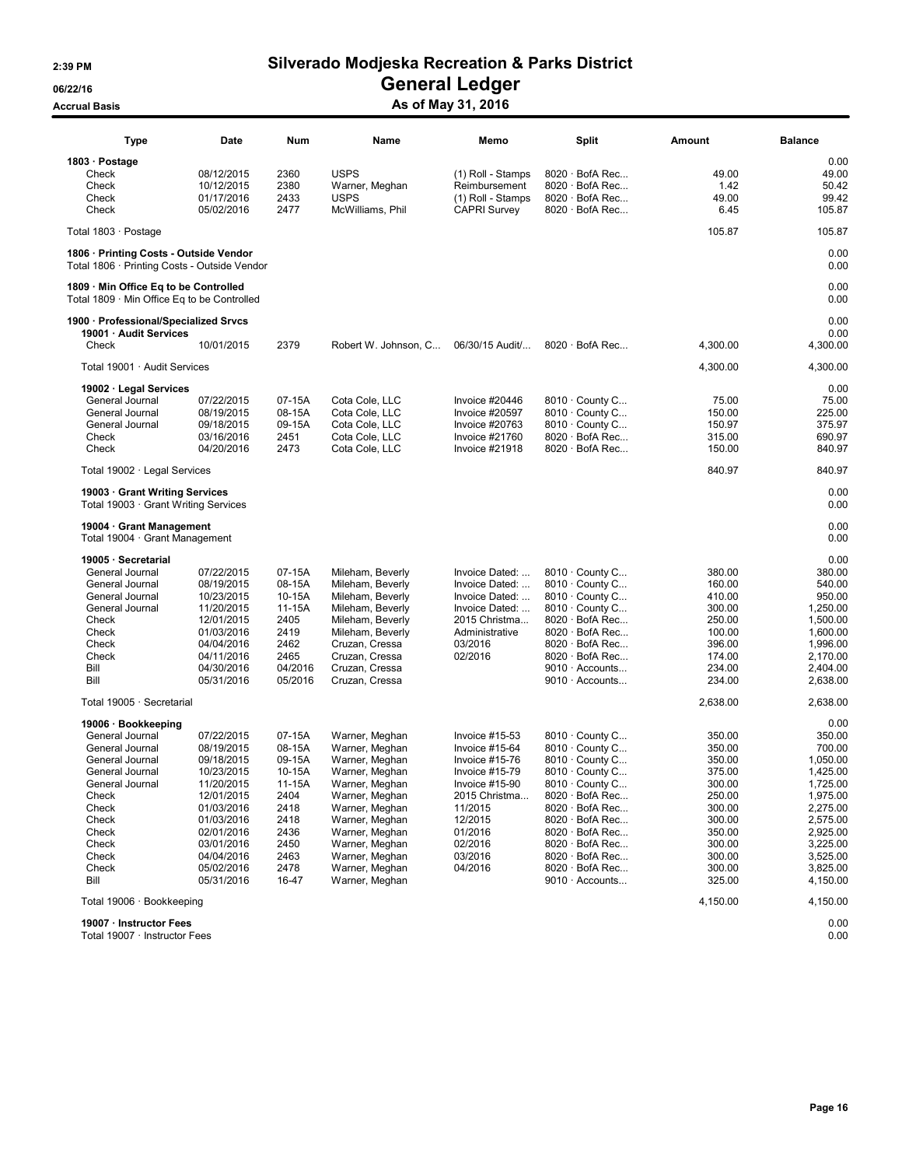### Accrual Basis **Accrual Basis** As of May 31, 2016

| <b>Type</b>                                                                            | Date       | Num     | Name                                | Memo                | Split                                          | Amount        | <b>Balance</b> |
|----------------------------------------------------------------------------------------|------------|---------|-------------------------------------|---------------------|------------------------------------------------|---------------|----------------|
| 1803 · Postage                                                                         |            |         |                                     |                     |                                                |               | 0.00           |
|                                                                                        | 08/12/2015 |         | <b>USPS</b>                         |                     |                                                |               |                |
| Check<br>Check                                                                         |            | 2360    |                                     | (1) Roll - Stamps   | $8020 \cdot$ BofA Rec<br>$8020 \cdot$ BofA Rec | 49.00<br>1.42 | 49.00          |
|                                                                                        | 10/12/2015 | 2380    | Warner, Meghan                      | Reimbursement       |                                                |               | 50.42          |
| Check                                                                                  | 01/17/2016 | 2433    | <b>USPS</b>                         | (1) Roll - Stamps   | $8020 \cdot$ BofA Rec                          | 49.00         | 99.42          |
| Check                                                                                  | 05/02/2016 | 2477    | McWilliams, Phil                    | <b>CAPRI Survey</b> | $8020 \cdot$ BofA Rec                          | 6.45          | 105.87         |
| Total 1803 · Postage                                                                   |            |         |                                     |                     |                                                | 105.87        | 105.87         |
| 1806 · Printing Costs - Outside Vendor<br>Total 1806 · Printing Costs - Outside Vendor |            |         |                                     |                     |                                                |               | 0.00<br>0.00   |
| 1809 · Min Office Eq to be Controlled<br>Total 1809 · Min Office Eq to be Controlled   |            |         |                                     |                     |                                                |               | 0.00<br>0.00   |
| 1900 · Professional/Specialized Srvcs<br>19001 · Audit Services                        |            |         |                                     |                     |                                                |               | 0.00<br>0.00   |
| Check                                                                                  | 10/01/2015 | 2379    | Robert W. Johnson, C 06/30/15 Audit |                     | $8020 \cdot$ BofA Rec                          | 4,300.00      | 4,300.00       |
| Total 19001 · Audit Services                                                           |            |         |                                     |                     |                                                | 4,300.00      | 4,300.00       |
| 19002 · Legal Services                                                                 |            |         |                                     |                     |                                                |               | 0.00           |
| General Journal                                                                        | 07/22/2015 | 07-15A  | Cota Cole, LLC                      | Invoice #20446      | 8010 · County C                                | 75.00         | 75.00          |
| General Journal                                                                        | 08/19/2015 | 08-15A  | Cota Cole, LLC                      | Invoice #20597      | 8010 · County C                                | 150.00        | 225.00         |
| General Journal                                                                        | 09/18/2015 | 09-15A  | Cota Cole, LLC                      | Invoice #20763      | 8010 County C                                  | 150.97        | 375.97         |
| Check                                                                                  | 03/16/2016 | 2451    | Cota Cole, LLC                      | Invoice #21760      | $8020 \cdot$ BofA Rec                          | 315.00        | 690.97         |
| Check                                                                                  | 04/20/2016 | 2473    | Cota Cole, LLC                      | Invoice #21918      | $8020 \cdot$ BofA Rec                          | 150.00        | 840.97         |
| Total 19002 · Legal Services                                                           |            |         |                                     |                     |                                                | 840.97        | 840.97         |
| 19003 · Grant Writing Services<br>Total 19003 · Grant Writing Services                 |            |         |                                     |                     |                                                |               | 0.00<br>0.00   |
| 19004 · Grant Management<br>Total 19004 · Grant Management                             |            |         |                                     |                     |                                                |               | 0.00<br>0.00   |
| 19005 · Secretarial                                                                    |            |         |                                     |                     |                                                |               | 0.00           |
| General Journal                                                                        | 07/22/2015 | 07-15A  | Mileham, Beverly                    | Invoice Dated:      | 8010 · County C                                | 380.00        | 380.00         |
| General Journal                                                                        | 08/19/2015 | 08-15A  | Mileham, Beverly                    | Invoice Dated:      | 8010 · County C                                | 160.00        | 540.00         |
| General Journal                                                                        | 10/23/2015 | 10-15A  | Mileham, Beverly                    | Invoice Dated:      | 8010 · County C                                | 410.00        | 950.00         |
| General Journal                                                                        | 11/20/2015 | 11-15A  | Mileham, Beverly                    | Invoice Dated:      | $8010 \cdot$ County C                          | 300.00        | 1,250.00       |
| Check                                                                                  | 12/01/2015 | 2405    | Mileham, Beverly                    | 2015 Christma       | $8020 \cdot$ BofA Rec                          | 250.00        | 1,500.00       |
| Check                                                                                  | 01/03/2016 | 2419    | Mileham, Beverly                    | Administrative      | $8020 \cdot$ BofA Rec                          | 100.00        | 1,600.00       |
| Check                                                                                  | 04/04/2016 | 2462    | Cruzan, Cressa                      | 03/2016             | $8020 \cdot$ BofA Rec                          | 396.00        | 1,996.00       |
| Check                                                                                  | 04/11/2016 | 2465    | Cruzan, Cressa                      | 02/2016             | $8020 \cdot$ BofA Rec                          | 174.00        | 2,170.00       |
| Bill                                                                                   | 04/30/2016 | 04/2016 | Cruzan, Cressa                      |                     | 9010 · Accounts                                | 234.00        | 2,404.00       |
| Bill                                                                                   | 05/31/2016 | 05/2016 | Cruzan, Cressa                      |                     | 9010 · Accounts                                | 234.00        | 2,638.00       |
| Total 19005 · Secretarial                                                              |            |         |                                     |                     |                                                | 2,638.00      | 2,638.00       |
| 19006 · Bookkeeping                                                                    |            |         |                                     |                     |                                                |               | 0.00           |
| General Journal                                                                        | 07/22/2015 | 07-15A  | Warner, Meghan                      | Invoice $#15-53$    | 8010 · County C                                | 350.00        | 350.00         |
| General Journal                                                                        | 08/19/2015 | 08-15A  | Warner, Meghan                      | Invoice #15-64      | $8010 \cdot$ County C                          | 350.00        | 700.00         |
| General Journal                                                                        | 09/18/2015 | 09-15A  | Warner, Meghan                      | Invoice #15-76      | 8010 · County C                                | 350.00        | 1,050.00       |
| General Journal                                                                        | 10/23/2015 | 10-15A  | Warner, Meghan                      | Invoice $#15-79$    | $8010 \cdot$ County C                          | 375.00        | 1,425.00       |
| General Journal                                                                        | 11/20/2015 | 11-15A  | Warner, Meghan                      | Invoice #15-90      | 8010 · County C                                | 300.00        | 1,725.00       |
| Check                                                                                  | 12/01/2015 | 2404    | Warner, Meghan                      | 2015 Christma       | $8020 \cdot$ BofA Rec                          | 250.00        | 1,975.00       |
| Check                                                                                  | 01/03/2016 | 2418    | Warner, Meghan                      | 11/2015             | 8020 · BofA Rec                                | 300.00        | 2,275.00       |
| Check                                                                                  | 01/03/2016 | 2418    | Warner, Meghan                      | 12/2015             | 8020 · BofA Rec                                | 300.00        | 2,575.00       |
| Check                                                                                  | 02/01/2016 | 2436    | Warner, Meghan                      | 01/2016             | $8020 \cdot$ BofA Rec                          | 350.00        | 2,925.00       |
| Check                                                                                  | 03/01/2016 | 2450    | Warner, Meghan                      | 02/2016             | $8020 \cdot$ BofA Rec                          | 300.00        | 3,225.00       |
| Check                                                                                  | 04/04/2016 | 2463    | Warner, Meghan                      | 03/2016             | 8020 · BofA Rec                                | 300.00        | 3,525.00       |
| Check                                                                                  | 05/02/2016 | 2478    | Warner, Meghan                      | 04/2016             | 8020 · BofA Rec                                | 300.00        | 3,825.00       |
| Bill                                                                                   | 05/31/2016 | 16-47   | Warner, Meghan                      |                     | 9010 · Accounts                                | 325.00        | 4,150.00       |
|                                                                                        |            |         |                                     |                     |                                                |               |                |
| Total 19006 · Bookkeeping                                                              |            |         |                                     |                     |                                                | 4,150.00      | 4,150.00       |

19007 · Instructor Fees 0.00

Total 19007 · Instructor Fees 0.00

Page 16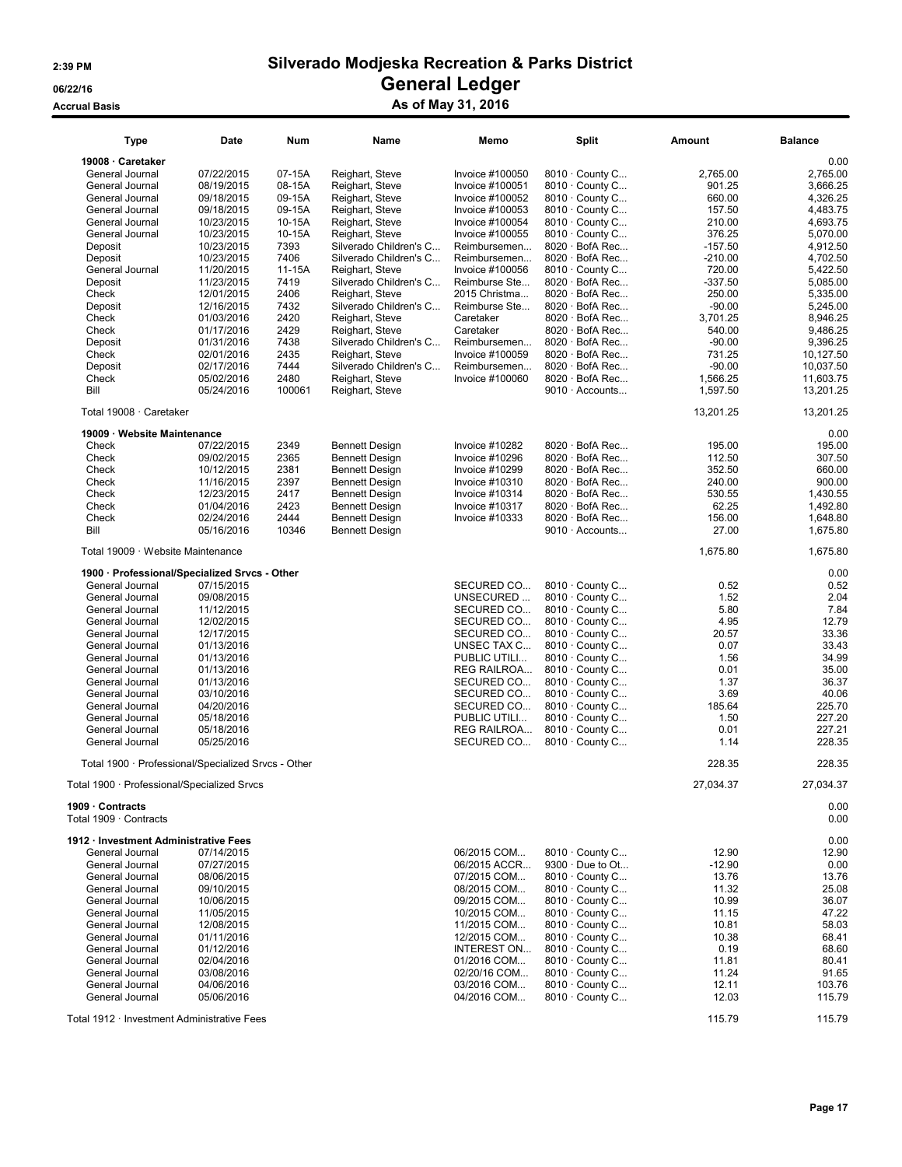### 2:39 PM Silverado Modjeska Recreation & Parks District 06/22/16 Contract Contract Contract Contract Contract Contract Contract Contract Contract Contract Contract Co

Accrual Basis As of May 31, 2016

| <b>Type</b>                                         | Date       | Num    | Name                   | Memo                  | <b>Split</b>           | Amount    | <b>Balance</b>       |
|-----------------------------------------------------|------------|--------|------------------------|-----------------------|------------------------|-----------|----------------------|
| 19008 · Caretaker                                   |            |        |                        |                       |                        |           | 0.00                 |
| General Journal                                     | 07/22/2015 | 07-15A | Reighart, Steve        | Invoice #100050       | 8010 · County C        | 2,765.00  | 2,765.00             |
| General Journal                                     | 08/19/2015 | 08-15A | Reighart, Steve        | Invoice #100051       | 8010 · County C        | 901.25    | 3,666.25             |
| General Journal                                     | 09/18/2015 | 09-15A | Reighart, Steve        | Invoice #100052       | 8010 · County C        | 660.00    | 4,326.25             |
| General Journal                                     | 09/18/2015 | 09-15A | Reighart, Steve        | Invoice #100053       | 8010 · County C        | 157.50    | 4,483.75             |
| General Journal                                     | 10/23/2015 | 10-15A | Reighart, Steve        | Invoice #100054       | 8010 · County C        | 210.00    | 4,693.75             |
| General Journal                                     | 10/23/2015 | 10-15A | Reighart, Steve        | Invoice #100055       | 8010 · County C        | 376.25    | 5,070.00             |
| Deposit                                             | 10/23/2015 | 7393   | Silverado Children's C | Reimbursemen          | 8020 · BofA Rec        | $-157.50$ | 4,912.50             |
| Deposit                                             | 10/23/2015 | 7406   | Silverado Children's C | Reimbursemen          | 8020 · BofA Rec        | $-210.00$ | 4,702.50             |
|                                                     |            |        |                        |                       |                        |           |                      |
| General Journal                                     | 11/20/2015 | 11-15A | Reighart, Steve        | Invoice #100056       | 8010 · County C        | 720.00    | 5,422.50             |
| Deposit                                             | 11/23/2015 | 7419   | Silverado Children's C | Reimburse Ste         | $8020 \cdot$ BofA Rec  | $-337.50$ | 5,085.00             |
| Check                                               | 12/01/2015 | 2406   | Reighart, Steve        | 2015 Christma         | $8020 \cdot$ BofA Rec  | 250.00    | 5,335.00             |
| Deposit                                             | 12/16/2015 | 7432   | Silverado Children's C | Reimburse Ste         | $8020 \cdot$ BofA Rec  | $-90.00$  | 5,245.00             |
| Check                                               | 01/03/2016 | 2420   | Reighart, Steve        | Caretaker             | 8020 · BofA Rec        | 3,701.25  | 8,946.25             |
| Check                                               | 01/17/2016 | 2429   | Reighart, Steve        | Caretaker             | 8020 · BofA Rec        | 540.00    | 9,486.25             |
| Deposit                                             | 01/31/2016 | 7438   | Silverado Children's C | Reimbursemen          | 8020 · BofA Rec        | $-90.00$  | 9,396.25             |
| Check                                               | 02/01/2016 | 2435   | Reighart, Steve        | Invoice #100059       | $8020 \cdot$ BofA Rec  | 731.25    | 10,127.50            |
| Deposit                                             | 02/17/2016 | 7444   | Silverado Children's C | Reimbursemen          | 8020 · BofA Rec        | $-90.00$  | 10,037.50            |
| Check                                               | 05/02/2016 | 2480   | Reighart, Steve        | Invoice #100060       | $8020 \cdot$ BofA Rec  | 1,566.25  | 11,603.75            |
| Bill                                                | 05/24/2016 | 100061 | Reighart, Steve        |                       | $9010 \cdot$ Accounts  | 1,597.50  | 13,201.25            |
| Total 19008 · Caretaker                             |            |        |                        |                       |                        | 13,201.25 | 13,201.25            |
| 19009 · Website Maintenance                         |            |        |                        |                       |                        |           | 0.00                 |
| Check                                               | 07/22/2015 | 2349   | <b>Bennett Design</b>  | Invoice #10282        | 8020 · BofA Rec        | 195.00    | 195.00               |
| Check                                               | 09/02/2015 | 2365   | <b>Bennett Design</b>  | Invoice #10296        | 8020 · BofA Rec        | 112.50    | 307.50               |
| Check                                               | 10/12/2015 | 2381   | <b>Bennett Design</b>  | Invoice #10299        | 8020 · BofA Rec        | 352.50    | 660.00               |
| Check                                               | 11/16/2015 | 2397   | <b>Bennett Design</b>  | <b>Invoice #10310</b> | $8020 \cdot$ BofA Rec  | 240.00    | 900.00               |
| Check                                               | 12/23/2015 | 2417   | <b>Bennett Design</b>  | Invoice #10314        | 8020 · BofA Rec        | 530.55    | 1,430.55             |
| Check                                               | 01/04/2016 | 2423   | <b>Bennett Design</b>  | Invoice #10317        | 8020 · BofA Rec        | 62.25     | 1,492.80             |
| Check                                               | 02/24/2016 | 2444   | <b>Bennett Design</b>  |                       | $8020 \cdot$ BofA Rec  | 156.00    |                      |
| Bill                                                | 05/16/2016 | 10346  | <b>Bennett Design</b>  | Invoice #10333        | $9010 \cdot$ Accounts  | 27.00     | 1,648.80<br>1,675.80 |
| Total 19009 · Website Maintenance                   |            |        |                        |                       |                        | 1,675.80  | 1,675.80             |
| 1900 · Professional/Specialized Srvcs - Other       |            |        |                        |                       |                        |           | 0.00                 |
| General Journal                                     | 07/15/2015 |        |                        | SECURED CO            | 8010 · County C        | 0.52      | 0.52                 |
| General Journal                                     | 09/08/2015 |        |                        | UNSECURED             | 8010 · County C        | 1.52      | 2.04                 |
| General Journal                                     | 11/12/2015 |        |                        | SECURED CO            | 8010 · County C        | 5.80      | 7.84                 |
|                                                     |            |        |                        |                       |                        |           |                      |
| General Journal                                     | 12/02/2015 |        |                        | SECURED CO            | 8010 · County C        | 4.95      | 12.79                |
| General Journal                                     | 12/17/2015 |        |                        | SECURED CO            | 8010 · County C        | 20.57     | 33.36                |
| General Journal                                     | 01/13/2016 |        |                        | UNSEC TAX C           | 8010 · County C        | 0.07      | 33.43                |
| General Journal                                     | 01/13/2016 |        |                        | PUBLIC UTILI          | 8010 · County C        | 1.56      | 34.99                |
| General Journal                                     | 01/13/2016 |        |                        | REG RAILROA           | 8010 · County C        | 0.01      | 35.00                |
| General Journal                                     | 01/13/2016 |        |                        | SECURED CO            | 8010 · County C        | 1.37      | 36.37                |
| General Journal                                     | 03/10/2016 |        |                        | SECURED CO            | 8010 · County C        | 3.69      | 40.06                |
| General Journal                                     | 04/20/2016 |        |                        | SECURED CO            | 8010 · County C        | 185.64    | 225.70               |
| General Journal                                     | 05/18/2016 |        |                        | PUBLIC UTILI          | 8010 · County C        | 1.50      | 227.20               |
| General Journal                                     | 05/18/2016 |        |                        | REG RAILROA           | 8010 · County C        | 0.01      | 227.21               |
| General Journal                                     | 05/25/2016 |        |                        | SECURED CO            | 8010 · County C        | 1.14      | 228.35               |
| Total 1900 · Professional/Specialized Srvcs - Other |            |        |                        |                       |                        | 228.35    | 228.35               |
| Total 1900 · Professional/Specialized Srvcs         |            |        |                        |                       |                        | 27,034.37 | 27,034.37            |
| 1909 · Contracts<br>Total 1909 · Contracts          |            |        |                        |                       |                        |           | 0.00<br>0.00         |
| 1912 · Investment Administrative Fees               |            |        |                        |                       |                        |           | 0.00                 |
| General Journal                                     | 07/14/2015 |        |                        | 06/2015 COM           | $8010 \cdot$ County C  | 12.90     | 12.90                |
|                                                     |            |        |                        |                       |                        |           |                      |
| General Journal                                     | 07/27/2015 |        |                        | 06/2015 ACCR          | $9300 \cdot$ Due to Ot | $-12.90$  | 0.00                 |
| General Journal                                     | 08/06/2015 |        |                        | 07/2015 COM           | 8010 · County C        | 13.76     | 13.76                |
| General Journal                                     | 09/10/2015 |        |                        | 08/2015 COM           | $8010 \cdot$ County C  | 11.32     | 25.08                |
| General Journal                                     | 10/06/2015 |        |                        | 09/2015 COM           | 8010 · County C        | 10.99     | 36.07                |
| General Journal                                     | 11/05/2015 |        |                        | 10/2015 COM           | 8010 · County C        | 11.15     | 47.22                |
| General Journal                                     | 12/08/2015 |        |                        | 11/2015 COM           | 8010 · County C        | 10.81     | 58.03                |
| General Journal                                     | 01/11/2016 |        |                        | 12/2015 COM           | 8010 · County C        | 10.38     | 68.41                |
| General Journal                                     | 01/12/2016 |        |                        | INTEREST ON           | 8010 · County C        | 0.19      | 68.60                |
| General Journal                                     | 02/04/2016 |        |                        | 01/2016 COM           | 8010 · County C        | 11.81     | 80.41                |
| General Journal                                     | 03/08/2016 |        |                        | 02/20/16 COM          | 8010 · County C        | 11.24     | 91.65                |
| General Journal                                     | 04/06/2016 |        |                        | 03/2016 COM           | $8010 \cdot$ County C  | 12.11     | 103.76               |
| General Journal                                     | 05/06/2016 |        |                        | 04/2016 COM           | $8010 \cdot$ County C  | 12.03     | 115.79               |
| Total 1912 · Investment Administrative Fees         |            |        |                        |                       |                        | 115.79    | 115.79               |
|                                                     |            |        |                        |                       |                        |           |                      |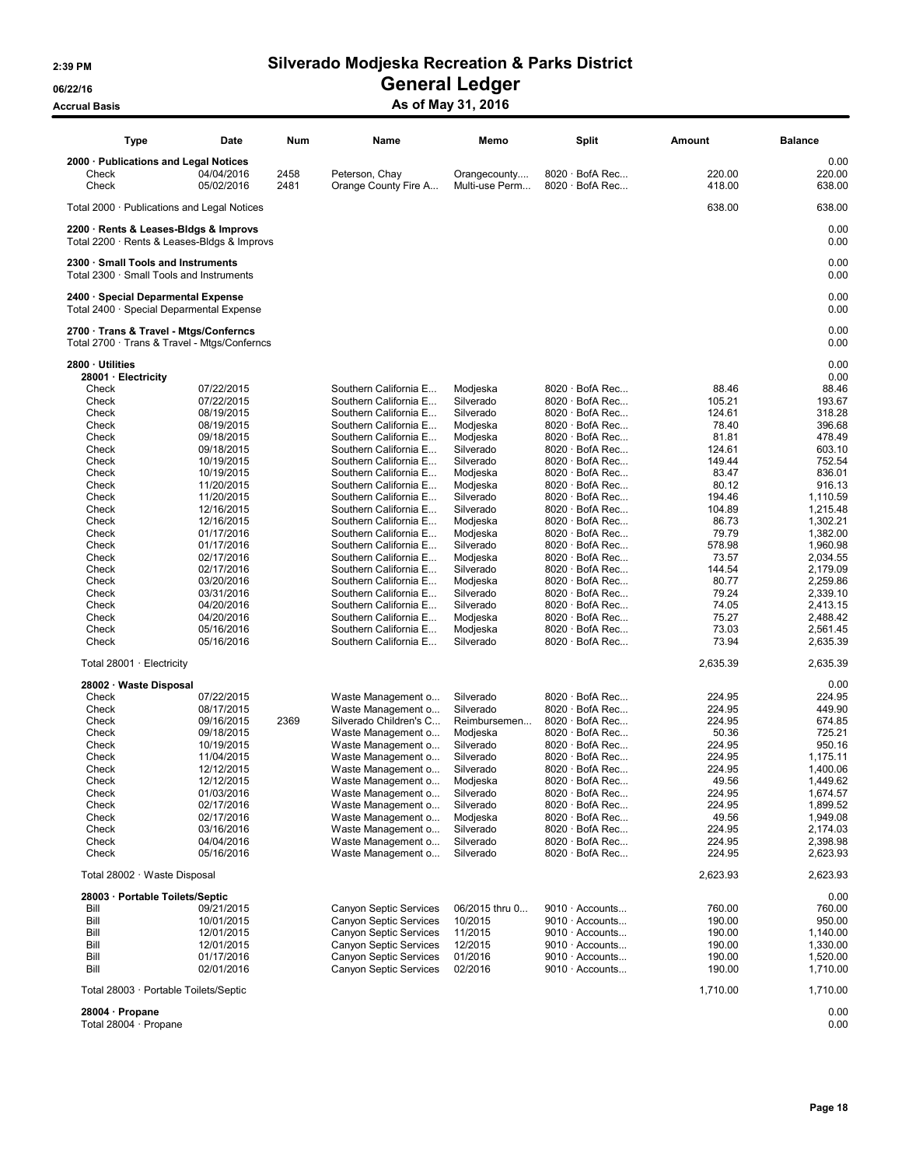06/22/16 OS/22/16 General Ledger

# Accrual Basis Accrual Basis As of May 31, 2016

| <b>Type</b>                                                                            | Date       | Num  | Name                   | Memo           | <b>Split</b>          | Amount   | <b>Balance</b> |
|----------------------------------------------------------------------------------------|------------|------|------------------------|----------------|-----------------------|----------|----------------|
| 2000 · Publications and Legal Notices                                                  |            |      |                        |                |                       |          | 0.00           |
| Check                                                                                  | 04/04/2016 | 2458 | Peterson, Chay         | Orangecounty   | 8020 · BofA Rec       | 220.00   | 220.00         |
| Check                                                                                  | 05/02/2016 | 2481 | Orange County Fire A   | Multi-use Perm | 8020 · BofA Rec       | 418.00   | 638.00         |
|                                                                                        |            |      |                        |                |                       |          |                |
| Total 2000 · Publications and Legal Notices                                            |            |      |                        |                |                       | 638.00   | 638.00         |
| 2200 · Rents & Leases-Bidgs & Improvs                                                  |            |      |                        |                |                       |          | 0.00           |
| Total 2200 · Rents & Leases-Bldgs & Improvs                                            |            |      |                        |                |                       |          | 0.00           |
|                                                                                        |            |      |                        |                |                       |          |                |
| 2300 · Small Tools and Instruments                                                     |            |      |                        |                |                       |          | 0.00           |
| Total 2300 · Small Tools and Instruments                                               |            |      |                        |                |                       |          | 0.00           |
| 2400 · Special Deparmental Expense                                                     |            |      |                        |                |                       |          | 0.00           |
| Total 2400 · Special Deparmental Expense                                               |            |      |                        |                |                       |          | 0.00           |
|                                                                                        |            |      |                        |                |                       |          |                |
| 2700 · Trans & Travel - Mtgs/Conferncs<br>Total 2700 · Trans & Travel - Mtgs/Conferncs |            |      |                        |                |                       |          | 0.00<br>0.00   |
|                                                                                        |            |      |                        |                |                       |          |                |
| 2800 · Utilities                                                                       |            |      |                        |                |                       |          | 0.00           |
| 28001 · Electricity                                                                    |            |      |                        |                |                       |          | 0.00           |
| Check                                                                                  | 07/22/2015 |      | Southern California E  | Modjeska       | $8020 \cdot$ BofA Rec | 88.46    | 88.46          |
| Check                                                                                  | 07/22/2015 |      | Southern California E  | Silverado      | $8020 \cdot$ BofA Rec | 105.21   | 193.67         |
| Check                                                                                  | 08/19/2015 |      | Southern California E  | Silverado      | $8020 \cdot$ BofA Rec | 124.61   | 318.28         |
| Check                                                                                  | 08/19/2015 |      | Southern California E  | Modjeska       | $8020 \cdot$ BofA Rec | 78.40    | 396.68         |
| Check                                                                                  | 09/18/2015 |      | Southern California E  | Modjeska       | $8020 \cdot$ BofA Rec | 81.81    | 478.49         |
| Check                                                                                  | 09/18/2015 |      | Southern California E  | Silverado      | 8020 · BofA Rec       | 124.61   | 603.10         |
| Check                                                                                  | 10/19/2015 |      | Southern California E  | Silverado      | $8020 \cdot$ BofA Rec | 149.44   | 752.54         |
| Check                                                                                  | 10/19/2015 |      | Southern California E  | Modjeska       | $8020 \cdot$ BofA Rec | 83.47    | 836.01         |
| Check                                                                                  | 11/20/2015 |      | Southern California E  | Modjeska       | $8020 \cdot$ BofA Rec | 80.12    | 916.13         |
| Check                                                                                  | 11/20/2015 |      | Southern California E  | Silverado      | $8020 \cdot$ BofA Rec | 194.46   | 1,110.59       |
| Check                                                                                  | 12/16/2015 |      | Southern California E  | Silverado      | $8020 \cdot$ BofA Rec | 104.89   | 1,215.48       |
| Check                                                                                  | 12/16/2015 |      | Southern California E  | Modjeska       | 8020 · BofA Rec       | 86.73    | 1,302.21       |
| Check                                                                                  | 01/17/2016 |      | Southern California E  | Modjeska       | $8020 \cdot$ BofA Rec | 79.79    | 1,382.00       |
| Check                                                                                  | 01/17/2016 |      | Southern California E  | Silverado      | $8020 \cdot$ BofA Rec | 578.98   | 1,960.98       |
| Check                                                                                  | 02/17/2016 |      | Southern California E  | Modjeska       | $8020 \cdot$ BofA Rec | 73.57    | 2,034.55       |
| Check                                                                                  | 02/17/2016 |      | Southern California E  | Silverado      | $8020 \cdot$ BofA Rec | 144.54   | 2,179.09       |
| Check                                                                                  | 03/20/2016 |      | Southern California E  | Modjeska       | $8020 \cdot$ BofA Rec | 80.77    | 2,259.86       |
| Check                                                                                  | 03/31/2016 |      | Southern California E  | Silverado      | $8020 \cdot$ BofA Rec | 79.24    | 2,339.10       |
| Check                                                                                  | 04/20/2016 |      | Southern California E  | Silverado      | $8020 \cdot$ BofA Rec | 74.05    | 2,413.15       |
| Check                                                                                  | 04/20/2016 |      | Southern California E  | Modjeska       | $8020 \cdot$ BofA Rec | 75.27    | 2,488.42       |
| Check                                                                                  | 05/16/2016 |      | Southern California E  | Modjeska       | $8020 \cdot$ BofA Rec | 73.03    | 2,561.45       |
| Check                                                                                  | 05/16/2016 |      | Southern California E  | Silverado      | $8020 \cdot$ BofA Rec | 73.94    | 2,635.39       |
|                                                                                        |            |      |                        |                |                       |          |                |
| Total $28001 \cdot$ Electricity                                                        |            |      |                        |                |                       | 2,635.39 | 2,635.39       |
| 28002 · Waste Disposal                                                                 |            |      |                        |                |                       |          | 0.00           |
| Check                                                                                  | 07/22/2015 |      | Waste Management o     | Silverado      | $8020 \cdot$ BofA Rec | 224.95   | 224.95         |
| Check                                                                                  | 08/17/2015 |      | Waste Management o     | Silverado      | $8020 \cdot$ BofA Rec | 224.95   | 449.90         |
| Check                                                                                  | 09/16/2015 | 2369 | Silverado Children's C | Reimbursemen   | $8020 \cdot$ BofA Rec | 224.95   | 674.85         |
| Check                                                                                  | 09/18/2015 |      | Waste Management o     | Modjeska       | $8020 \cdot$ BofA Rec | 50.36    | 725.21         |
| Check                                                                                  | 10/19/2015 |      | Waste Management o     | Silverado      | $8020 \cdot$ BofA Rec | 224.95   | 950.16         |
| Check                                                                                  | 11/04/2015 |      | Waste Management o     | Silverado      | $8020 \cdot$ BofA Rec | 224.95   | 1,175.11       |
| Check                                                                                  | 12/12/2015 |      | Waste Management o     | Silverado      | $8020 \cdot$ BofA Rec | 224.95   | 1,400.06       |
| Check                                                                                  | 12/12/2015 |      | Waste Management o     | Modjeska       | $8020 \cdot$ BofA Rec | 49.56    | 1,449.62       |
| Check                                                                                  | 01/03/2016 |      | Waste Management o     | Silverado      | $8020 \cdot$ BofA Rec | 224.95   | 1,674.57       |
| Check                                                                                  | 02/17/2016 |      | Waste Management o     | Silverado      | $8020 \cdot$ BofA Rec | 224.95   | 1,899.52       |
| Check                                                                                  | 02/17/2016 |      | Waste Management o     | Modjeska       | $8020 \cdot$ BofA Rec | 49.56    | 1,949.08       |
| Check                                                                                  | 03/16/2016 |      | Waste Management o     | Silverado      | $8020 \cdot$ BofA Rec | 224.95   | 2,174.03       |
| Check                                                                                  | 04/04/2016 |      | Waste Management o     | Silverado      | $8020 \cdot$ BofA Rec | 224.95   | 2,398.98       |
| Check                                                                                  | 05/16/2016 |      | Waste Management o     | Silverado      | $8020 \cdot$ BofA Rec | 224.95   | 2,623.93       |
|                                                                                        |            |      |                        |                |                       |          |                |
| Total 28002 · Waste Disposal                                                           |            |      |                        |                |                       | 2,623.93 | 2,623.93       |
| 28003 · Portable Toilets/Septic                                                        |            |      |                        |                |                       |          | 0.00           |
| Bill                                                                                   | 09/21/2015 |      | Canyon Septic Services | 06/2015 thru 0 | 9010 · Accounts       | 760.00   | 760.00         |
| Bill                                                                                   | 10/01/2015 |      | Canyon Septic Services | 10/2015        | $9010 \cdot$ Accounts | 190.00   | 950.00         |
| Bill                                                                                   | 12/01/2015 |      | Canyon Septic Services | 11/2015        | $9010 \cdot$ Accounts | 190.00   | 1,140.00       |
| Bill                                                                                   | 12/01/2015 |      | Canyon Septic Services | 12/2015        | $9010 \cdot$ Accounts | 190.00   | 1,330.00       |
| Bill                                                                                   | 01/17/2016 |      | Canyon Septic Services | 01/2016        | 9010 · Accounts       | 190.00   | 1,520.00       |
| Bill                                                                                   | 02/01/2016 |      | Canyon Septic Services | 02/2016        | $9010 \cdot$ Accounts | 190.00   | 1,710.00       |
|                                                                                        |            |      |                        |                |                       |          | 1,710.00       |
| Total 28003 · Portable Toilets/Septic                                                  |            |      |                        |                |                       | 1,710.00 |                |
| 28004 · Propane                                                                        |            |      |                        |                |                       |          | 0.00           |
| Total 28004 · Propane                                                                  |            |      |                        |                |                       |          | 0.00           |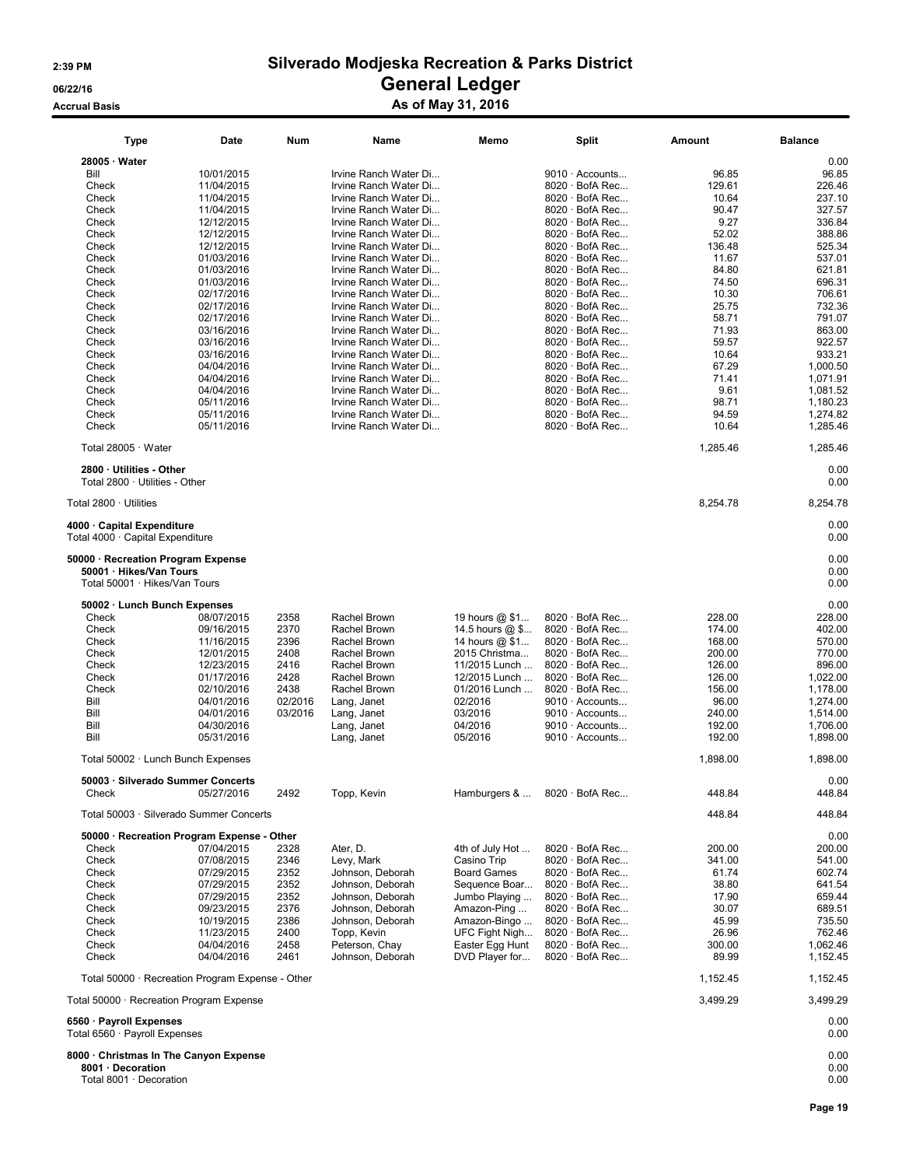# Accrual Basis **Accrual Basis** As of May 31, 2016

| Type                                                                                           | Date                     | Num          | Name                               | Memo                              | Split                                          | Amount          | <b>Balance</b>       |
|------------------------------------------------------------------------------------------------|--------------------------|--------------|------------------------------------|-----------------------------------|------------------------------------------------|-----------------|----------------------|
| 28005 · Water                                                                                  |                          |              |                                    |                                   |                                                |                 | 0.00                 |
| Bill                                                                                           | 10/01/2015               |              | Irvine Ranch Water Di              |                                   | 9010 · Accounts                                | 96.85           | 96.85                |
| Check                                                                                          | 11/04/2015               |              | Irvine Ranch Water Di              |                                   | $8020 \cdot$ BofA Rec                          | 129.61          | 226.46               |
| Check                                                                                          | 11/04/2015               |              | Irvine Ranch Water Di              |                                   | $8020 \cdot$ BofA Rec                          | 10.64           | 237.10               |
| Check                                                                                          | 11/04/2015               |              | Irvine Ranch Water Di              |                                   | $8020 \cdot$ BofA Rec                          | 90.47           | 327.57               |
|                                                                                                |                          |              |                                    |                                   |                                                |                 |                      |
| Check                                                                                          | 12/12/2015               |              | Irvine Ranch Water Di              |                                   | $8020 \cdot$ BofA Rec                          | 9.27            | 336.84               |
| Check                                                                                          | 12/12/2015               |              | Irvine Ranch Water Di              |                                   | $8020 \cdot$ BofA Rec                          | 52.02           | 388.86               |
| Check                                                                                          | 12/12/2015               |              | Irvine Ranch Water Di              |                                   | $8020 \cdot$ BofA Rec                          | 136.48          | 525.34               |
| Check                                                                                          | 01/03/2016               |              | Irvine Ranch Water Di              |                                   | $8020 \cdot$ BofA Rec                          | 11.67           | 537.01               |
| Check                                                                                          | 01/03/2016               |              | Irvine Ranch Water Di              |                                   | $8020 \cdot$ BofA Rec                          | 84.80           | 621.81               |
| Check                                                                                          | 01/03/2016               |              | Irvine Ranch Water Di              |                                   | $8020 \cdot$ BofA Rec                          | 74.50           | 696.31               |
| Check                                                                                          | 02/17/2016               |              | Irvine Ranch Water Di              |                                   | $8020 \cdot$ BofA Rec                          | 10.30           | 706.61               |
| Check                                                                                          | 02/17/2016               |              | Irvine Ranch Water Di              |                                   | $8020 \cdot$ BofA Rec                          | 25.75           | 732.36               |
| Check                                                                                          | 02/17/2016               |              | Irvine Ranch Water Di              |                                   | 8020 · BofA Rec                                | 58.71           | 791.07               |
| Check                                                                                          | 03/16/2016               |              | Irvine Ranch Water Di              |                                   | $8020 \cdot$ BofA Rec                          | 71.93           | 863.00               |
| Check                                                                                          | 03/16/2016               |              | Irvine Ranch Water Di              |                                   | $8020 \cdot$ BofA Rec                          | 59.57           | 922.57               |
| Check                                                                                          | 03/16/2016               |              | Irvine Ranch Water Di              |                                   | 8020 · BofA Rec                                | 10.64           | 933.21               |
|                                                                                                |                          |              |                                    |                                   |                                                |                 |                      |
| Check                                                                                          | 04/04/2016               |              | Irvine Ranch Water Di              |                                   | $8020 \cdot$ BofA Rec                          | 67.29           | 1,000.50             |
| Check                                                                                          | 04/04/2016               |              | Irvine Ranch Water Di              |                                   | $8020 \cdot$ BofA Rec                          | 71.41           | 1,071.91             |
| Check                                                                                          | 04/04/2016               |              | Irvine Ranch Water Di              |                                   | $8020 \cdot$ BofA Rec                          | 9.61            | 1,081.52             |
| Check                                                                                          | 05/11/2016               |              | Irvine Ranch Water Di              |                                   | $8020 \cdot$ BofA Rec                          | 98.71           | 1,180.23             |
| Check                                                                                          | 05/11/2016               |              | Irvine Ranch Water Di              |                                   | 8020 · BofA Rec                                | 94.59           | 1,274.82             |
| Check                                                                                          | 05/11/2016               |              | Irvine Ranch Water Di              |                                   | 8020 · BofA Rec                                | 10.64           | 1.285.46             |
| Total 28005 · Water                                                                            |                          |              |                                    |                                   |                                                | 1,285.46        | 1,285.46             |
| 2800 · Utilities - Other                                                                       |                          |              |                                    |                                   |                                                |                 | 0.00                 |
| Total 2800 · Utilities - Other                                                                 |                          |              |                                    |                                   |                                                |                 | 0.00                 |
| Total 2800 · Utilities                                                                         |                          |              |                                    |                                   |                                                | 8,254.78        | 8,254.78             |
| 4000 · Capital Expenditure<br>Total 4000 · Capital Expenditure                                 |                          |              |                                    |                                   |                                                |                 | 0.00<br>0.00         |
| 50000 · Recreation Program Expense<br>50001 · Hikes/Van Tours<br>Total 50001 · Hikes/Van Tours |                          |              |                                    |                                   |                                                |                 | 0.00<br>0.00<br>0.00 |
|                                                                                                |                          |              |                                    |                                   |                                                |                 |                      |
| 50002 · Lunch Bunch Expenses                                                                   |                          |              |                                    |                                   |                                                |                 | 0.00                 |
| Check                                                                                          | 08/07/2015               | 2358         | Rachel Brown                       | 19 hours @ \$1                    | $8020 \cdot$ BofA Rec                          | 228.00          | 228.00               |
| Check                                                                                          | 09/16/2015               | 2370         | Rachel Brown                       | 14.5 hours @ \$                   | 8020 · BofA Rec                                | 174.00          | 402.00               |
| Check                                                                                          | 11/16/2015               | 2396         | Rachel Brown                       | 14 hours @ \$1                    | 8020 · BofA Rec                                | 168.00          | 570.00               |
| Check                                                                                          | 12/01/2015               | 2408         | Rachel Brown                       | 2015 Christma                     | $8020 \cdot$ BofA Rec                          | 200.00          | 770.00               |
| Check                                                                                          | 12/23/2015               | 2416         | Rachel Brown                       | 11/2015 Lunch                     | 8020 · BofA Rec                                | 126.00          | 896.00               |
| Check                                                                                          | 01/17/2016               | 2428         | Rachel Brown                       | 12/2015 Lunch                     | 8020 · BofA Rec                                | 126.00          | 1,022.00             |
| Check                                                                                          | 02/10/2016               | 2438         | Rachel Brown                       | 01/2016 Lunch                     | $8020 \cdot$ BofA Rec                          | 156.00          | 1,178.00             |
| Bill                                                                                           | 04/01/2016               | 02/2016      |                                    | 02/2016                           | 9010 · Accounts                                | 96.00           | 1,274.00             |
|                                                                                                |                          |              | Lang, Janet                        |                                   |                                                |                 |                      |
| Bill                                                                                           | 04/01/2016               | 03/2016      | Lang, Janet                        | 03/2016                           | 9010 · Accounts                                | 240.00          | 1,514.00             |
| Bill                                                                                           | 04/30/2016               |              | Lang, Janet                        | 04/2016                           | 9010 · Accounts                                | 192.00          | 1,706.00             |
| Bill                                                                                           | 05/31/2016               |              | Lang, Janet                        | 05/2016                           | 9010 · Accounts                                | 192.00          | 1,898.00             |
| Total 50002 · Lunch Bunch Expenses                                                             |                          |              |                                    |                                   |                                                | 1,898.00        | 1,898.00             |
| 50003 · Silverado Summer Concerts                                                              |                          |              |                                    |                                   |                                                |                 | 0.00                 |
| Check                                                                                          | 05/27/2016               | 2492         | Topp, Kevin                        | Hamburgers &                      | $8020 \cdot$ BofA Rec                          | 448.84          | 448.84               |
| Total 50003 · Silverado Summer Concerts                                                        |                          |              |                                    |                                   |                                                | 448.84          | 448.84               |
| 50000 · Recreation Program Expense - Other                                                     |                          |              |                                    |                                   |                                                |                 | 0.00                 |
| Check                                                                                          | 07/04/2015               | 2328         | Ater, D.                           | 4th of July Hot                   | 8020 · BofA Rec                                | 200.00          | 200.00               |
| Check                                                                                          | 07/08/2015               | 2346         | Levy, Mark                         | Casino Trip                       | 8020 · BofA Rec                                | 341.00          | 541.00               |
| Check                                                                                          | 07/29/2015               | 2352         | Johnson, Deborah                   | <b>Board Games</b>                | $8020 \cdot$ BofA Rec                          | 61.74           | 602.74               |
| Check                                                                                          | 07/29/2015               | 2352         | Johnson, Deborah                   | Sequence Boar                     | $8020 \cdot$ BofA Rec                          | 38.80           | 641.54               |
| Check                                                                                          | 07/29/2015               | 2352         | Johnson, Deborah                   | Jumbo Playing                     | $8020 \cdot$ BofA Rec                          | 17.90           | 659.44               |
| Check                                                                                          | 09/23/2015               | 2376         | Johnson, Deborah                   | Amazon-Ping                       | $8020 \cdot$ BofA Rec                          | 30.07           | 689.51               |
| Check                                                                                          | 10/19/2015               | 2386         | Johnson, Deborah                   | Amazon-Bingo                      | 8020 · BofA Rec                                | 45.99           | 735.50               |
|                                                                                                |                          |              |                                    |                                   | $8020 \cdot$ BofA Rec                          |                 |                      |
| Check                                                                                          | 11/23/2015               | 2400         | Topp, Kevin                        | UFC Fight Nigh                    |                                                | 26.96           | 762.46               |
| Check<br>Check                                                                                 | 04/04/2016<br>04/04/2016 | 2458<br>2461 | Peterson, Chay<br>Johnson, Deborah | Easter Egg Hunt<br>DVD Player for | $8020 \cdot$ BofA Rec<br>$8020 \cdot$ BofA Rec | 300.00<br>89.99 | 1,062.46<br>1,152.45 |
| Total 50000 · Recreation Program Expense - Other                                               |                          |              |                                    |                                   |                                                | 1,152.45        | 1,152.45             |
| Total 50000 · Recreation Program Expense                                                       |                          |              |                                    |                                   |                                                | 3,499.29        | 3,499.29             |
| 6560 · Payroll Expenses<br>Total 6560 · Payroll Expenses                                       |                          |              |                                    |                                   |                                                |                 | 0.00<br>0.00         |
| 8000 · Christmas In The Canyon Expense                                                         |                          |              |                                    |                                   |                                                |                 | 0.00                 |
| 8001 · Decoration                                                                              |                          |              |                                    |                                   |                                                |                 | 0.00                 |
| Total 8001 · Decoration                                                                        |                          |              |                                    |                                   |                                                |                 | 0.00                 |

# 8001 · Decoration 0.00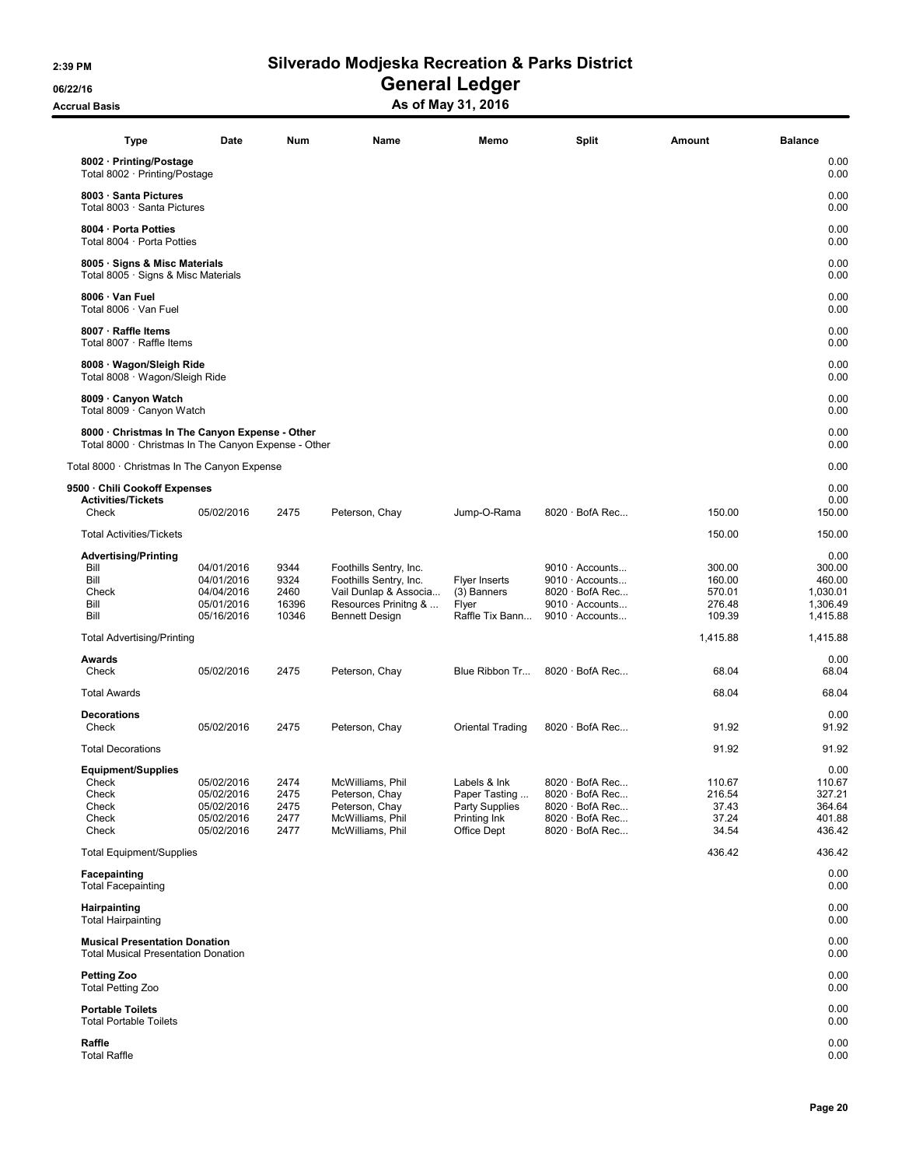06/22/16 OS/22/16 General Ledger

Accrual Basis Accrua Basis As of May 31, 2016

| <b>Type</b><br>Split<br>Num<br>Name<br>Memo<br>Amount<br>0.00<br>8002 · Printing/Postage<br>0.00<br>Total 8002 · Printing/Postage<br>8003 · Santa Pictures<br>0.00<br>0.00<br>Total 8003 · Santa Pictures<br>0.00<br>8004 · Porta Potties<br>Total 8004 · Porta Potties<br>0.00<br>0.00<br>8005 · Signs & Misc Materials<br>0.00<br>Total 8005 · Signs & Misc Materials<br>0.00<br>8006 · Van Fuel<br>0.00<br>Total 8006 · Van Fuel<br>0.00<br>8007 · Raffle Items<br>Total 8007 · Raffle Items<br>0.00<br>0.00<br>8008 · Wagon/Sleigh Ride<br>Total 8008 · Wagon/Sleigh Ride<br>0.00<br>8009 · Canyon Watch<br>0.00<br>Total 8009 · Canyon Watch<br>0.00<br>0.00<br>8000 · Christmas In The Canyon Expense - Other<br>0.00<br>Total 8000 · Christmas In The Canyon Expense - Other<br>0.00<br>Total 8000 · Christmas In The Canyon Expense<br>0.00<br>9500 · Chili Cookoff Expenses<br><b>Activities/Tickets</b><br>0.00<br>2475<br>$8020 \cdot$ BofA Rec<br>150.00<br>150.00<br>Check<br>05/02/2016<br>Peterson, Chay<br>Jump-O-Rama<br><b>Total Activities/Tickets</b><br>150.00<br>150.00<br>0.00<br><b>Advertising/Printing</b><br>Bill<br>9344<br>300.00<br>04/01/2016<br>Foothills Sentry, Inc.<br>$9010 \cdot$ Accounts<br>300.00<br>Bill<br>9324<br>460.00<br>04/01/2016<br>Foothills Sentry, Inc.<br><b>Flyer Inserts</b><br>$9010 \cdot$ Accounts<br>160.00<br>2460<br>$8020 \cdot$ BofA Rec<br>Check<br>04/04/2016<br>Vail Dunlap & Associa<br>(3) Banners<br>570.01<br>1,030.01<br>Bill<br>05/01/2016<br>16396<br>Resources Prinitng &<br>9010 · Accounts<br>1,306.49<br>Flyer<br>276.48<br>Bill<br>10346<br>$9010 \cdot$ Accounts<br>109.39<br>05/16/2016<br><b>Bennett Design</b><br>Raffle Tix Bann<br>1,415.88<br>1,415.88<br>1,415.88<br><b>Total Advertising/Printing</b><br>0.00<br>Awards<br>Check<br>05/02/2016<br>2475<br>$8020 \cdot$ BofA Rec<br>68.04<br>68.04<br>Peterson, Chay<br>Blue Ribbon Tr<br><b>Total Awards</b><br>68.04<br>68.04<br><b>Decorations</b><br>0.00<br>91.92<br>Check<br>05/02/2016<br>2475<br>$8020 \cdot$ BofA Rec<br>91.92<br>Peterson, Chay<br>Oriental Trading<br>91.92<br>91.92<br><b>Total Decorations</b><br><b>Equipment/Supplies</b><br>0.00<br>05/02/2016<br>2474<br>McWilliams, Phil<br>Labels & Ink<br>$8020 \cdot$ BofA Rec<br>110.67<br>Check<br>110.67<br>05/02/2016<br>Peterson, Chay<br>Paper Tasting<br>$8020 \cdot$ BofA Rec<br>327.21<br>Check<br>2475<br>216.54<br>05/02/2016<br>Peterson, Chay<br>Party Supplies<br>$8020 \cdot$ BofA Rec<br>364.64<br>Check<br>2475<br>37.43<br>Check<br>05/02/2016<br>2477<br>McWilliams, Phil<br>Printing Ink<br>$8020 \cdot$ BofA Rec<br>37.24<br>401.88<br>Check<br>05/02/2016<br>2477<br>McWilliams, Phil<br>Office Dept<br>$8020 \cdot$ BofA Rec<br>34.54<br>436.42<br><b>Total Equipment/Supplies</b><br>436.42<br>436.42<br>Facepainting<br>0.00<br>0.00<br><b>Total Facepainting</b><br>0.00<br>Hairpainting<br>0.00<br><b>Total Hairpainting</b><br><b>Musical Presentation Donation</b><br>0.00<br>0.00<br><b>Total Musical Presentation Donation</b><br><b>Petting Zoo</b><br>0.00<br>0.00<br><b>Total Petting Zoo</b><br>0.00<br><b>Portable Toilets</b><br>0.00<br><b>Total Portable Toilets</b><br>0.00<br>Raffle |                     | Date |  |  | <b>Balance</b> |
|------------------------------------------------------------------------------------------------------------------------------------------------------------------------------------------------------------------------------------------------------------------------------------------------------------------------------------------------------------------------------------------------------------------------------------------------------------------------------------------------------------------------------------------------------------------------------------------------------------------------------------------------------------------------------------------------------------------------------------------------------------------------------------------------------------------------------------------------------------------------------------------------------------------------------------------------------------------------------------------------------------------------------------------------------------------------------------------------------------------------------------------------------------------------------------------------------------------------------------------------------------------------------------------------------------------------------------------------------------------------------------------------------------------------------------------------------------------------------------------------------------------------------------------------------------------------------------------------------------------------------------------------------------------------------------------------------------------------------------------------------------------------------------------------------------------------------------------------------------------------------------------------------------------------------------------------------------------------------------------------------------------------------------------------------------------------------------------------------------------------------------------------------------------------------------------------------------------------------------------------------------------------------------------------------------------------------------------------------------------------------------------------------------------------------------------------------------------------------------------------------------------------------------------------------------------------------------------------------------------------------------------------------------------------------------------------------------------------------------------------------------------------------------------------------------------------------------------------------------------------------------------------------------------------------------------------------------------------------------------------------------------------------------------------------------------------------------------------------------------------------------------------------------------------------------------------------------------------------------------|---------------------|------|--|--|----------------|
|                                                                                                                                                                                                                                                                                                                                                                                                                                                                                                                                                                                                                                                                                                                                                                                                                                                                                                                                                                                                                                                                                                                                                                                                                                                                                                                                                                                                                                                                                                                                                                                                                                                                                                                                                                                                                                                                                                                                                                                                                                                                                                                                                                                                                                                                                                                                                                                                                                                                                                                                                                                                                                                                                                                                                                                                                                                                                                                                                                                                                                                                                                                                                                                                                                          |                     |      |  |  |                |
|                                                                                                                                                                                                                                                                                                                                                                                                                                                                                                                                                                                                                                                                                                                                                                                                                                                                                                                                                                                                                                                                                                                                                                                                                                                                                                                                                                                                                                                                                                                                                                                                                                                                                                                                                                                                                                                                                                                                                                                                                                                                                                                                                                                                                                                                                                                                                                                                                                                                                                                                                                                                                                                                                                                                                                                                                                                                                                                                                                                                                                                                                                                                                                                                                                          |                     |      |  |  |                |
|                                                                                                                                                                                                                                                                                                                                                                                                                                                                                                                                                                                                                                                                                                                                                                                                                                                                                                                                                                                                                                                                                                                                                                                                                                                                                                                                                                                                                                                                                                                                                                                                                                                                                                                                                                                                                                                                                                                                                                                                                                                                                                                                                                                                                                                                                                                                                                                                                                                                                                                                                                                                                                                                                                                                                                                                                                                                                                                                                                                                                                                                                                                                                                                                                                          |                     |      |  |  |                |
|                                                                                                                                                                                                                                                                                                                                                                                                                                                                                                                                                                                                                                                                                                                                                                                                                                                                                                                                                                                                                                                                                                                                                                                                                                                                                                                                                                                                                                                                                                                                                                                                                                                                                                                                                                                                                                                                                                                                                                                                                                                                                                                                                                                                                                                                                                                                                                                                                                                                                                                                                                                                                                                                                                                                                                                                                                                                                                                                                                                                                                                                                                                                                                                                                                          |                     |      |  |  |                |
|                                                                                                                                                                                                                                                                                                                                                                                                                                                                                                                                                                                                                                                                                                                                                                                                                                                                                                                                                                                                                                                                                                                                                                                                                                                                                                                                                                                                                                                                                                                                                                                                                                                                                                                                                                                                                                                                                                                                                                                                                                                                                                                                                                                                                                                                                                                                                                                                                                                                                                                                                                                                                                                                                                                                                                                                                                                                                                                                                                                                                                                                                                                                                                                                                                          |                     |      |  |  |                |
|                                                                                                                                                                                                                                                                                                                                                                                                                                                                                                                                                                                                                                                                                                                                                                                                                                                                                                                                                                                                                                                                                                                                                                                                                                                                                                                                                                                                                                                                                                                                                                                                                                                                                                                                                                                                                                                                                                                                                                                                                                                                                                                                                                                                                                                                                                                                                                                                                                                                                                                                                                                                                                                                                                                                                                                                                                                                                                                                                                                                                                                                                                                                                                                                                                          |                     |      |  |  |                |
|                                                                                                                                                                                                                                                                                                                                                                                                                                                                                                                                                                                                                                                                                                                                                                                                                                                                                                                                                                                                                                                                                                                                                                                                                                                                                                                                                                                                                                                                                                                                                                                                                                                                                                                                                                                                                                                                                                                                                                                                                                                                                                                                                                                                                                                                                                                                                                                                                                                                                                                                                                                                                                                                                                                                                                                                                                                                                                                                                                                                                                                                                                                                                                                                                                          |                     |      |  |  |                |
|                                                                                                                                                                                                                                                                                                                                                                                                                                                                                                                                                                                                                                                                                                                                                                                                                                                                                                                                                                                                                                                                                                                                                                                                                                                                                                                                                                                                                                                                                                                                                                                                                                                                                                                                                                                                                                                                                                                                                                                                                                                                                                                                                                                                                                                                                                                                                                                                                                                                                                                                                                                                                                                                                                                                                                                                                                                                                                                                                                                                                                                                                                                                                                                                                                          |                     |      |  |  |                |
|                                                                                                                                                                                                                                                                                                                                                                                                                                                                                                                                                                                                                                                                                                                                                                                                                                                                                                                                                                                                                                                                                                                                                                                                                                                                                                                                                                                                                                                                                                                                                                                                                                                                                                                                                                                                                                                                                                                                                                                                                                                                                                                                                                                                                                                                                                                                                                                                                                                                                                                                                                                                                                                                                                                                                                                                                                                                                                                                                                                                                                                                                                                                                                                                                                          |                     |      |  |  |                |
|                                                                                                                                                                                                                                                                                                                                                                                                                                                                                                                                                                                                                                                                                                                                                                                                                                                                                                                                                                                                                                                                                                                                                                                                                                                                                                                                                                                                                                                                                                                                                                                                                                                                                                                                                                                                                                                                                                                                                                                                                                                                                                                                                                                                                                                                                                                                                                                                                                                                                                                                                                                                                                                                                                                                                                                                                                                                                                                                                                                                                                                                                                                                                                                                                                          |                     |      |  |  |                |
|                                                                                                                                                                                                                                                                                                                                                                                                                                                                                                                                                                                                                                                                                                                                                                                                                                                                                                                                                                                                                                                                                                                                                                                                                                                                                                                                                                                                                                                                                                                                                                                                                                                                                                                                                                                                                                                                                                                                                                                                                                                                                                                                                                                                                                                                                                                                                                                                                                                                                                                                                                                                                                                                                                                                                                                                                                                                                                                                                                                                                                                                                                                                                                                                                                          |                     |      |  |  |                |
|                                                                                                                                                                                                                                                                                                                                                                                                                                                                                                                                                                                                                                                                                                                                                                                                                                                                                                                                                                                                                                                                                                                                                                                                                                                                                                                                                                                                                                                                                                                                                                                                                                                                                                                                                                                                                                                                                                                                                                                                                                                                                                                                                                                                                                                                                                                                                                                                                                                                                                                                                                                                                                                                                                                                                                                                                                                                                                                                                                                                                                                                                                                                                                                                                                          |                     |      |  |  |                |
|                                                                                                                                                                                                                                                                                                                                                                                                                                                                                                                                                                                                                                                                                                                                                                                                                                                                                                                                                                                                                                                                                                                                                                                                                                                                                                                                                                                                                                                                                                                                                                                                                                                                                                                                                                                                                                                                                                                                                                                                                                                                                                                                                                                                                                                                                                                                                                                                                                                                                                                                                                                                                                                                                                                                                                                                                                                                                                                                                                                                                                                                                                                                                                                                                                          |                     |      |  |  |                |
|                                                                                                                                                                                                                                                                                                                                                                                                                                                                                                                                                                                                                                                                                                                                                                                                                                                                                                                                                                                                                                                                                                                                                                                                                                                                                                                                                                                                                                                                                                                                                                                                                                                                                                                                                                                                                                                                                                                                                                                                                                                                                                                                                                                                                                                                                                                                                                                                                                                                                                                                                                                                                                                                                                                                                                                                                                                                                                                                                                                                                                                                                                                                                                                                                                          |                     |      |  |  |                |
|                                                                                                                                                                                                                                                                                                                                                                                                                                                                                                                                                                                                                                                                                                                                                                                                                                                                                                                                                                                                                                                                                                                                                                                                                                                                                                                                                                                                                                                                                                                                                                                                                                                                                                                                                                                                                                                                                                                                                                                                                                                                                                                                                                                                                                                                                                                                                                                                                                                                                                                                                                                                                                                                                                                                                                                                                                                                                                                                                                                                                                                                                                                                                                                                                                          |                     |      |  |  |                |
|                                                                                                                                                                                                                                                                                                                                                                                                                                                                                                                                                                                                                                                                                                                                                                                                                                                                                                                                                                                                                                                                                                                                                                                                                                                                                                                                                                                                                                                                                                                                                                                                                                                                                                                                                                                                                                                                                                                                                                                                                                                                                                                                                                                                                                                                                                                                                                                                                                                                                                                                                                                                                                                                                                                                                                                                                                                                                                                                                                                                                                                                                                                                                                                                                                          |                     |      |  |  |                |
|                                                                                                                                                                                                                                                                                                                                                                                                                                                                                                                                                                                                                                                                                                                                                                                                                                                                                                                                                                                                                                                                                                                                                                                                                                                                                                                                                                                                                                                                                                                                                                                                                                                                                                                                                                                                                                                                                                                                                                                                                                                                                                                                                                                                                                                                                                                                                                                                                                                                                                                                                                                                                                                                                                                                                                                                                                                                                                                                                                                                                                                                                                                                                                                                                                          |                     |      |  |  |                |
|                                                                                                                                                                                                                                                                                                                                                                                                                                                                                                                                                                                                                                                                                                                                                                                                                                                                                                                                                                                                                                                                                                                                                                                                                                                                                                                                                                                                                                                                                                                                                                                                                                                                                                                                                                                                                                                                                                                                                                                                                                                                                                                                                                                                                                                                                                                                                                                                                                                                                                                                                                                                                                                                                                                                                                                                                                                                                                                                                                                                                                                                                                                                                                                                                                          |                     |      |  |  |                |
|                                                                                                                                                                                                                                                                                                                                                                                                                                                                                                                                                                                                                                                                                                                                                                                                                                                                                                                                                                                                                                                                                                                                                                                                                                                                                                                                                                                                                                                                                                                                                                                                                                                                                                                                                                                                                                                                                                                                                                                                                                                                                                                                                                                                                                                                                                                                                                                                                                                                                                                                                                                                                                                                                                                                                                                                                                                                                                                                                                                                                                                                                                                                                                                                                                          |                     |      |  |  |                |
|                                                                                                                                                                                                                                                                                                                                                                                                                                                                                                                                                                                                                                                                                                                                                                                                                                                                                                                                                                                                                                                                                                                                                                                                                                                                                                                                                                                                                                                                                                                                                                                                                                                                                                                                                                                                                                                                                                                                                                                                                                                                                                                                                                                                                                                                                                                                                                                                                                                                                                                                                                                                                                                                                                                                                                                                                                                                                                                                                                                                                                                                                                                                                                                                                                          |                     |      |  |  |                |
|                                                                                                                                                                                                                                                                                                                                                                                                                                                                                                                                                                                                                                                                                                                                                                                                                                                                                                                                                                                                                                                                                                                                                                                                                                                                                                                                                                                                                                                                                                                                                                                                                                                                                                                                                                                                                                                                                                                                                                                                                                                                                                                                                                                                                                                                                                                                                                                                                                                                                                                                                                                                                                                                                                                                                                                                                                                                                                                                                                                                                                                                                                                                                                                                                                          |                     |      |  |  |                |
|                                                                                                                                                                                                                                                                                                                                                                                                                                                                                                                                                                                                                                                                                                                                                                                                                                                                                                                                                                                                                                                                                                                                                                                                                                                                                                                                                                                                                                                                                                                                                                                                                                                                                                                                                                                                                                                                                                                                                                                                                                                                                                                                                                                                                                                                                                                                                                                                                                                                                                                                                                                                                                                                                                                                                                                                                                                                                                                                                                                                                                                                                                                                                                                                                                          |                     |      |  |  |                |
|                                                                                                                                                                                                                                                                                                                                                                                                                                                                                                                                                                                                                                                                                                                                                                                                                                                                                                                                                                                                                                                                                                                                                                                                                                                                                                                                                                                                                                                                                                                                                                                                                                                                                                                                                                                                                                                                                                                                                                                                                                                                                                                                                                                                                                                                                                                                                                                                                                                                                                                                                                                                                                                                                                                                                                                                                                                                                                                                                                                                                                                                                                                                                                                                                                          |                     |      |  |  |                |
|                                                                                                                                                                                                                                                                                                                                                                                                                                                                                                                                                                                                                                                                                                                                                                                                                                                                                                                                                                                                                                                                                                                                                                                                                                                                                                                                                                                                                                                                                                                                                                                                                                                                                                                                                                                                                                                                                                                                                                                                                                                                                                                                                                                                                                                                                                                                                                                                                                                                                                                                                                                                                                                                                                                                                                                                                                                                                                                                                                                                                                                                                                                                                                                                                                          |                     |      |  |  |                |
|                                                                                                                                                                                                                                                                                                                                                                                                                                                                                                                                                                                                                                                                                                                                                                                                                                                                                                                                                                                                                                                                                                                                                                                                                                                                                                                                                                                                                                                                                                                                                                                                                                                                                                                                                                                                                                                                                                                                                                                                                                                                                                                                                                                                                                                                                                                                                                                                                                                                                                                                                                                                                                                                                                                                                                                                                                                                                                                                                                                                                                                                                                                                                                                                                                          |                     |      |  |  |                |
|                                                                                                                                                                                                                                                                                                                                                                                                                                                                                                                                                                                                                                                                                                                                                                                                                                                                                                                                                                                                                                                                                                                                                                                                                                                                                                                                                                                                                                                                                                                                                                                                                                                                                                                                                                                                                                                                                                                                                                                                                                                                                                                                                                                                                                                                                                                                                                                                                                                                                                                                                                                                                                                                                                                                                                                                                                                                                                                                                                                                                                                                                                                                                                                                                                          |                     |      |  |  |                |
|                                                                                                                                                                                                                                                                                                                                                                                                                                                                                                                                                                                                                                                                                                                                                                                                                                                                                                                                                                                                                                                                                                                                                                                                                                                                                                                                                                                                                                                                                                                                                                                                                                                                                                                                                                                                                                                                                                                                                                                                                                                                                                                                                                                                                                                                                                                                                                                                                                                                                                                                                                                                                                                                                                                                                                                                                                                                                                                                                                                                                                                                                                                                                                                                                                          |                     |      |  |  |                |
|                                                                                                                                                                                                                                                                                                                                                                                                                                                                                                                                                                                                                                                                                                                                                                                                                                                                                                                                                                                                                                                                                                                                                                                                                                                                                                                                                                                                                                                                                                                                                                                                                                                                                                                                                                                                                                                                                                                                                                                                                                                                                                                                                                                                                                                                                                                                                                                                                                                                                                                                                                                                                                                                                                                                                                                                                                                                                                                                                                                                                                                                                                                                                                                                                                          |                     |      |  |  |                |
|                                                                                                                                                                                                                                                                                                                                                                                                                                                                                                                                                                                                                                                                                                                                                                                                                                                                                                                                                                                                                                                                                                                                                                                                                                                                                                                                                                                                                                                                                                                                                                                                                                                                                                                                                                                                                                                                                                                                                                                                                                                                                                                                                                                                                                                                                                                                                                                                                                                                                                                                                                                                                                                                                                                                                                                                                                                                                                                                                                                                                                                                                                                                                                                                                                          |                     |      |  |  |                |
|                                                                                                                                                                                                                                                                                                                                                                                                                                                                                                                                                                                                                                                                                                                                                                                                                                                                                                                                                                                                                                                                                                                                                                                                                                                                                                                                                                                                                                                                                                                                                                                                                                                                                                                                                                                                                                                                                                                                                                                                                                                                                                                                                                                                                                                                                                                                                                                                                                                                                                                                                                                                                                                                                                                                                                                                                                                                                                                                                                                                                                                                                                                                                                                                                                          |                     |      |  |  |                |
|                                                                                                                                                                                                                                                                                                                                                                                                                                                                                                                                                                                                                                                                                                                                                                                                                                                                                                                                                                                                                                                                                                                                                                                                                                                                                                                                                                                                                                                                                                                                                                                                                                                                                                                                                                                                                                                                                                                                                                                                                                                                                                                                                                                                                                                                                                                                                                                                                                                                                                                                                                                                                                                                                                                                                                                                                                                                                                                                                                                                                                                                                                                                                                                                                                          |                     |      |  |  |                |
|                                                                                                                                                                                                                                                                                                                                                                                                                                                                                                                                                                                                                                                                                                                                                                                                                                                                                                                                                                                                                                                                                                                                                                                                                                                                                                                                                                                                                                                                                                                                                                                                                                                                                                                                                                                                                                                                                                                                                                                                                                                                                                                                                                                                                                                                                                                                                                                                                                                                                                                                                                                                                                                                                                                                                                                                                                                                                                                                                                                                                                                                                                                                                                                                                                          |                     |      |  |  |                |
|                                                                                                                                                                                                                                                                                                                                                                                                                                                                                                                                                                                                                                                                                                                                                                                                                                                                                                                                                                                                                                                                                                                                                                                                                                                                                                                                                                                                                                                                                                                                                                                                                                                                                                                                                                                                                                                                                                                                                                                                                                                                                                                                                                                                                                                                                                                                                                                                                                                                                                                                                                                                                                                                                                                                                                                                                                                                                                                                                                                                                                                                                                                                                                                                                                          |                     |      |  |  |                |
|                                                                                                                                                                                                                                                                                                                                                                                                                                                                                                                                                                                                                                                                                                                                                                                                                                                                                                                                                                                                                                                                                                                                                                                                                                                                                                                                                                                                                                                                                                                                                                                                                                                                                                                                                                                                                                                                                                                                                                                                                                                                                                                                                                                                                                                                                                                                                                                                                                                                                                                                                                                                                                                                                                                                                                                                                                                                                                                                                                                                                                                                                                                                                                                                                                          |                     |      |  |  |                |
|                                                                                                                                                                                                                                                                                                                                                                                                                                                                                                                                                                                                                                                                                                                                                                                                                                                                                                                                                                                                                                                                                                                                                                                                                                                                                                                                                                                                                                                                                                                                                                                                                                                                                                                                                                                                                                                                                                                                                                                                                                                                                                                                                                                                                                                                                                                                                                                                                                                                                                                                                                                                                                                                                                                                                                                                                                                                                                                                                                                                                                                                                                                                                                                                                                          |                     |      |  |  |                |
|                                                                                                                                                                                                                                                                                                                                                                                                                                                                                                                                                                                                                                                                                                                                                                                                                                                                                                                                                                                                                                                                                                                                                                                                                                                                                                                                                                                                                                                                                                                                                                                                                                                                                                                                                                                                                                                                                                                                                                                                                                                                                                                                                                                                                                                                                                                                                                                                                                                                                                                                                                                                                                                                                                                                                                                                                                                                                                                                                                                                                                                                                                                                                                                                                                          | <b>Total Raffle</b> |      |  |  | 0.00           |